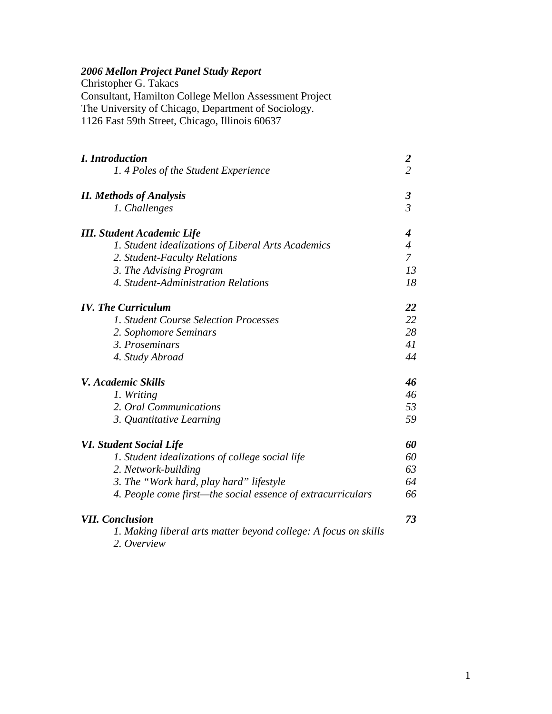# *2006 Mellon Project Panel Study Report*

Christopher G. Takacs Consultant, Hamilton College Mellon Assessment Project The University of Chicago, Department of Sociology. 1126 East 59th Street, Chicago, Illinois 60637

| <b>I.</b> Introduction                                                         |                      |
|--------------------------------------------------------------------------------|----------------------|
| 1.4 Poles of the Student Experience                                            | $\frac{2}{2}$        |
| <b>II.</b> Methods of Analysis                                                 | $\boldsymbol{\beta}$ |
| 1. Challenges                                                                  | $\mathfrak{Z}$       |
| <b>III.</b> Student Academic Life                                              | 4                    |
| 1. Student idealizations of Liberal Arts Academics                             | $\overline{4}$       |
| 2. Student-Faculty Relations                                                   | $\overline{7}$       |
| 3. The Advising Program                                                        | 13                   |
| 4. Student-Administration Relations                                            | 18                   |
| <b>IV.</b> The Curriculum                                                      | 22                   |
| 1. Student Course Selection Processes                                          | 22                   |
| 2. Sophomore Seminars                                                          | 28                   |
| 3. Proseminars                                                                 | 41                   |
| 4. Study Abroad                                                                | 44                   |
| V. Academic Skills                                                             | 46                   |
| 1. Writing                                                                     | 46                   |
| 2. Oral Communications                                                         | 53                   |
| 3. Quantitative Learning                                                       | 59                   |
| <b>VI. Student Social Life</b>                                                 | 60                   |
| 1. Student idealizations of college social life                                | 60                   |
| 2. Network-building                                                            | 63                   |
| 3. The "Work hard, play hard" lifestyle                                        | 64                   |
| 4. People come first-the social essence of extracurriculars                    | 66                   |
| <b>VII.</b> Conclusion                                                         | 73                   |
| 1. Making liberal arts matter beyond college: A focus on skills<br>2. Overview |                      |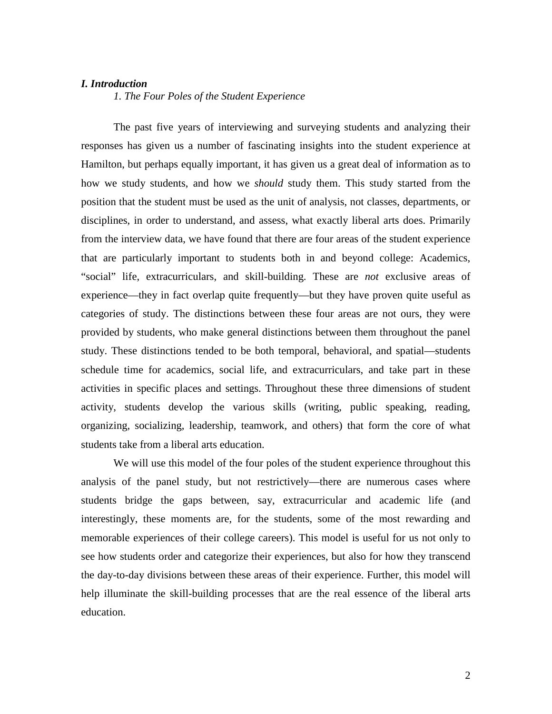# *I. Introduction*

 *1. The Four Poles of the Student Experience* 

 The past five years of interviewing and surveying students and analyzing their responses has given us a number of fascinating insights into the student experience at Hamilton, but perhaps equally important, it has given us a great deal of information as to how we study students, and how we *should* study them. This study started from the position that the student must be used as the unit of analysis, not classes, departments, or disciplines, in order to understand, and assess, what exactly liberal arts does. Primarily from the interview data, we have found that there are four areas of the student experience that are particularly important to students both in and beyond college: Academics, "social" life, extracurriculars, and skill-building. These are *not* exclusive areas of experience—they in fact overlap quite frequently—but they have proven quite useful as categories of study. The distinctions between these four areas are not ours, they were provided by students, who make general distinctions between them throughout the panel study. These distinctions tended to be both temporal, behavioral, and spatial—students schedule time for academics, social life, and extracurriculars, and take part in these activities in specific places and settings. Throughout these three dimensions of student activity, students develop the various skills (writing, public speaking, reading, organizing, socializing, leadership, teamwork, and others) that form the core of what students take from a liberal arts education.

 We will use this model of the four poles of the student experience throughout this analysis of the panel study, but not restrictively—there are numerous cases where students bridge the gaps between, say, extracurricular and academic life (and interestingly, these moments are, for the students, some of the most rewarding and memorable experiences of their college careers). This model is useful for us not only to see how students order and categorize their experiences, but also for how they transcend the day-to-day divisions between these areas of their experience. Further, this model will help illuminate the skill-building processes that are the real essence of the liberal arts education.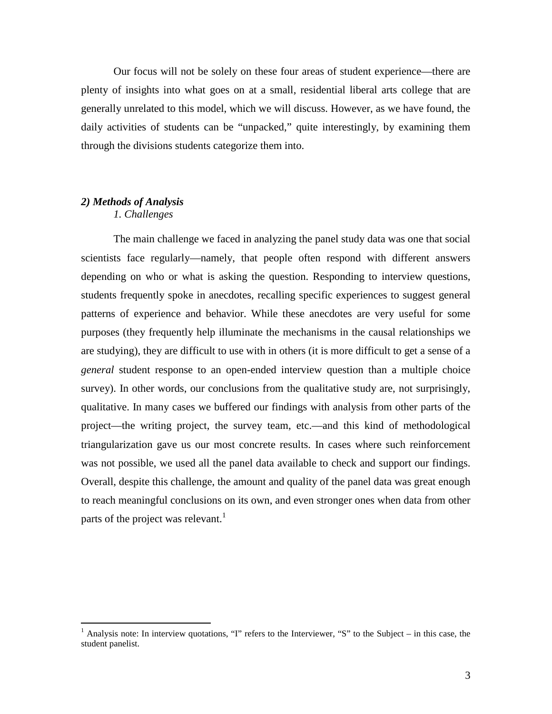Our focus will not be solely on these four areas of student experience—there are plenty of insights into what goes on at a small, residential liberal arts college that are generally unrelated to this model, which we will discuss. However, as we have found, the daily activities of students can be "unpacked," quite interestingly, by examining them through the divisions students categorize them into.

#### *2) Methods of Analysis 1. Challenges*

 The main challenge we faced in analyzing the panel study data was one that social scientists face regularly—namely, that people often respond with different answers depending on who or what is asking the question. Responding to interview questions, students frequently spoke in anecdotes, recalling specific experiences to suggest general patterns of experience and behavior. While these anecdotes are very useful for some purposes (they frequently help illuminate the mechanisms in the causal relationships we are studying), they are difficult to use with in others (it is more difficult to get a sense of a *general* student response to an open-ended interview question than a multiple choice survey). In other words, our conclusions from the qualitative study are, not surprisingly, qualitative. In many cases we buffered our findings with analysis from other parts of the project—the writing project, the survey team, etc.—and this kind of methodological triangularization gave us our most concrete results. In cases where such reinforcement was not possible, we used all the panel data available to check and support our findings. Overall, despite this challenge, the amount and quality of the panel data was great enough to reach meaningful conclusions on its own, and even stronger ones when data from other parts of the project was relevant.<sup>1</sup>

<sup>&</sup>lt;sup>1</sup> Analysis note: In interview quotations, "I" refers to the Interviewer, "S" to the Subject – in this case, the student panelist.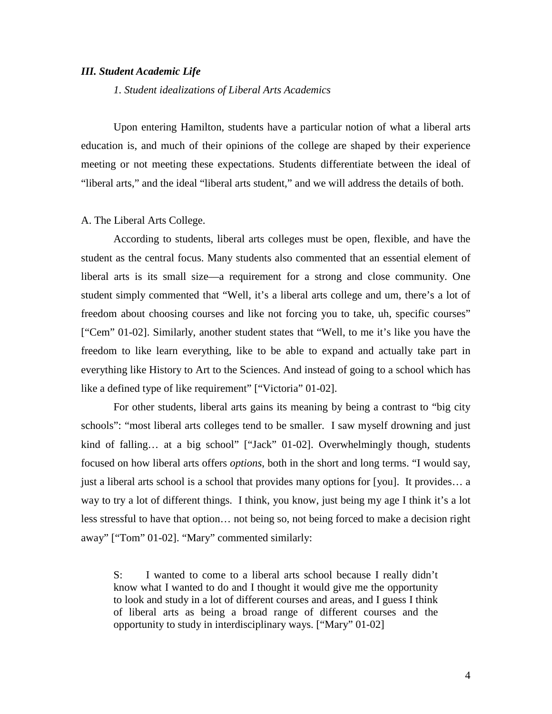## *III. Student Academic Life*

 *1. Student idealizations of Liberal Arts Academics*

 Upon entering Hamilton, students have a particular notion of what a liberal arts education is, and much of their opinions of the college are shaped by their experience meeting or not meeting these expectations. Students differentiate between the ideal of "liberal arts," and the ideal "liberal arts student," and we will address the details of both.

#### A. The Liberal Arts College.

According to students, liberal arts colleges must be open, flexible, and have the student as the central focus. Many students also commented that an essential element of liberal arts is its small size—a requirement for a strong and close community. One student simply commented that "Well, it's a liberal arts college and um, there's a lot of freedom about choosing courses and like not forcing you to take, uh, specific courses" ["Cem" 01-02]. Similarly, another student states that "Well, to me it's like you have the freedom to like learn everything, like to be able to expand and actually take part in everything like History to Art to the Sciences. And instead of going to a school which has like a defined type of like requirement" ["Victoria" 01-02].

For other students, liberal arts gains its meaning by being a contrast to "big city schools": "most liberal arts colleges tend to be smaller. I saw myself drowning and just kind of falling... at a big school" ["Jack" 01-02]. Overwhelmingly though, students focused on how liberal arts offers *options*, both in the short and long terms. "I would say, just a liberal arts school is a school that provides many options for [you]. It provides… a way to try a lot of different things. I think, you know, just being my age I think it's a lot less stressful to have that option… not being so, not being forced to make a decision right away" ["Tom" 01-02]. "Mary" commented similarly:

S: I wanted to come to a liberal arts school because I really didn't know what I wanted to do and I thought it would give me the opportunity to look and study in a lot of different courses and areas, and I guess I think of liberal arts as being a broad range of different courses and the opportunity to study in interdisciplinary ways. ["Mary" 01-02]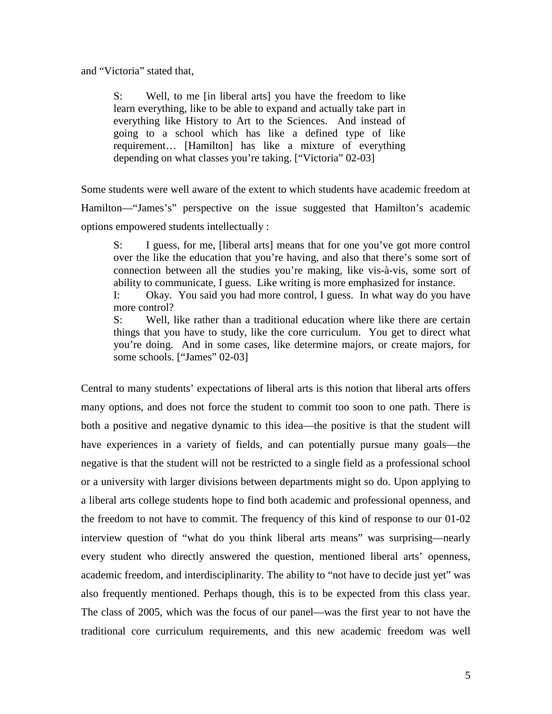and "Victoria" stated that,

S: Well, to me [in liberal arts] you have the freedom to like learn everything, like to be able to expand and actually take part in everything like History to Art to the Sciences. And instead of going to a school which has like a defined type of like requirement… [Hamilton] has like a mixture of everything depending on what classes you're taking. ["Victoria" 02-03]

Some students were well aware of the extent to which students have academic freedom at Hamilton—"James's" perspective on the issue suggested that Hamilton's academic options empowered students intellectually :

S: I guess, for me, [liberal arts] means that for one you've got more control over the like the education that you're having, and also that there's some sort of connection between all the studies you're making, like vis-à-vis, some sort of ability to communicate, I guess. Like writing is more emphasized for instance.

I: Okay. You said you had more control, I guess. In what way do you have more control?

S: Well, like rather than a traditional education where like there are certain things that you have to study, like the core curriculum. You get to direct what you're doing. And in some cases, like determine majors, or create majors, for some schools. ["James" 02-03]

Central to many students' expectations of liberal arts is this notion that liberal arts offers many options, and does not force the student to commit too soon to one path. There is both a positive and negative dynamic to this idea—the positive is that the student will have experiences in a variety of fields, and can potentially pursue many goals—the negative is that the student will not be restricted to a single field as a professional school or a university with larger divisions between departments might so do. Upon applying to a liberal arts college students hope to find both academic and professional openness, and the freedom to not have to commit. The frequency of this kind of response to our 01-02 interview question of "what do you think liberal arts means" was surprising—nearly every student who directly answered the question, mentioned liberal arts' openness, academic freedom, and interdisciplinarity. The ability to "not have to decide just yet" was also frequently mentioned. Perhaps though, this is to be expected from this class year. The class of 2005, which was the focus of our panel—was the first year to not have the traditional core curriculum requirements, and this new academic freedom was well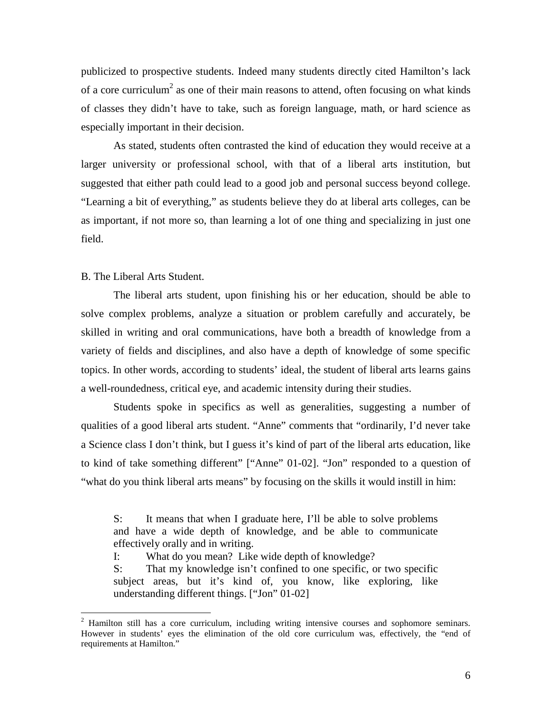publicized to prospective students. Indeed many students directly cited Hamilton's lack of a core curriculum<sup>2</sup> as one of their main reasons to attend, often focusing on what kinds of classes they didn't have to take, such as foreign language, math, or hard science as especially important in their decision.

 As stated, students often contrasted the kind of education they would receive at a larger university or professional school, with that of a liberal arts institution, but suggested that either path could lead to a good job and personal success beyond college. "Learning a bit of everything," as students believe they do at liberal arts colleges, can be as important, if not more so, than learning a lot of one thing and specializing in just one field.

#### B. The Liberal Arts Student.

The liberal arts student, upon finishing his or her education, should be able to solve complex problems, analyze a situation or problem carefully and accurately, be skilled in writing and oral communications, have both a breadth of knowledge from a variety of fields and disciplines, and also have a depth of knowledge of some specific topics. In other words, according to students' ideal, the student of liberal arts learns gains a well-roundedness, critical eye, and academic intensity during their studies.

Students spoke in specifics as well as generalities, suggesting a number of qualities of a good liberal arts student. "Anne" comments that "ordinarily, I'd never take a Science class I don't think, but I guess it's kind of part of the liberal arts education, like to kind of take something different" ["Anne" 01-02]. "Jon" responded to a question of "what do you think liberal arts means" by focusing on the skills it would instill in him:

S: It means that when I graduate here, I'll be able to solve problems and have a wide depth of knowledge, and be able to communicate effectively orally and in writing.

I: What do you mean? Like wide depth of knowledge?

S: That my knowledge isn't confined to one specific, or two specific subject areas, but it's kind of, you know, like exploring, like understanding different things. ["Jon" 01-02]

<sup>&</sup>lt;sup>2</sup> Hamilton still has a core curriculum, including writing intensive courses and sophomore seminars. However in students' eyes the elimination of the old core curriculum was, effectively, the "end of requirements at Hamilton."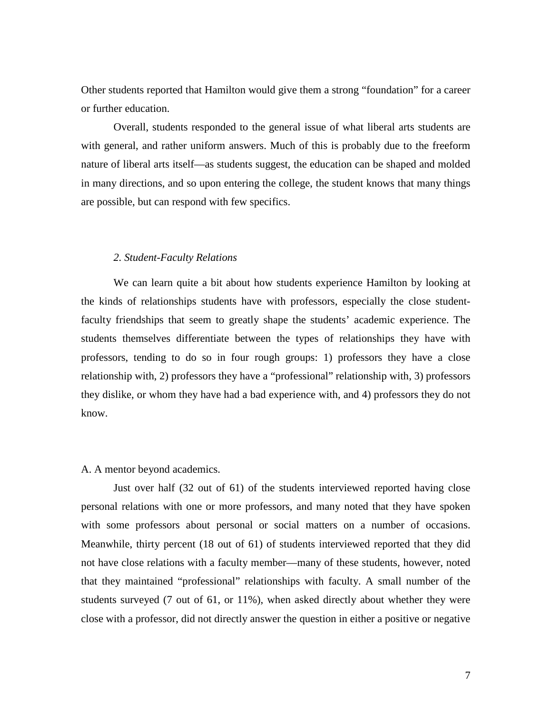Other students reported that Hamilton would give them a strong "foundation" for a career or further education.

Overall, students responded to the general issue of what liberal arts students are with general, and rather uniform answers. Much of this is probably due to the freeform nature of liberal arts itself—as students suggest, the education can be shaped and molded in many directions, and so upon entering the college, the student knows that many things are possible, but can respond with few specifics.

#### *2. Student-Faculty Relations*

We can learn quite a bit about how students experience Hamilton by looking at the kinds of relationships students have with professors, especially the close studentfaculty friendships that seem to greatly shape the students' academic experience. The students themselves differentiate between the types of relationships they have with professors, tending to do so in four rough groups: 1) professors they have a close relationship with, 2) professors they have a "professional" relationship with, 3) professors they dislike, or whom they have had a bad experience with, and 4) professors they do not know.

#### A. A mentor beyond academics.

 Just over half (32 out of 61) of the students interviewed reported having close personal relations with one or more professors, and many noted that they have spoken with some professors about personal or social matters on a number of occasions. Meanwhile, thirty percent (18 out of 61) of students interviewed reported that they did not have close relations with a faculty member—many of these students, however, noted that they maintained "professional" relationships with faculty. A small number of the students surveyed (7 out of 61, or 11%), when asked directly about whether they were close with a professor, did not directly answer the question in either a positive or negative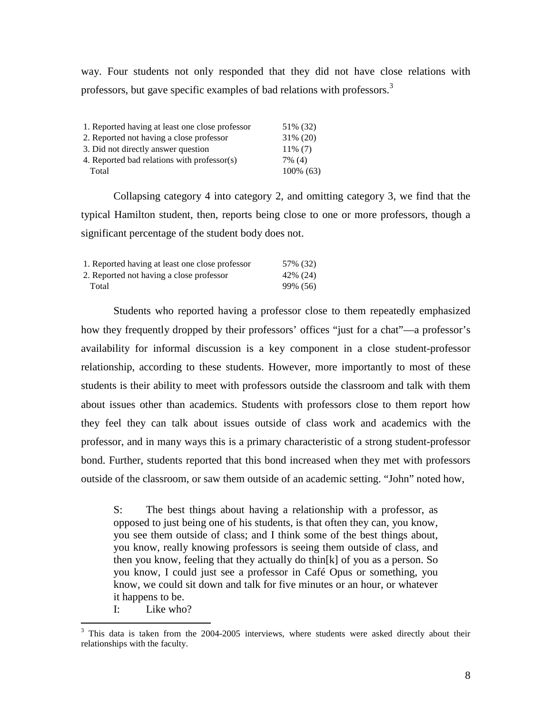way. Four students not only responded that they did not have close relations with professors, but gave specific examples of bad relations with professors.<sup>3</sup>

| 1. Reported having at least one close professor | 51\% (32)   |
|-------------------------------------------------|-------------|
| 2. Reported not having a close professor        | $31\% (20)$ |
| 3. Did not directly answer question             | $11\%$ (7)  |
| 4. Reported bad relations with professor(s)     | 7% (4)      |
| Total                                           | 100% (63)   |

Collapsing category 4 into category 2, and omitting category 3, we find that the typical Hamilton student, then, reports being close to one or more professors, though a significant percentage of the student body does not.

| 1. Reported having at least one close professor | 57% (32)  |
|-------------------------------------------------|-----------|
| 2. Reported not having a close professor        | 42\% (24) |
| Total                                           | 99% (56)  |

Students who reported having a professor close to them repeatedly emphasized how they frequently dropped by their professors' offices "just for a chat"—a professor's availability for informal discussion is a key component in a close student-professor relationship, according to these students. However, more importantly to most of these students is their ability to meet with professors outside the classroom and talk with them about issues other than academics. Students with professors close to them report how they feel they can talk about issues outside of class work and academics with the professor, and in many ways this is a primary characteristic of a strong student-professor bond. Further, students reported that this bond increased when they met with professors outside of the classroom, or saw them outside of an academic setting. "John" noted how,

S: The best things about having a relationship with a professor, as opposed to just being one of his students, is that often they can, you know, you see them outside of class; and I think some of the best things about, you know, really knowing professors is seeing them outside of class, and then you know, feeling that they actually do thin[k] of you as a person. So you know, I could just see a professor in Café Opus or something, you know, we could sit down and talk for five minutes or an hour, or whatever it happens to be.

I: Like who?

<sup>&</sup>lt;sup>3</sup> This data is taken from the 2004-2005 interviews, where students were asked directly about their relationships with the faculty.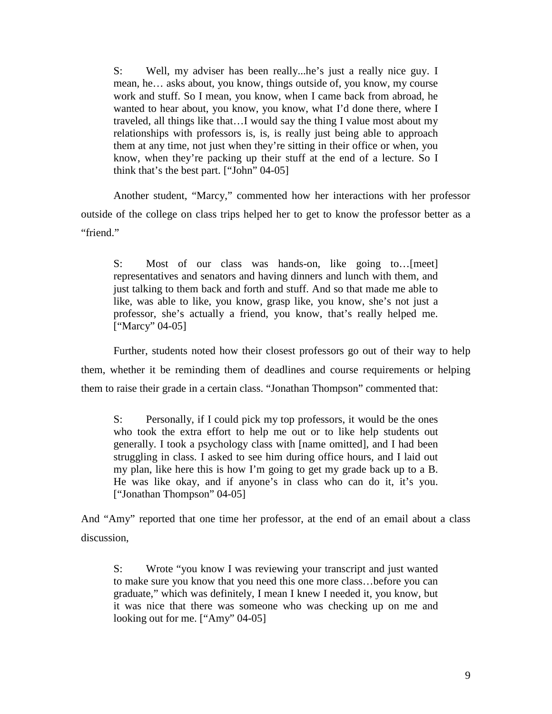S: Well, my adviser has been really...he's just a really nice guy. I mean, he… asks about, you know, things outside of, you know, my course work and stuff. So I mean, you know, when I came back from abroad, he wanted to hear about, you know, you know, what I'd done there, where I traveled, all things like that…I would say the thing I value most about my relationships with professors is, is, is really just being able to approach them at any time, not just when they're sitting in their office or when, you know, when they're packing up their stuff at the end of a lecture. So I think that's the best part. ["John" 04-05]

Another student, "Marcy," commented how her interactions with her professor outside of the college on class trips helped her to get to know the professor better as a "friend."

S: Most of our class was hands-on, like going to…[meet] representatives and senators and having dinners and lunch with them, and just talking to them back and forth and stuff. And so that made me able to like, was able to like, you know, grasp like, you know, she's not just a professor, she's actually a friend, you know, that's really helped me. ["Marcy" 04-05]

 Further, students noted how their closest professors go out of their way to help them, whether it be reminding them of deadlines and course requirements or helping them to raise their grade in a certain class. "Jonathan Thompson" commented that:

S: Personally, if I could pick my top professors, it would be the ones who took the extra effort to help me out or to like help students out generally. I took a psychology class with [name omitted], and I had been struggling in class. I asked to see him during office hours, and I laid out my plan, like here this is how I'm going to get my grade back up to a B. He was like okay, and if anyone's in class who can do it, it's you. ["Jonathan Thompson" 04-05]

And "Amy" reported that one time her professor, at the end of an email about a class discussion,

S: Wrote "you know I was reviewing your transcript and just wanted to make sure you know that you need this one more class…before you can graduate," which was definitely, I mean I knew I needed it, you know, but it was nice that there was someone who was checking up on me and looking out for me. ["Amy" 04-05]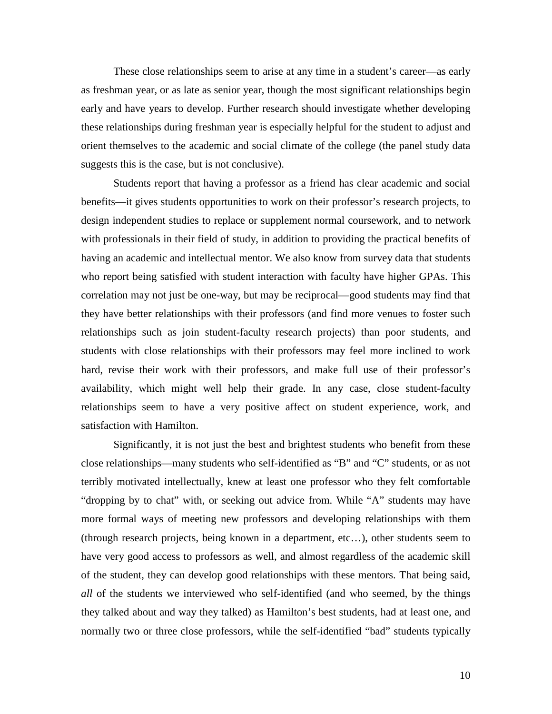These close relationships seem to arise at any time in a student's career—as early as freshman year, or as late as senior year, though the most significant relationships begin early and have years to develop. Further research should investigate whether developing these relationships during freshman year is especially helpful for the student to adjust and orient themselves to the academic and social climate of the college (the panel study data suggests this is the case, but is not conclusive).

 Students report that having a professor as a friend has clear academic and social benefits—it gives students opportunities to work on their professor's research projects, to design independent studies to replace or supplement normal coursework, and to network with professionals in their field of study, in addition to providing the practical benefits of having an academic and intellectual mentor. We also know from survey data that students who report being satisfied with student interaction with faculty have higher GPAs. This correlation may not just be one-way, but may be reciprocal—good students may find that they have better relationships with their professors (and find more venues to foster such relationships such as join student-faculty research projects) than poor students, and students with close relationships with their professors may feel more inclined to work hard, revise their work with their professors, and make full use of their professor's availability, which might well help their grade. In any case, close student-faculty relationships seem to have a very positive affect on student experience, work, and satisfaction with Hamilton.

 Significantly, it is not just the best and brightest students who benefit from these close relationships—many students who self-identified as "B" and "C" students, or as not terribly motivated intellectually, knew at least one professor who they felt comfortable "dropping by to chat" with, or seeking out advice from. While "A" students may have more formal ways of meeting new professors and developing relationships with them (through research projects, being known in a department, etc…), other students seem to have very good access to professors as well, and almost regardless of the academic skill of the student, they can develop good relationships with these mentors. That being said, *all* of the students we interviewed who self-identified (and who seemed, by the things they talked about and way they talked) as Hamilton's best students, had at least one, and normally two or three close professors, while the self-identified "bad" students typically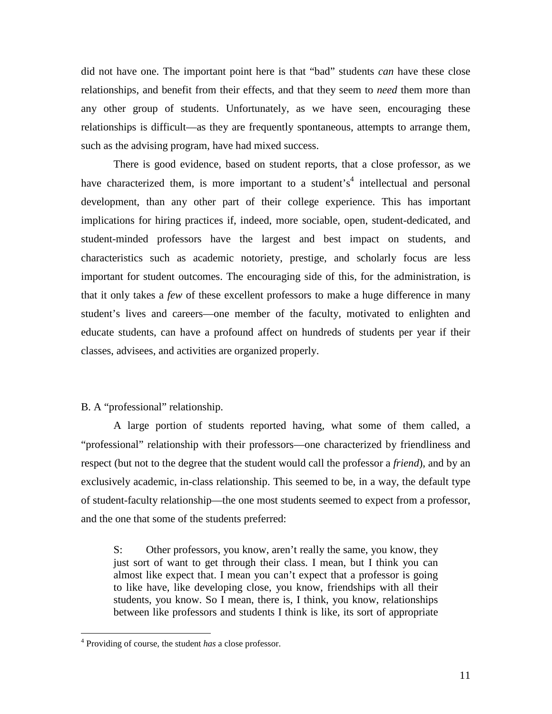did not have one. The important point here is that "bad" students *can* have these close relationships, and benefit from their effects, and that they seem to *need* them more than any other group of students. Unfortunately, as we have seen, encouraging these relationships is difficult—as they are frequently spontaneous, attempts to arrange them, such as the advising program, have had mixed success.

There is good evidence, based on student reports, that a close professor, as we have characterized them, is more important to a student's<sup>4</sup> intellectual and personal development, than any other part of their college experience. This has important implications for hiring practices if, indeed, more sociable, open, student-dedicated, and student-minded professors have the largest and best impact on students, and characteristics such as academic notoriety, prestige, and scholarly focus are less important for student outcomes. The encouraging side of this, for the administration, is that it only takes a *few* of these excellent professors to make a huge difference in many student's lives and careers—one member of the faculty, motivated to enlighten and educate students, can have a profound affect on hundreds of students per year if their classes, advisees, and activities are organized properly.

# B. A "professional" relationship.

 A large portion of students reported having, what some of them called, a "professional" relationship with their professors—one characterized by friendliness and respect (but not to the degree that the student would call the professor a *friend*), and by an exclusively academic, in-class relationship. This seemed to be, in a way, the default type of student-faculty relationship—the one most students seemed to expect from a professor, and the one that some of the students preferred:

S: Other professors, you know, aren't really the same, you know, they just sort of want to get through their class. I mean, but I think you can almost like expect that. I mean you can't expect that a professor is going to like have, like developing close, you know, friendships with all their students, you know. So I mean, there is, I think, you know, relationships between like professors and students I think is like, its sort of appropriate

 $\overline{a}$ 

<sup>4</sup> Providing of course, the student *has* a close professor.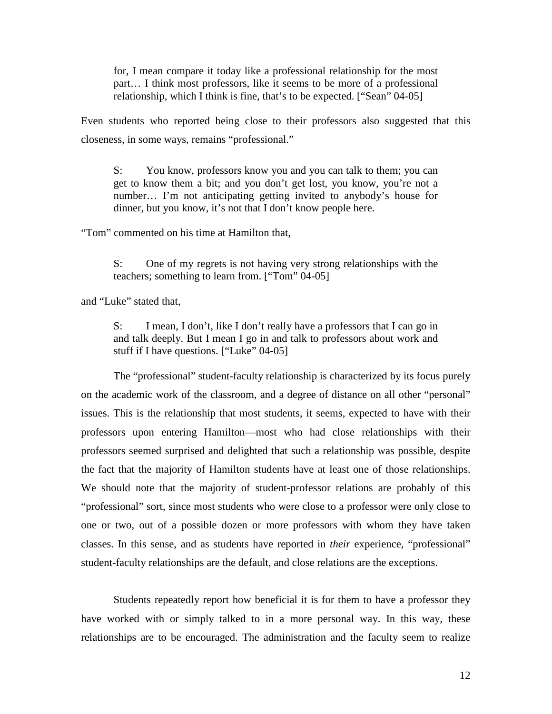for, I mean compare it today like a professional relationship for the most part… I think most professors, like it seems to be more of a professional relationship, which I think is fine, that's to be expected. ["Sean" 04-05]

Even students who reported being close to their professors also suggested that this closeness, in some ways, remains "professional."

S: You know, professors know you and you can talk to them; you can get to know them a bit; and you don't get lost, you know, you're not a number… I'm not anticipating getting invited to anybody's house for dinner, but you know, it's not that I don't know people here.

"Tom" commented on his time at Hamilton that,

S: One of my regrets is not having very strong relationships with the teachers; something to learn from. ["Tom" 04-05]

and "Luke" stated that,

S: I mean, I don't, like I don't really have a professors that I can go in and talk deeply. But I mean I go in and talk to professors about work and stuff if I have questions. ["Luke" 04-05]

The "professional" student-faculty relationship is characterized by its focus purely on the academic work of the classroom, and a degree of distance on all other "personal" issues. This is the relationship that most students, it seems, expected to have with their professors upon entering Hamilton—most who had close relationships with their professors seemed surprised and delighted that such a relationship was possible, despite the fact that the majority of Hamilton students have at least one of those relationships. We should note that the majority of student-professor relations are probably of this "professional" sort, since most students who were close to a professor were only close to one or two, out of a possible dozen or more professors with whom they have taken classes. In this sense, and as students have reported in *their* experience, "professional" student-faculty relationships are the default, and close relations are the exceptions.

Students repeatedly report how beneficial it is for them to have a professor they have worked with or simply talked to in a more personal way. In this way, these relationships are to be encouraged. The administration and the faculty seem to realize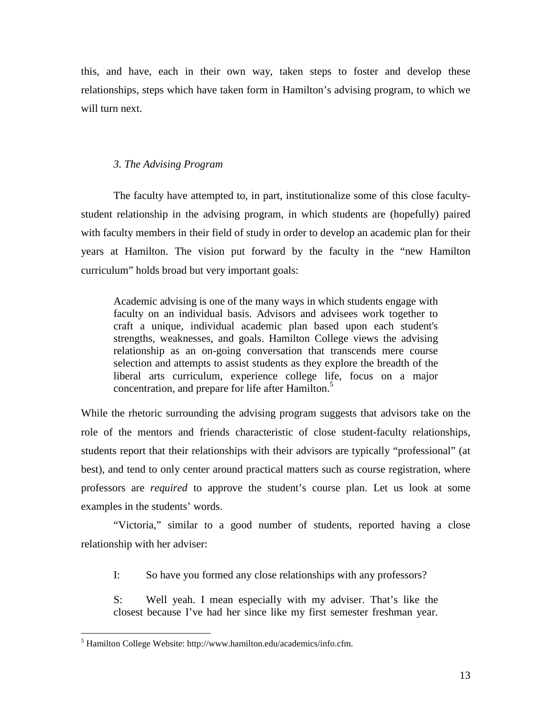this, and have, each in their own way, taken steps to foster and develop these relationships, steps which have taken form in Hamilton's advising program, to which we will turn next.

# *3. The Advising Program*

The faculty have attempted to, in part, institutionalize some of this close facultystudent relationship in the advising program, in which students are (hopefully) paired with faculty members in their field of study in order to develop an academic plan for their years at Hamilton. The vision put forward by the faculty in the "new Hamilton curriculum" holds broad but very important goals:

Academic advising is one of the many ways in which students engage with faculty on an individual basis. Advisors and advisees work together to craft a unique, individual academic plan based upon each student's strengths, weaknesses, and goals. Hamilton College views the advising relationship as an on-going conversation that transcends mere course selection and attempts to assist students as they explore the breadth of the liberal arts curriculum, experience college life, focus on a major concentration, and prepare for life after Hamilton.<sup>5</sup>

While the rhetoric surrounding the advising program suggests that advisors take on the role of the mentors and friends characteristic of close student-faculty relationships, students report that their relationships with their advisors are typically "professional" (at best), and tend to only center around practical matters such as course registration, where professors are *required* to approve the student's course plan. Let us look at some examples in the students' words.

"Victoria," similar to a good number of students, reported having a close relationship with her adviser:

I: So have you formed any close relationships with any professors?

S: Well yeah. I mean especially with my adviser. That's like the closest because I've had her since like my first semester freshman year.

 $\overline{a}$ 

<sup>5</sup> Hamilton College Website: http://www.hamilton.edu/academics/info.cfm.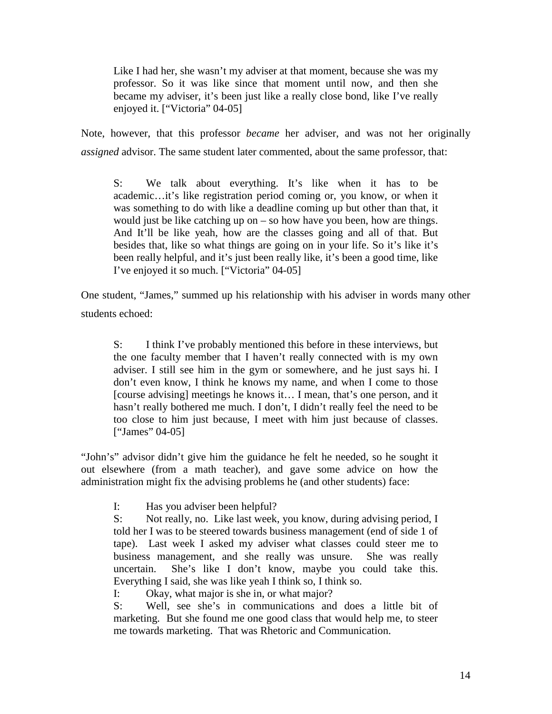Like I had her, she wasn't my adviser at that moment, because she was my professor. So it was like since that moment until now, and then she became my adviser, it's been just like a really close bond, like I've really enjoyed it. ["Victoria" 04-05]

Note, however, that this professor *became* her adviser, and was not her originally *assigned* advisor. The same student later commented, about the same professor, that:

S: We talk about everything. It's like when it has to be academic…it's like registration period coming or, you know, or when it was something to do with like a deadline coming up but other than that, it would just be like catching up on – so how have you been, how are things. And It'll be like yeah, how are the classes going and all of that. But besides that, like so what things are going on in your life. So it's like it's been really helpful, and it's just been really like, it's been a good time, like I've enjoyed it so much. ["Victoria" 04-05]

One student, "James," summed up his relationship with his adviser in words many other students echoed:

S: I think I've probably mentioned this before in these interviews, but the one faculty member that I haven't really connected with is my own adviser. I still see him in the gym or somewhere, and he just says hi. I don't even know, I think he knows my name, and when I come to those [course advising] meetings he knows it… I mean, that's one person, and it hasn't really bothered me much. I don't, I didn't really feel the need to be too close to him just because, I meet with him just because of classes. ["James" 04-05]

"John's" advisor didn't give him the guidance he felt he needed, so he sought it out elsewhere (from a math teacher), and gave some advice on how the administration might fix the advising problems he (and other students) face:

I: Has you adviser been helpful?

S: Not really, no. Like last week, you know, during advising period, I told her I was to be steered towards business management (end of side 1 of tape). Last week I asked my adviser what classes could steer me to business management, and she really was unsure. She was really uncertain. She's like I don't know, maybe you could take this. Everything I said, she was like yeah I think so, I think so.

I: Okay, what major is she in, or what major?

S: Well, see she's in communications and does a little bit of marketing. But she found me one good class that would help me, to steer me towards marketing. That was Rhetoric and Communication.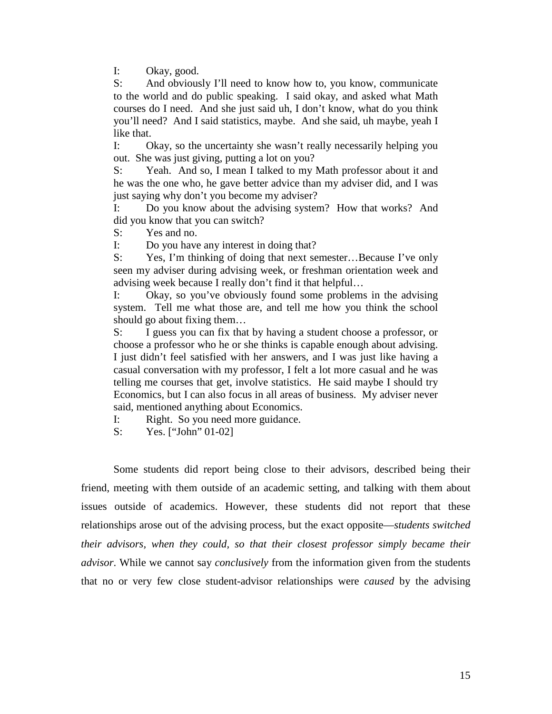I: Okay, good.

S: And obviously I'll need to know how to, you know, communicate to the world and do public speaking. I said okay, and asked what Math courses do I need. And she just said uh, I don't know, what do you think you'll need? And I said statistics, maybe. And she said, uh maybe, yeah I like that.

I: Okay, so the uncertainty she wasn't really necessarily helping you out. She was just giving, putting a lot on you?

S: Yeah. And so, I mean I talked to my Math professor about it and he was the one who, he gave better advice than my adviser did, and I was just saying why don't you become my adviser?

I: Do you know about the advising system? How that works? And did you know that you can switch?

S: Yes and no.

I: Do you have any interest in doing that?

S: Yes, I'm thinking of doing that next semester...Because I've only seen my adviser during advising week, or freshman orientation week and advising week because I really don't find it that helpful…

I: Okay, so you've obviously found some problems in the advising system. Tell me what those are, and tell me how you think the school should go about fixing them…

S: I guess you can fix that by having a student choose a professor, or choose a professor who he or she thinks is capable enough about advising. I just didn't feel satisfied with her answers, and I was just like having a casual conversation with my professor, I felt a lot more casual and he was telling me courses that get, involve statistics. He said maybe I should try Economics, but I can also focus in all areas of business. My adviser never said, mentioned anything about Economics.

I: Right. So you need more guidance.

S: Yes. ["John" 01-02]

 Some students did report being close to their advisors, described being their friend, meeting with them outside of an academic setting, and talking with them about issues outside of academics. However, these students did not report that these relationships arose out of the advising process, but the exact opposite—*students switched their advisors, when they could, so that their closest professor simply became their advisor*. While we cannot say *conclusively* from the information given from the students that no or very few close student-advisor relationships were *caused* by the advising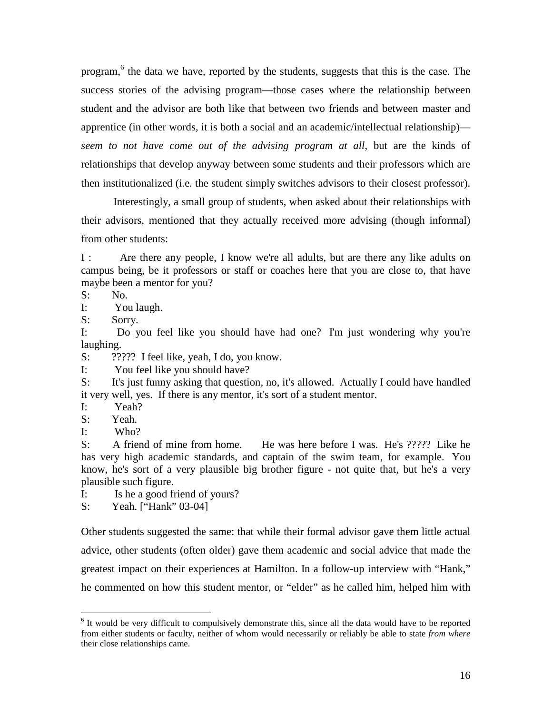program,<sup>6</sup> the data we have, reported by the students, suggests that this is the case. The success stories of the advising program—those cases where the relationship between student and the advisor are both like that between two friends and between master and apprentice (in other words, it is both a social and an academic/intellectual relationship) *seem to not have come out of the advising program at all*, but are the kinds of relationships that develop anyway between some students and their professors which are then institutionalized (i.e. the student simply switches advisors to their closest professor).

 Interestingly, a small group of students, when asked about their relationships with their advisors, mentioned that they actually received more advising (though informal) from other students:

I : Are there any people, I know we're all adults, but are there any like adults on campus being, be it professors or staff or coaches here that you are close to, that have maybe been a mentor for you?

S: No.

I: You laugh.

S: Sorry.

I: Do you feel like you should have had one? I'm just wondering why you're laughing.

S:  $??????$  I feel like, yeah, I do, you know.

I: You feel like you should have?

S: It's just funny asking that question, no, it's allowed. Actually I could have handled it very well, yes. If there is any mentor, it's sort of a student mentor.

I: Yeah?

S: Yeah.

I: Who?

S: A friend of mine from home. He was here before I was. He's ????? Like he has very high academic standards, and captain of the swim team, for example. You know, he's sort of a very plausible big brother figure - not quite that, but he's a very plausible such figure.

I: Is he a good friend of yours?

S: Yeah. ["Hank" 03-04]

Other students suggested the same: that while their formal advisor gave them little actual advice, other students (often older) gave them academic and social advice that made the greatest impact on their experiences at Hamilton. In a follow-up interview with "Hank," he commented on how this student mentor, or "elder" as he called him, helped him with

<sup>&</sup>lt;sup>6</sup> It would be very difficult to compulsively demonstrate this, since all the data would have to be reported from either students or faculty, neither of whom would necessarily or reliably be able to state *from where* their close relationships came.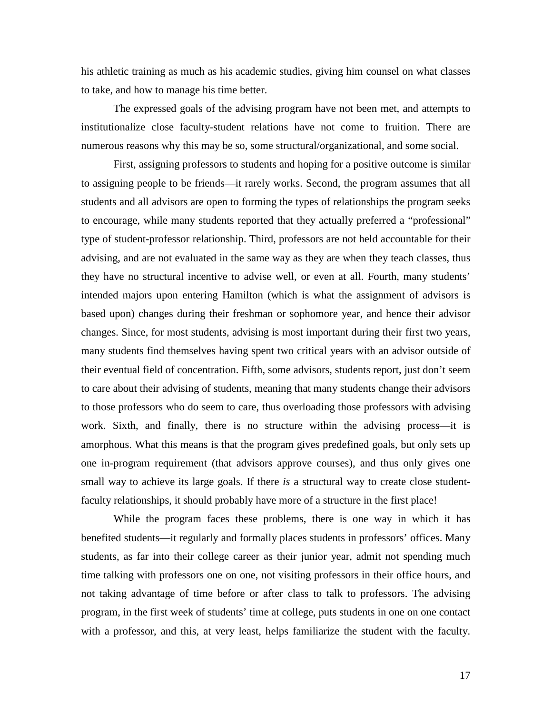his athletic training as much as his academic studies, giving him counsel on what classes to take, and how to manage his time better.

The expressed goals of the advising program have not been met, and attempts to institutionalize close faculty-student relations have not come to fruition. There are numerous reasons why this may be so, some structural/organizational, and some social.

First, assigning professors to students and hoping for a positive outcome is similar to assigning people to be friends—it rarely works. Second, the program assumes that all students and all advisors are open to forming the types of relationships the program seeks to encourage, while many students reported that they actually preferred a "professional" type of student-professor relationship. Third, professors are not held accountable for their advising, and are not evaluated in the same way as they are when they teach classes, thus they have no structural incentive to advise well, or even at all. Fourth, many students' intended majors upon entering Hamilton (which is what the assignment of advisors is based upon) changes during their freshman or sophomore year, and hence their advisor changes. Since, for most students, advising is most important during their first two years, many students find themselves having spent two critical years with an advisor outside of their eventual field of concentration. Fifth, some advisors, students report, just don't seem to care about their advising of students, meaning that many students change their advisors to those professors who do seem to care, thus overloading those professors with advising work. Sixth, and finally, there is no structure within the advising process—it is amorphous. What this means is that the program gives predefined goals, but only sets up one in-program requirement (that advisors approve courses), and thus only gives one small way to achieve its large goals. If there *is* a structural way to create close studentfaculty relationships, it should probably have more of a structure in the first place!

While the program faces these problems, there is one way in which it has benefited students—it regularly and formally places students in professors' offices. Many students, as far into their college career as their junior year, admit not spending much time talking with professors one on one, not visiting professors in their office hours, and not taking advantage of time before or after class to talk to professors. The advising program, in the first week of students' time at college, puts students in one on one contact with a professor, and this, at very least, helps familiarize the student with the faculty.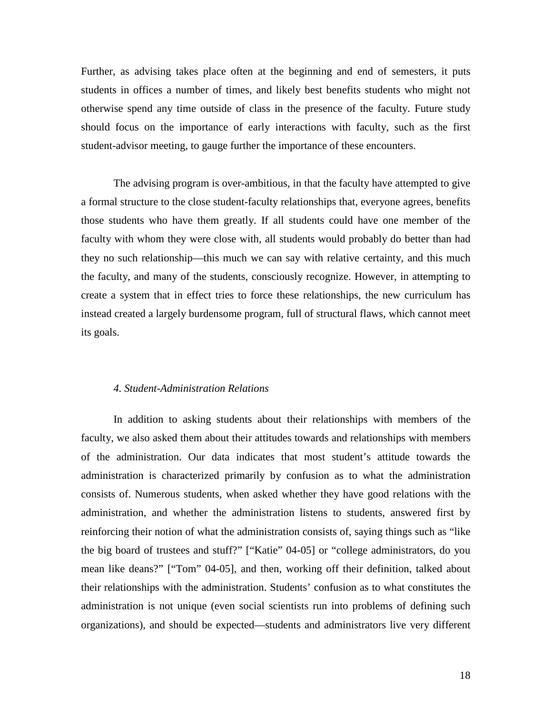Further, as advising takes place often at the beginning and end of semesters, it puts students in offices a number of times, and likely best benefits students who might not otherwise spend any time outside of class in the presence of the faculty. Future study should focus on the importance of early interactions with faculty, such as the first student-advisor meeting, to gauge further the importance of these encounters.

The advising program is over-ambitious, in that the faculty have attempted to give a formal structure to the close student-faculty relationships that, everyone agrees, benefits those students who have them greatly. If all students could have one member of the faculty with whom they were close with, all students would probably do better than had they no such relationship—this much we can say with relative certainty, and this much the faculty, and many of the students, consciously recognize. However, in attempting to create a system that in effect tries to force these relationships, the new curriculum has instead created a largely burdensome program, full of structural flaws, which cannot meet its goals.

## *4. Student-Administration Relations*

In addition to asking students about their relationships with members of the faculty, we also asked them about their attitudes towards and relationships with members of the administration. Our data indicates that most student's attitude towards the administration is characterized primarily by confusion as to what the administration consists of. Numerous students, when asked whether they have good relations with the administration, and whether the administration listens to students, answered first by reinforcing their notion of what the administration consists of, saying things such as "like the big board of trustees and stuff?" ["Katie" 04-05] or "college administrators, do you mean like deans?" ["Tom" 04-05], and then, working off their definition, talked about their relationships with the administration. Students' confusion as to what constitutes the administration is not unique (even social scientists run into problems of defining such organizations), and should be expected—students and administrators live very different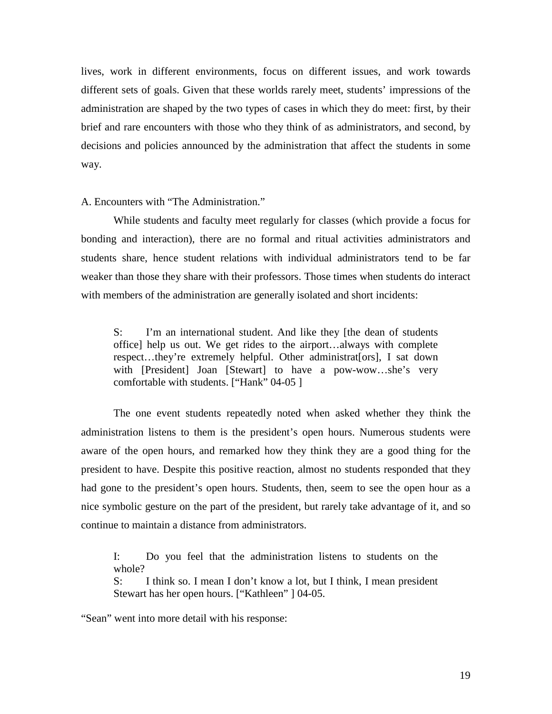lives, work in different environments, focus on different issues, and work towards different sets of goals. Given that these worlds rarely meet, students' impressions of the administration are shaped by the two types of cases in which they do meet: first, by their brief and rare encounters with those who they think of as administrators, and second, by decisions and policies announced by the administration that affect the students in some way.

A. Encounters with "The Administration."

 While students and faculty meet regularly for classes (which provide a focus for bonding and interaction), there are no formal and ritual activities administrators and students share, hence student relations with individual administrators tend to be far weaker than those they share with their professors. Those times when students do interact with members of the administration are generally isolated and short incidents:

S: I'm an international student. And like they [the dean of students office] help us out. We get rides to the airport…always with complete respect…they're extremely helpful. Other administrat[ors], I sat down with [President] Joan [Stewart] to have a pow-wow…she's very comfortable with students. ["Hank" 04-05 ]

 The one event students repeatedly noted when asked whether they think the administration listens to them is the president's open hours. Numerous students were aware of the open hours, and remarked how they think they are a good thing for the president to have. Despite this positive reaction, almost no students responded that they had gone to the president's open hours. Students, then, seem to see the open hour as a nice symbolic gesture on the part of the president, but rarely take advantage of it, and so continue to maintain a distance from administrators.

I: Do you feel that the administration listens to students on the whole?

S: I think so. I mean I don't know a lot, but I think, I mean president Stewart has her open hours. ["Kathleen" ] 04-05.

"Sean" went into more detail with his response: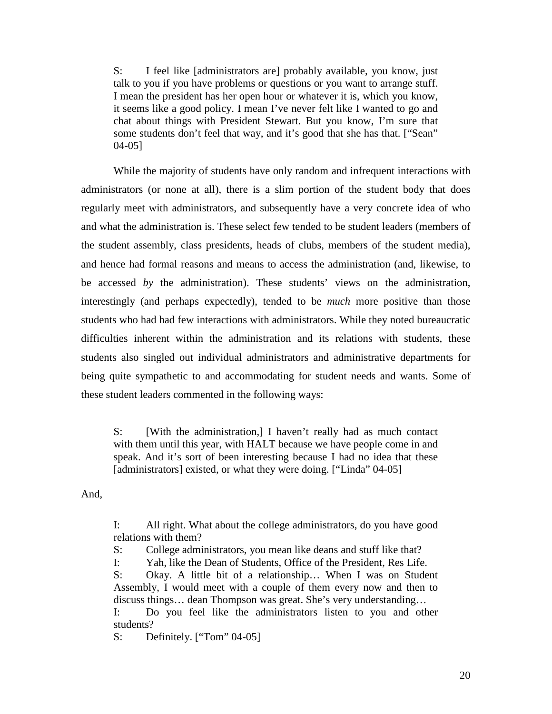S: I feel like [administrators are] probably available, you know, just talk to you if you have problems or questions or you want to arrange stuff. I mean the president has her open hour or whatever it is, which you know, it seems like a good policy. I mean I've never felt like I wanted to go and chat about things with President Stewart. But you know, I'm sure that some students don't feel that way, and it's good that she has that. ["Sean" 04-05]

While the majority of students have only random and infrequent interactions with administrators (or none at all), there is a slim portion of the student body that does regularly meet with administrators, and subsequently have a very concrete idea of who and what the administration is. These select few tended to be student leaders (members of the student assembly, class presidents, heads of clubs, members of the student media), and hence had formal reasons and means to access the administration (and, likewise, to be accessed *by* the administration). These students' views on the administration, interestingly (and perhaps expectedly), tended to be *much* more positive than those students who had had few interactions with administrators. While they noted bureaucratic difficulties inherent within the administration and its relations with students, these students also singled out individual administrators and administrative departments for being quite sympathetic to and accommodating for student needs and wants. Some of these student leaders commented in the following ways:

S: [With the administration,] I haven't really had as much contact with them until this year, with HALT because we have people come in and speak. And it's sort of been interesting because I had no idea that these [administrators] existed, or what they were doing. ["Linda" 04-05]

And,

I: All right. What about the college administrators, do you have good relations with them?

S: College administrators, you mean like deans and stuff like that?

I: Yah, like the Dean of Students, Office of the President, Res Life.

S: Okay. A little bit of a relationship… When I was on Student Assembly, I would meet with a couple of them every now and then to discuss things… dean Thompson was great. She's very understanding… I: Do you feel like the administrators listen to you and other

students?

S: Definitely. ["Tom" 04-05]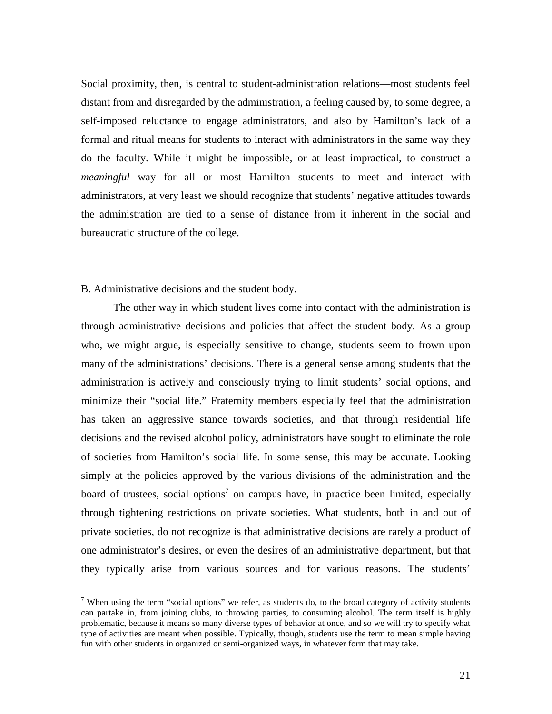Social proximity, then, is central to student-administration relations—most students feel distant from and disregarded by the administration, a feeling caused by, to some degree, a self-imposed reluctance to engage administrators, and also by Hamilton's lack of a formal and ritual means for students to interact with administrators in the same way they do the faculty. While it might be impossible, or at least impractical, to construct a *meaningful* way for all or most Hamilton students to meet and interact with administrators, at very least we should recognize that students' negative attitudes towards the administration are tied to a sense of distance from it inherent in the social and bureaucratic structure of the college.

# B. Administrative decisions and the student body.

 The other way in which student lives come into contact with the administration is through administrative decisions and policies that affect the student body. As a group who, we might argue, is especially sensitive to change, students seem to frown upon many of the administrations' decisions. There is a general sense among students that the administration is actively and consciously trying to limit students' social options, and minimize their "social life." Fraternity members especially feel that the administration has taken an aggressive stance towards societies, and that through residential life decisions and the revised alcohol policy, administrators have sought to eliminate the role of societies from Hamilton's social life. In some sense, this may be accurate. Looking simply at the policies approved by the various divisions of the administration and the board of trustees, social options<sup>7</sup> on campus have, in practice been limited, especially through tightening restrictions on private societies. What students, both in and out of private societies, do not recognize is that administrative decisions are rarely a product of one administrator's desires, or even the desires of an administrative department, but that they typically arise from various sources and for various reasons. The students'

<sup>&</sup>lt;sup>7</sup> When using the term "social options" we refer, as students do, to the broad category of activity students can partake in, from joining clubs, to throwing parties, to consuming alcohol. The term itself is highly problematic, because it means so many diverse types of behavior at once, and so we will try to specify what type of activities are meant when possible. Typically, though, students use the term to mean simple having fun with other students in organized or semi-organized ways, in whatever form that may take.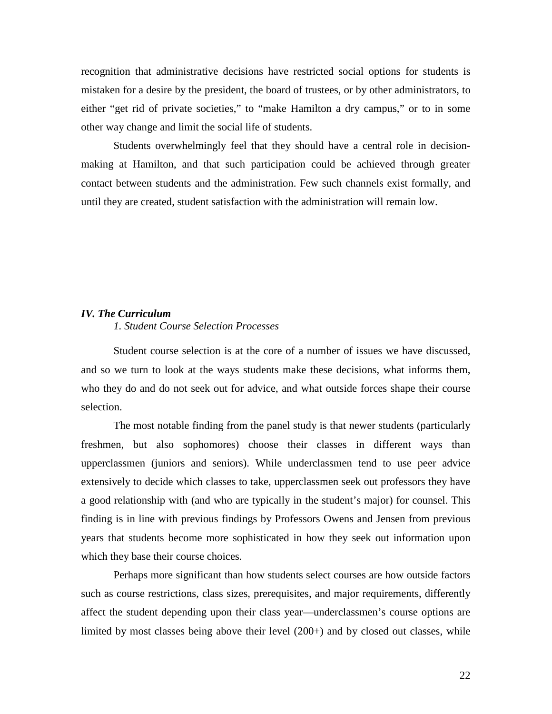recognition that administrative decisions have restricted social options for students is mistaken for a desire by the president, the board of trustees, or by other administrators, to either "get rid of private societies," to "make Hamilton a dry campus," or to in some other way change and limit the social life of students.

Students overwhelmingly feel that they should have a central role in decisionmaking at Hamilton, and that such participation could be achieved through greater contact between students and the administration. Few such channels exist formally, and until they are created, student satisfaction with the administration will remain low.

# *IV. The Curriculum*

# *1. Student Course Selection Processes*

Student course selection is at the core of a number of issues we have discussed, and so we turn to look at the ways students make these decisions, what informs them, who they do and do not seek out for advice, and what outside forces shape their course selection.

 The most notable finding from the panel study is that newer students (particularly freshmen, but also sophomores) choose their classes in different ways than upperclassmen (juniors and seniors). While underclassmen tend to use peer advice extensively to decide which classes to take, upperclassmen seek out professors they have a good relationship with (and who are typically in the student's major) for counsel. This finding is in line with previous findings by Professors Owens and Jensen from previous years that students become more sophisticated in how they seek out information upon which they base their course choices.

Perhaps more significant than how students select courses are how outside factors such as course restrictions, class sizes, prerequisites, and major requirements, differently affect the student depending upon their class year—underclassmen's course options are limited by most classes being above their level (200+) and by closed out classes, while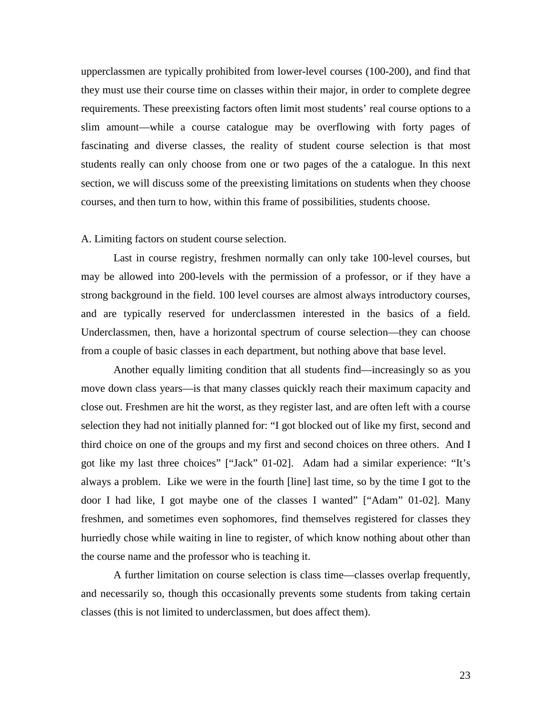upperclassmen are typically prohibited from lower-level courses (100-200), and find that they must use their course time on classes within their major, in order to complete degree requirements. These preexisting factors often limit most students' real course options to a slim amount—while a course catalogue may be overflowing with forty pages of fascinating and diverse classes, the reality of student course selection is that most students really can only choose from one or two pages of the a catalogue. In this next section, we will discuss some of the preexisting limitations on students when they choose courses, and then turn to how, within this frame of possibilities, students choose.

#### A. Limiting factors on student course selection.

Last in course registry, freshmen normally can only take 100-level courses, but may be allowed into 200-levels with the permission of a professor, or if they have a strong background in the field. 100 level courses are almost always introductory courses, and are typically reserved for underclassmen interested in the basics of a field. Underclassmen, then, have a horizontal spectrum of course selection—they can choose from a couple of basic classes in each department, but nothing above that base level.

 Another equally limiting condition that all students find—increasingly so as you move down class years—is that many classes quickly reach their maximum capacity and close out. Freshmen are hit the worst, as they register last, and are often left with a course selection they had not initially planned for: "I got blocked out of like my first, second and third choice on one of the groups and my first and second choices on three others. And I got like my last three choices" ["Jack" 01-02]. Adam had a similar experience: "It's always a problem. Like we were in the fourth [line] last time, so by the time I got to the door I had like, I got maybe one of the classes I wanted" ["Adam" 01-02]. Many freshmen, and sometimes even sophomores, find themselves registered for classes they hurriedly chose while waiting in line to register, of which know nothing about other than the course name and the professor who is teaching it.

 A further limitation on course selection is class time—classes overlap frequently, and necessarily so, though this occasionally prevents some students from taking certain classes (this is not limited to underclassmen, but does affect them).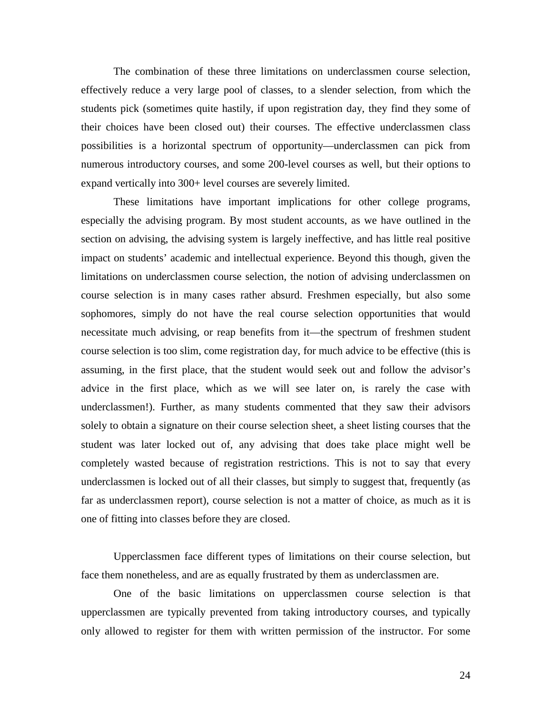The combination of these three limitations on underclassmen course selection, effectively reduce a very large pool of classes, to a slender selection, from which the students pick (sometimes quite hastily, if upon registration day, they find they some of their choices have been closed out) their courses. The effective underclassmen class possibilities is a horizontal spectrum of opportunity—underclassmen can pick from numerous introductory courses, and some 200-level courses as well, but their options to expand vertically into 300+ level courses are severely limited.

 These limitations have important implications for other college programs, especially the advising program. By most student accounts, as we have outlined in the section on advising, the advising system is largely ineffective, and has little real positive impact on students' academic and intellectual experience. Beyond this though, given the limitations on underclassmen course selection, the notion of advising underclassmen on course selection is in many cases rather absurd. Freshmen especially, but also some sophomores, simply do not have the real course selection opportunities that would necessitate much advising, or reap benefits from it—the spectrum of freshmen student course selection is too slim, come registration day, for much advice to be effective (this is assuming, in the first place, that the student would seek out and follow the advisor's advice in the first place, which as we will see later on, is rarely the case with underclassmen!). Further, as many students commented that they saw their advisors solely to obtain a signature on their course selection sheet, a sheet listing courses that the student was later locked out of, any advising that does take place might well be completely wasted because of registration restrictions. This is not to say that every underclassmen is locked out of all their classes, but simply to suggest that, frequently (as far as underclassmen report), course selection is not a matter of choice, as much as it is one of fitting into classes before they are closed.

Upperclassmen face different types of limitations on their course selection, but face them nonetheless, and are as equally frustrated by them as underclassmen are.

 One of the basic limitations on upperclassmen course selection is that upperclassmen are typically prevented from taking introductory courses, and typically only allowed to register for them with written permission of the instructor. For some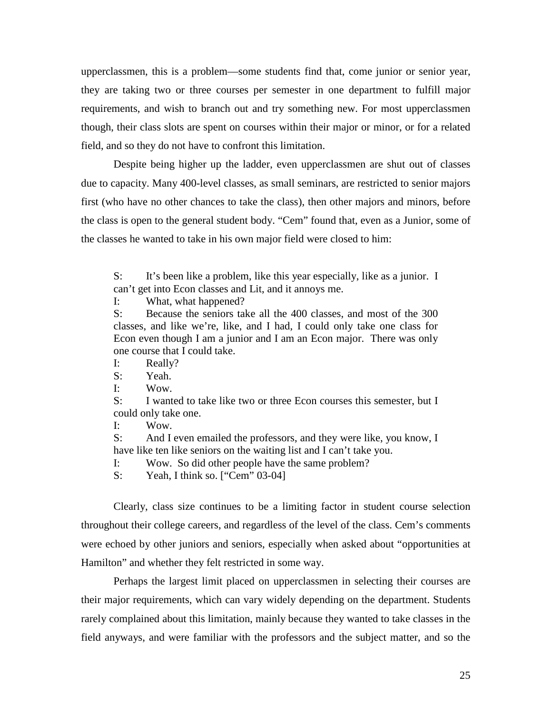upperclassmen, this is a problem—some students find that, come junior or senior year, they are taking two or three courses per semester in one department to fulfill major requirements, and wish to branch out and try something new. For most upperclassmen though, their class slots are spent on courses within their major or minor, or for a related field, and so they do not have to confront this limitation.

 Despite being higher up the ladder, even upperclassmen are shut out of classes due to capacity. Many 400-level classes, as small seminars, are restricted to senior majors first (who have no other chances to take the class), then other majors and minors, before the class is open to the general student body. "Cem" found that, even as a Junior, some of the classes he wanted to take in his own major field were closed to him:

S: It's been like a problem, like this year especially, like as a junior. I can't get into Econ classes and Lit, and it annoys me.

I: What, what happened?

S: Because the seniors take all the 400 classes, and most of the 300 classes, and like we're, like, and I had, I could only take one class for Econ even though I am a junior and I am an Econ major. There was only one course that I could take.

I: Really?

S: Yeah.

I: Wow.

S: I wanted to take like two or three Econ courses this semester, but I could only take one.

I: Wow.

S: And I even emailed the professors, and they were like, you know, I have like ten like seniors on the waiting list and I can't take you.

I: Wow. So did other people have the same problem?

S: Yeah, I think so. ["Cem" 03-04]

 Clearly, class size continues to be a limiting factor in student course selection throughout their college careers, and regardless of the level of the class. Cem's comments were echoed by other juniors and seniors, especially when asked about "opportunities at Hamilton" and whether they felt restricted in some way.

 Perhaps the largest limit placed on upperclassmen in selecting their courses are their major requirements, which can vary widely depending on the department. Students rarely complained about this limitation, mainly because they wanted to take classes in the field anyways, and were familiar with the professors and the subject matter, and so the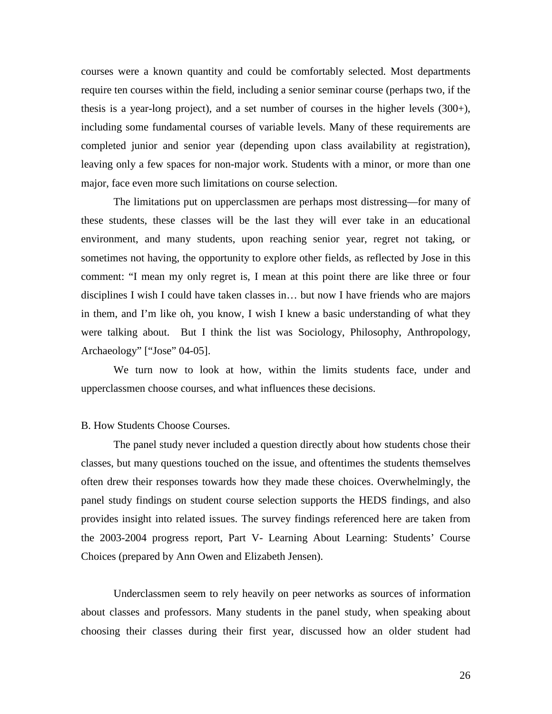courses were a known quantity and could be comfortably selected. Most departments require ten courses within the field, including a senior seminar course (perhaps two, if the thesis is a year-long project), and a set number of courses in the higher levels (300+), including some fundamental courses of variable levels. Many of these requirements are completed junior and senior year (depending upon class availability at registration), leaving only a few spaces for non-major work. Students with a minor, or more than one major, face even more such limitations on course selection.

The limitations put on upperclassmen are perhaps most distressing—for many of these students, these classes will be the last they will ever take in an educational environment, and many students, upon reaching senior year, regret not taking, or sometimes not having, the opportunity to explore other fields, as reflected by Jose in this comment: "I mean my only regret is, I mean at this point there are like three or four disciplines I wish I could have taken classes in… but now I have friends who are majors in them, and I'm like oh, you know, I wish I knew a basic understanding of what they were talking about. But I think the list was Sociology, Philosophy, Anthropology, Archaeology" ["Jose" 04-05].

 We turn now to look at how, within the limits students face, under and upperclassmen choose courses, and what influences these decisions.

#### B. How Students Choose Courses.

 The panel study never included a question directly about how students chose their classes, but many questions touched on the issue, and oftentimes the students themselves often drew their responses towards how they made these choices. Overwhelmingly, the panel study findings on student course selection supports the HEDS findings, and also provides insight into related issues. The survey findings referenced here are taken from the 2003-2004 progress report, Part V- Learning About Learning: Students' Course Choices (prepared by Ann Owen and Elizabeth Jensen).

Underclassmen seem to rely heavily on peer networks as sources of information about classes and professors. Many students in the panel study, when speaking about choosing their classes during their first year, discussed how an older student had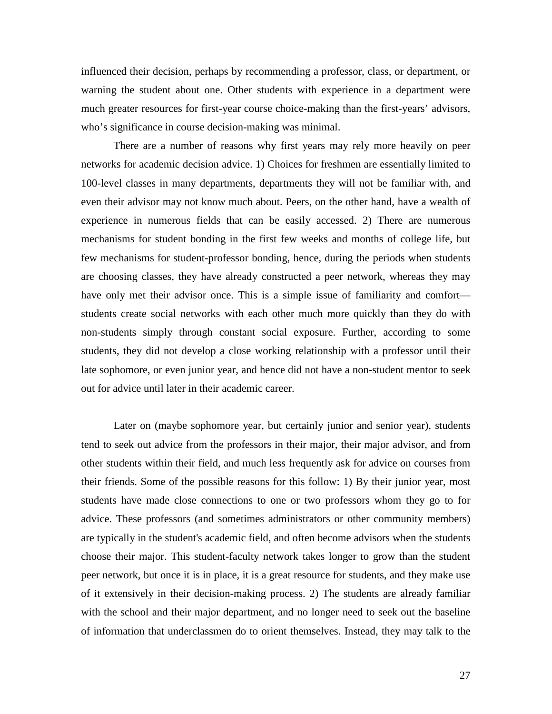influenced their decision, perhaps by recommending a professor, class, or department, or warning the student about one. Other students with experience in a department were much greater resources for first-year course choice-making than the first-years' advisors, who's significance in course decision-making was minimal.

There are a number of reasons why first years may rely more heavily on peer networks for academic decision advice. 1) Choices for freshmen are essentially limited to 100-level classes in many departments, departments they will not be familiar with, and even their advisor may not know much about. Peers, on the other hand, have a wealth of experience in numerous fields that can be easily accessed. 2) There are numerous mechanisms for student bonding in the first few weeks and months of college life, but few mechanisms for student-professor bonding, hence, during the periods when students are choosing classes, they have already constructed a peer network, whereas they may have only met their advisor once. This is a simple issue of familiarity and comfort students create social networks with each other much more quickly than they do with non-students simply through constant social exposure. Further, according to some students, they did not develop a close working relationship with a professor until their late sophomore, or even junior year, and hence did not have a non-student mentor to seek out for advice until later in their academic career.

Later on (maybe sophomore year, but certainly junior and senior year), students tend to seek out advice from the professors in their major, their major advisor, and from other students within their field, and much less frequently ask for advice on courses from their friends. Some of the possible reasons for this follow: 1) By their junior year, most students have made close connections to one or two professors whom they go to for advice. These professors (and sometimes administrators or other community members) are typically in the student's academic field, and often become advisors when the students choose their major. This student-faculty network takes longer to grow than the student peer network, but once it is in place, it is a great resource for students, and they make use of it extensively in their decision-making process. 2) The students are already familiar with the school and their major department, and no longer need to seek out the baseline of information that underclassmen do to orient themselves. Instead, they may talk to the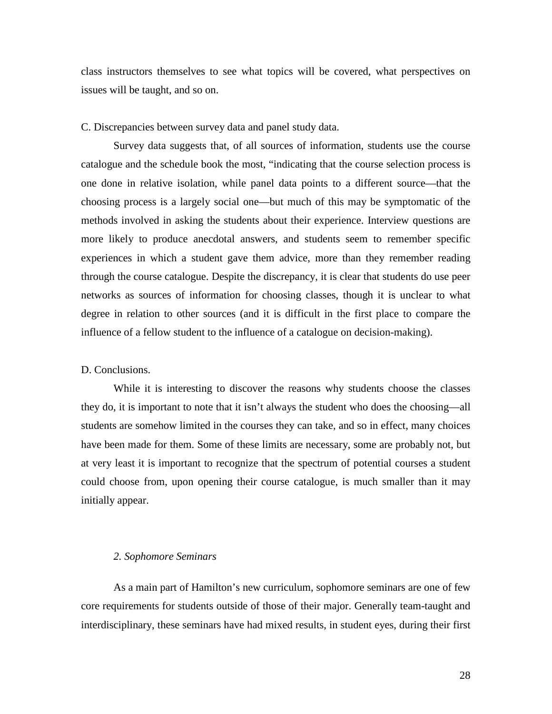class instructors themselves to see what topics will be covered, what perspectives on issues will be taught, and so on.

C. Discrepancies between survey data and panel study data.

 Survey data suggests that, of all sources of information, students use the course catalogue and the schedule book the most, "indicating that the course selection process is one done in relative isolation, while panel data points to a different source—that the choosing process is a largely social one—but much of this may be symptomatic of the methods involved in asking the students about their experience. Interview questions are more likely to produce anecdotal answers, and students seem to remember specific experiences in which a student gave them advice, more than they remember reading through the course catalogue. Despite the discrepancy, it is clear that students do use peer networks as sources of information for choosing classes, though it is unclear to what degree in relation to other sources (and it is difficult in the first place to compare the influence of a fellow student to the influence of a catalogue on decision-making).

#### D. Conclusions.

 While it is interesting to discover the reasons why students choose the classes they do, it is important to note that it isn't always the student who does the choosing—all students are somehow limited in the courses they can take, and so in effect, many choices have been made for them. Some of these limits are necessary, some are probably not, but at very least it is important to recognize that the spectrum of potential courses a student could choose from, upon opening their course catalogue, is much smaller than it may initially appear.

#### *2. Sophomore Seminars*

 As a main part of Hamilton's new curriculum, sophomore seminars are one of few core requirements for students outside of those of their major. Generally team-taught and interdisciplinary, these seminars have had mixed results, in student eyes, during their first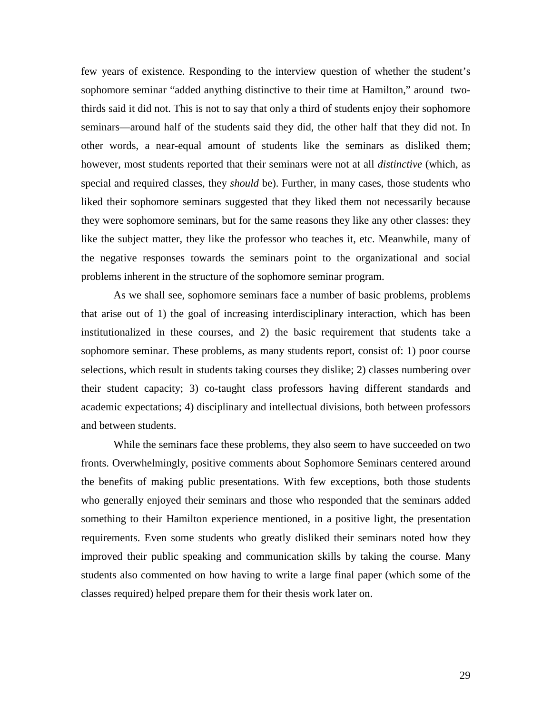few years of existence. Responding to the interview question of whether the student's sophomore seminar "added anything distinctive to their time at Hamilton," around twothirds said it did not. This is not to say that only a third of students enjoy their sophomore seminars—around half of the students said they did, the other half that they did not. In other words, a near-equal amount of students like the seminars as disliked them; however, most students reported that their seminars were not at all *distinctive* (which, as special and required classes, they *should* be). Further, in many cases, those students who liked their sophomore seminars suggested that they liked them not necessarily because they were sophomore seminars, but for the same reasons they like any other classes: they like the subject matter, they like the professor who teaches it, etc. Meanwhile, many of the negative responses towards the seminars point to the organizational and social problems inherent in the structure of the sophomore seminar program.

As we shall see, sophomore seminars face a number of basic problems, problems that arise out of 1) the goal of increasing interdisciplinary interaction, which has been institutionalized in these courses, and 2) the basic requirement that students take a sophomore seminar. These problems, as many students report, consist of: 1) poor course selections, which result in students taking courses they dislike; 2) classes numbering over their student capacity; 3) co-taught class professors having different standards and academic expectations; 4) disciplinary and intellectual divisions, both between professors and between students.

While the seminars face these problems, they also seem to have succeeded on two fronts. Overwhelmingly, positive comments about Sophomore Seminars centered around the benefits of making public presentations. With few exceptions, both those students who generally enjoyed their seminars and those who responded that the seminars added something to their Hamilton experience mentioned, in a positive light, the presentation requirements. Even some students who greatly disliked their seminars noted how they improved their public speaking and communication skills by taking the course. Many students also commented on how having to write a large final paper (which some of the classes required) helped prepare them for their thesis work later on.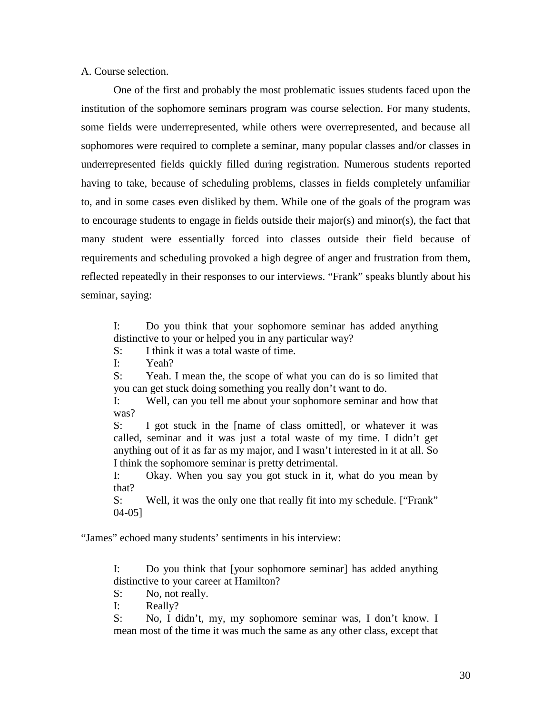A. Course selection.

 One of the first and probably the most problematic issues students faced upon the institution of the sophomore seminars program was course selection. For many students, some fields were underrepresented, while others were overrepresented, and because all sophomores were required to complete a seminar, many popular classes and/or classes in underrepresented fields quickly filled during registration. Numerous students reported having to take, because of scheduling problems, classes in fields completely unfamiliar to, and in some cases even disliked by them. While one of the goals of the program was to encourage students to engage in fields outside their major(s) and minor(s), the fact that many student were essentially forced into classes outside their field because of requirements and scheduling provoked a high degree of anger and frustration from them, reflected repeatedly in their responses to our interviews. "Frank" speaks bluntly about his seminar, saying:

I: Do you think that your sophomore seminar has added anything distinctive to your or helped you in any particular way?

S: I think it was a total waste of time.

I: Yeah?

S: Yeah. I mean the, the scope of what you can do is so limited that you can get stuck doing something you really don't want to do.

I: Well, can you tell me about your sophomore seminar and how that was?

S: I got stuck in the [name of class omitted], or whatever it was called, seminar and it was just a total waste of my time. I didn't get anything out of it as far as my major, and I wasn't interested in it at all. So I think the sophomore seminar is pretty detrimental.

I: Okay. When you say you got stuck in it, what do you mean by that?

S: Well, it was the only one that really fit into my schedule. ["Frank" 04-05]

"James" echoed many students' sentiments in his interview:

I: Do you think that [your sophomore seminar] has added anything distinctive to your career at Hamilton?

S: No, not really.

I: Really?

S: No, I didn't, my, my sophomore seminar was, I don't know. I mean most of the time it was much the same as any other class, except that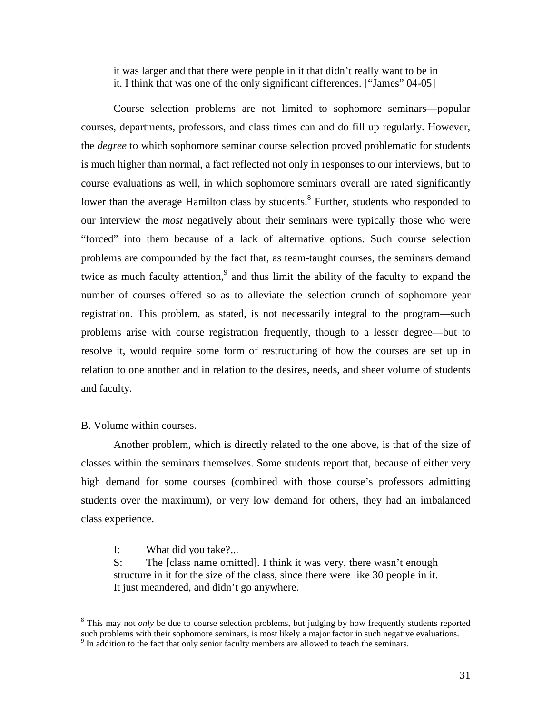it was larger and that there were people in it that didn't really want to be in it. I think that was one of the only significant differences. ["James" 04-05]

 Course selection problems are not limited to sophomore seminars—popular courses, departments, professors, and class times can and do fill up regularly. However, the *degree* to which sophomore seminar course selection proved problematic for students is much higher than normal, a fact reflected not only in responses to our interviews, but to course evaluations as well, in which sophomore seminars overall are rated significantly lower than the average Hamilton class by students.<sup>8</sup> Further, students who responded to our interview the *most* negatively about their seminars were typically those who were "forced" into them because of a lack of alternative options. Such course selection problems are compounded by the fact that, as team-taught courses, the seminars demand twice as much faculty attention,<sup>9</sup> and thus limit the ability of the faculty to expand the number of courses offered so as to alleviate the selection crunch of sophomore year registration. This problem, as stated, is not necessarily integral to the program—such problems arise with course registration frequently, though to a lesser degree—but to resolve it, would require some form of restructuring of how the courses are set up in relation to one another and in relation to the desires, needs, and sheer volume of students and faculty.

# B. Volume within courses.

<u>.</u>

 Another problem, which is directly related to the one above, is that of the size of classes within the seminars themselves. Some students report that, because of either very high demand for some courses (combined with those course's professors admitting students over the maximum), or very low demand for others, they had an imbalanced class experience.

I: What did you take?...

S: The [class name omitted]. I think it was very, there wasn't enough structure in it for the size of the class, since there were like 30 people in it. It just meandered, and didn't go anywhere.

<sup>&</sup>lt;sup>8</sup> This may not *only* be due to course selection problems, but judging by how frequently students reported such problems with their sophomore seminars, is most likely a major factor in such negative evaluations.

<sup>&</sup>lt;sup>9</sup> In addition to the fact that only senior faculty members are allowed to teach the seminars.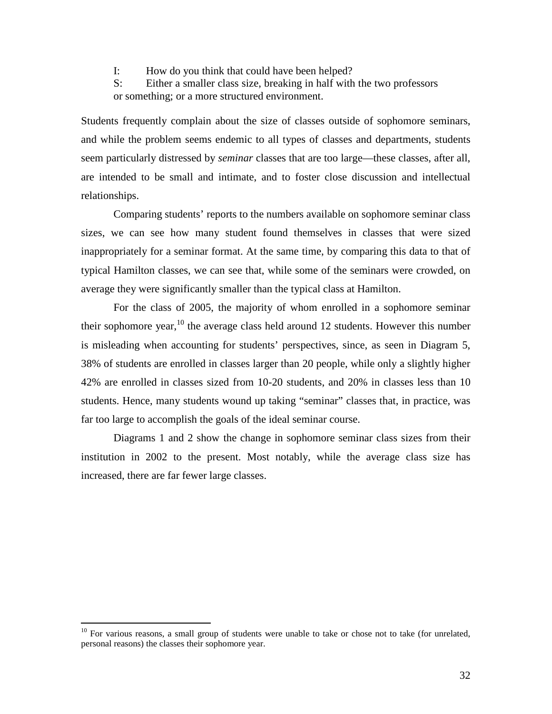I: How do you think that could have been helped?

S: Either a smaller class size, breaking in half with the two professors or something; or a more structured environment.

Students frequently complain about the size of classes outside of sophomore seminars, and while the problem seems endemic to all types of classes and departments, students seem particularly distressed by *seminar* classes that are too large—these classes, after all, are intended to be small and intimate, and to foster close discussion and intellectual relationships.

 Comparing students' reports to the numbers available on sophomore seminar class sizes, we can see how many student found themselves in classes that were sized inappropriately for a seminar format. At the same time, by comparing this data to that of typical Hamilton classes, we can see that, while some of the seminars were crowded, on average they were significantly smaller than the typical class at Hamilton.

 For the class of 2005, the majority of whom enrolled in a sophomore seminar their sophomore year,  $10$  the average class held around 12 students. However this number is misleading when accounting for students' perspectives, since, as seen in Diagram 5, 38% of students are enrolled in classes larger than 20 people, while only a slightly higher 42% are enrolled in classes sized from 10-20 students, and 20% in classes less than 10 students. Hence, many students wound up taking "seminar" classes that, in practice, was far too large to accomplish the goals of the ideal seminar course.

 Diagrams 1 and 2 show the change in sophomore seminar class sizes from their institution in 2002 to the present. Most notably, while the average class size has increased, there are far fewer large classes.

<u>.</u>

 $10$  For various reasons, a small group of students were unable to take or chose not to take (for unrelated, personal reasons) the classes their sophomore year.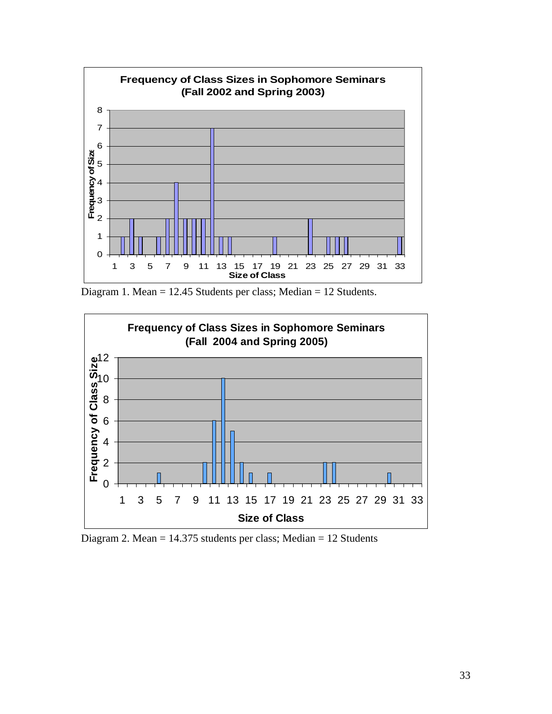

Diagram 1. Mean = 12.45 Students per class; Median = 12 Students.



Diagram 2. Mean = 14.375 students per class; Median = 12 Students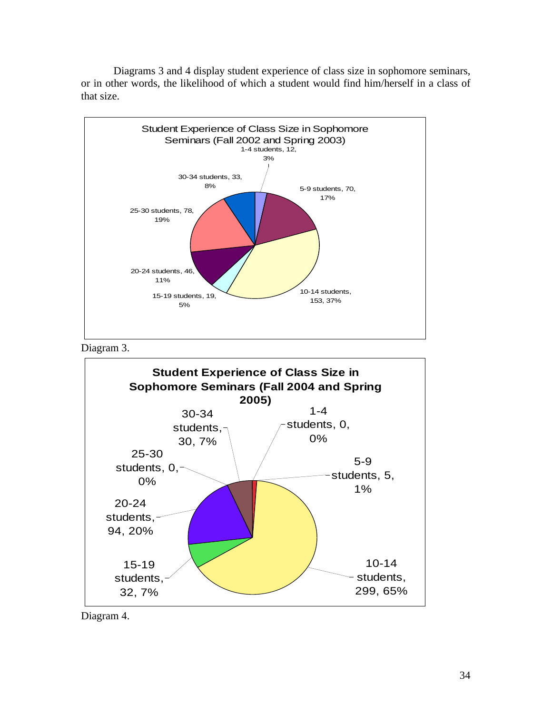



Diagram 3.



Diagram 4.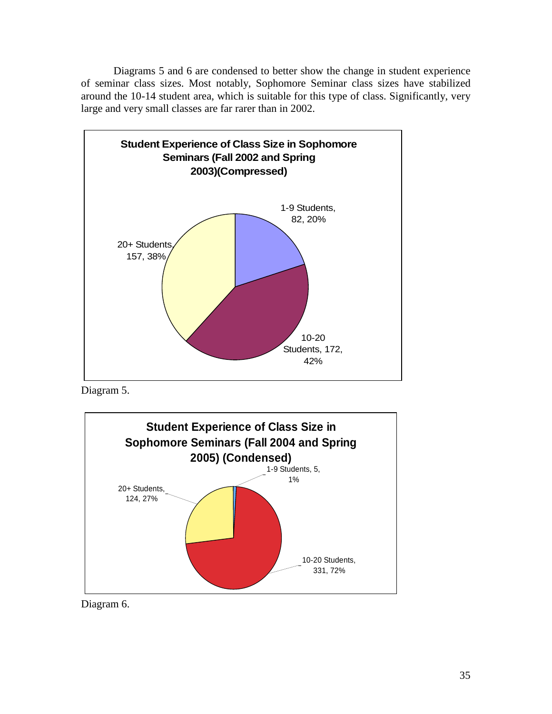Diagrams 5 and 6 are condensed to better show the change in student experience of seminar class sizes. Most notably, Sophomore Seminar class sizes have stabilized around the 10-14 student area, which is suitable for this type of class. Significantly, very large and very small classes are far rarer than in 2002.



Diagram 5.



Diagram 6.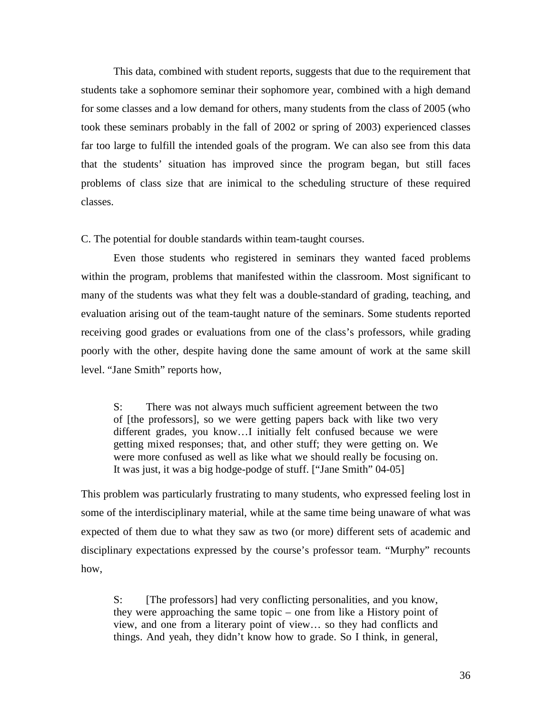This data, combined with student reports, suggests that due to the requirement that students take a sophomore seminar their sophomore year, combined with a high demand for some classes and a low demand for others, many students from the class of 2005 (who took these seminars probably in the fall of 2002 or spring of 2003) experienced classes far too large to fulfill the intended goals of the program. We can also see from this data that the students' situation has improved since the program began, but still faces problems of class size that are inimical to the scheduling structure of these required classes.

C. The potential for double standards within team-taught courses.

 Even those students who registered in seminars they wanted faced problems within the program, problems that manifested within the classroom. Most significant to many of the students was what they felt was a double-standard of grading, teaching, and evaluation arising out of the team-taught nature of the seminars. Some students reported receiving good grades or evaluations from one of the class's professors, while grading poorly with the other, despite having done the same amount of work at the same skill level. "Jane Smith" reports how,

S: There was not always much sufficient agreement between the two of [the professors], so we were getting papers back with like two very different grades, you know…I initially felt confused because we were getting mixed responses; that, and other stuff; they were getting on. We were more confused as well as like what we should really be focusing on. It was just, it was a big hodge-podge of stuff. ["Jane Smith" 04-05]

This problem was particularly frustrating to many students, who expressed feeling lost in some of the interdisciplinary material, while at the same time being unaware of what was expected of them due to what they saw as two (or more) different sets of academic and disciplinary expectations expressed by the course's professor team. "Murphy" recounts how,

S: [The professors] had very conflicting personalities, and you know, they were approaching the same topic – one from like a History point of view, and one from a literary point of view… so they had conflicts and things. And yeah, they didn't know how to grade. So I think, in general,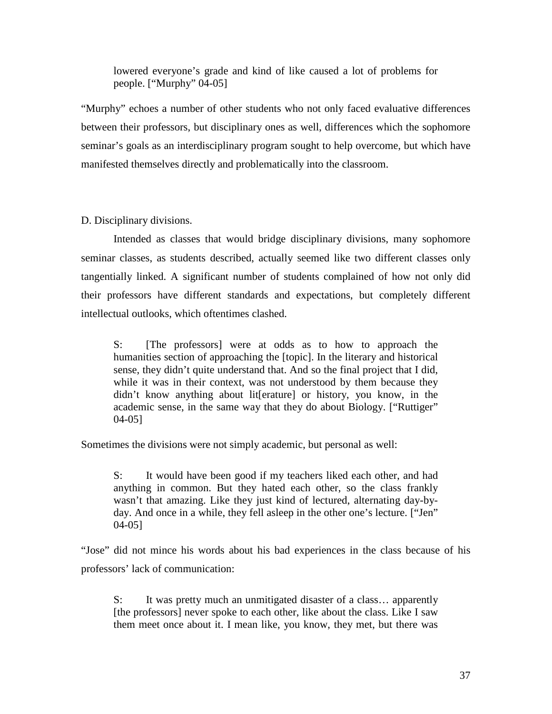lowered everyone's grade and kind of like caused a lot of problems for people. ["Murphy" 04-05]

"Murphy" echoes a number of other students who not only faced evaluative differences between their professors, but disciplinary ones as well, differences which the sophomore seminar's goals as an interdisciplinary program sought to help overcome, but which have manifested themselves directly and problematically into the classroom.

D. Disciplinary divisions.

 Intended as classes that would bridge disciplinary divisions, many sophomore seminar classes, as students described, actually seemed like two different classes only tangentially linked. A significant number of students complained of how not only did their professors have different standards and expectations, but completely different intellectual outlooks, which oftentimes clashed.

S: [The professors] were at odds as to how to approach the humanities section of approaching the [topic]. In the literary and historical sense, they didn't quite understand that. And so the final project that I did, while it was in their context, was not understood by them because they didn't know anything about lit[erature] or history, you know, in the academic sense, in the same way that they do about Biology. ["Ruttiger" 04-05]

Sometimes the divisions were not simply academic, but personal as well:

S: It would have been good if my teachers liked each other, and had anything in common. But they hated each other, so the class frankly wasn't that amazing. Like they just kind of lectured, alternating day-byday. And once in a while, they fell asleep in the other one's lecture. ["Jen" 04-05]

"Jose" did not mince his words about his bad experiences in the class because of his professors' lack of communication:

S: It was pretty much an unmitigated disaster of a class… apparently [the professors] never spoke to each other, like about the class. Like I saw them meet once about it. I mean like, you know, they met, but there was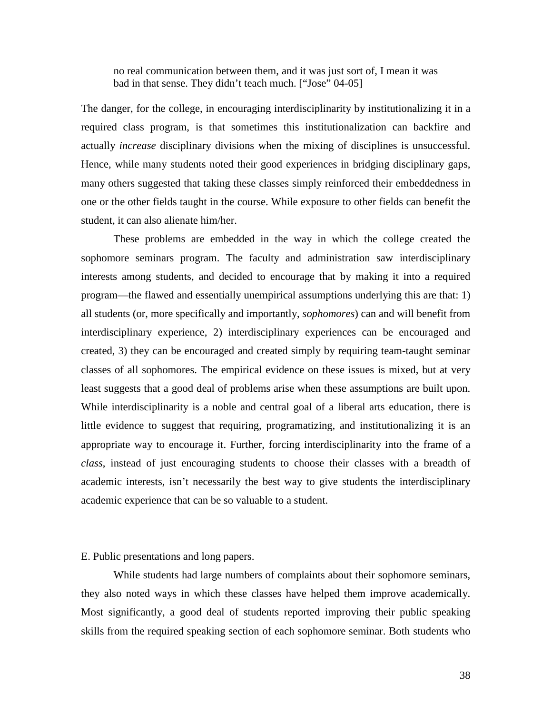no real communication between them, and it was just sort of, I mean it was bad in that sense. They didn't teach much. ["Jose" 04-05]

The danger, for the college, in encouraging interdisciplinarity by institutionalizing it in a required class program, is that sometimes this institutionalization can backfire and actually *increase* disciplinary divisions when the mixing of disciplines is unsuccessful. Hence, while many students noted their good experiences in bridging disciplinary gaps, many others suggested that taking these classes simply reinforced their embeddedness in one or the other fields taught in the course. While exposure to other fields can benefit the student, it can also alienate him/her.

 These problems are embedded in the way in which the college created the sophomore seminars program. The faculty and administration saw interdisciplinary interests among students, and decided to encourage that by making it into a required program—the flawed and essentially unempirical assumptions underlying this are that: 1) all students (or, more specifically and importantly, *sophomores*) can and will benefit from interdisciplinary experience, 2) interdisciplinary experiences can be encouraged and created, 3) they can be encouraged and created simply by requiring team-taught seminar classes of all sophomores. The empirical evidence on these issues is mixed, but at very least suggests that a good deal of problems arise when these assumptions are built upon. While interdisciplinarity is a noble and central goal of a liberal arts education, there is little evidence to suggest that requiring, programatizing, and institutionalizing it is an appropriate way to encourage it. Further, forcing interdisciplinarity into the frame of a *class*, instead of just encouraging students to choose their classes with a breadth of academic interests, isn't necessarily the best way to give students the interdisciplinary academic experience that can be so valuable to a student.

## E. Public presentations and long papers.

 While students had large numbers of complaints about their sophomore seminars, they also noted ways in which these classes have helped them improve academically. Most significantly, a good deal of students reported improving their public speaking skills from the required speaking section of each sophomore seminar. Both students who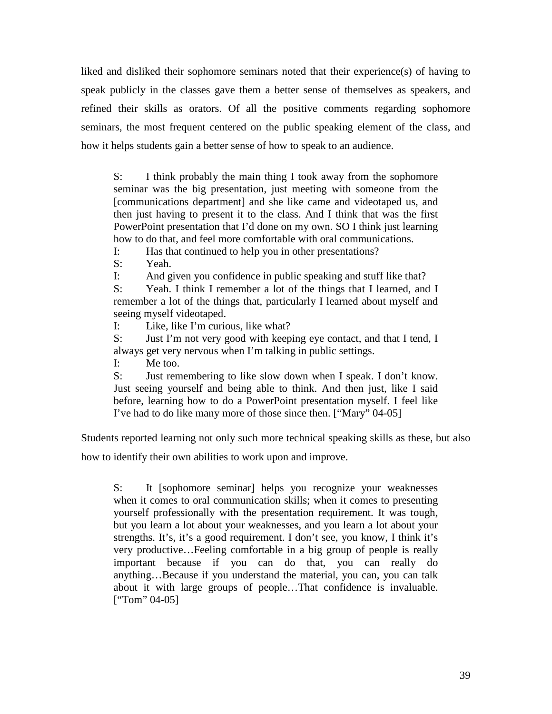liked and disliked their sophomore seminars noted that their experience(s) of having to speak publicly in the classes gave them a better sense of themselves as speakers, and refined their skills as orators. Of all the positive comments regarding sophomore seminars, the most frequent centered on the public speaking element of the class, and how it helps students gain a better sense of how to speak to an audience.

S: I think probably the main thing I took away from the sophomore seminar was the big presentation, just meeting with someone from the [communications department] and she like came and videotaped us, and then just having to present it to the class. And I think that was the first PowerPoint presentation that I'd done on my own. SO I think just learning how to do that, and feel more comfortable with oral communications.

I: Has that continued to help you in other presentations?

S: Yeah.

I: And given you confidence in public speaking and stuff like that?

S: Yeah. I think I remember a lot of the things that I learned, and I remember a lot of the things that, particularly I learned about myself and seeing myself videotaped.

I: Like, like I'm curious, like what?

S: Just I'm not very good with keeping eye contact, and that I tend, I always get very nervous when I'm talking in public settings.

I: Me too.

S: Just remembering to like slow down when I speak. I don't know. Just seeing yourself and being able to think. And then just, like I said before, learning how to do a PowerPoint presentation myself. I feel like I've had to do like many more of those since then. ["Mary" 04-05]

Students reported learning not only such more technical speaking skills as these, but also

how to identify their own abilities to work upon and improve.

S: It [sophomore seminar] helps you recognize your weaknesses when it comes to oral communication skills; when it comes to presenting yourself professionally with the presentation requirement. It was tough, but you learn a lot about your weaknesses, and you learn a lot about your strengths. It's, it's a good requirement. I don't see, you know, I think it's very productive…Feeling comfortable in a big group of people is really important because if you can do that, you can really do anything…Because if you understand the material, you can, you can talk about it with large groups of people…That confidence is invaluable.  $[$ "Tom" 04-05]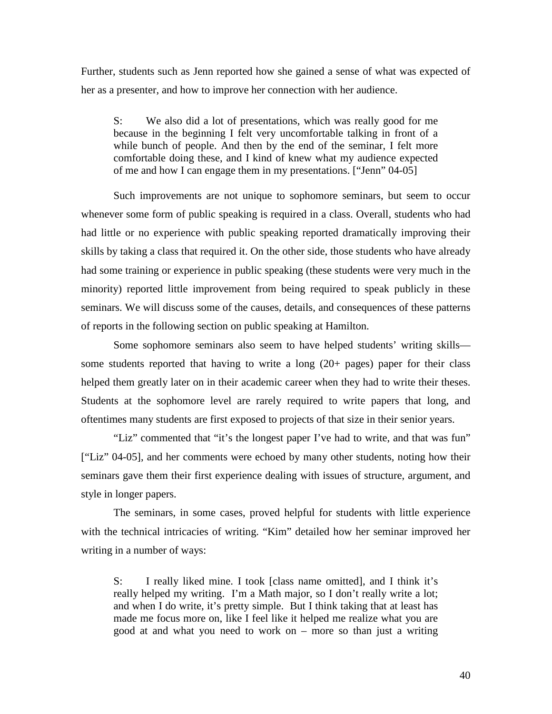Further, students such as Jenn reported how she gained a sense of what was expected of her as a presenter, and how to improve her connection with her audience.

S: We also did a lot of presentations, which was really good for me because in the beginning I felt very uncomfortable talking in front of a while bunch of people. And then by the end of the seminar, I felt more comfortable doing these, and I kind of knew what my audience expected of me and how I can engage them in my presentations. ["Jenn" 04-05]

 Such improvements are not unique to sophomore seminars, but seem to occur whenever some form of public speaking is required in a class. Overall, students who had had little or no experience with public speaking reported dramatically improving their skills by taking a class that required it. On the other side, those students who have already had some training or experience in public speaking (these students were very much in the minority) reported little improvement from being required to speak publicly in these seminars. We will discuss some of the causes, details, and consequences of these patterns of reports in the following section on public speaking at Hamilton.

 Some sophomore seminars also seem to have helped students' writing skills some students reported that having to write a long (20+ pages) paper for their class helped them greatly later on in their academic career when they had to write their theses. Students at the sophomore level are rarely required to write papers that long, and oftentimes many students are first exposed to projects of that size in their senior years.

 "Liz" commented that "it's the longest paper I've had to write, and that was fun" ["Liz" 04-05], and her comments were echoed by many other students, noting how their seminars gave them their first experience dealing with issues of structure, argument, and style in longer papers.

The seminars, in some cases, proved helpful for students with little experience with the technical intricacies of writing. "Kim" detailed how her seminar improved her writing in a number of ways:

S: I really liked mine. I took [class name omitted], and I think it's really helped my writing. I'm a Math major, so I don't really write a lot; and when I do write, it's pretty simple. But I think taking that at least has made me focus more on, like I feel like it helped me realize what you are good at and what you need to work on – more so than just a writing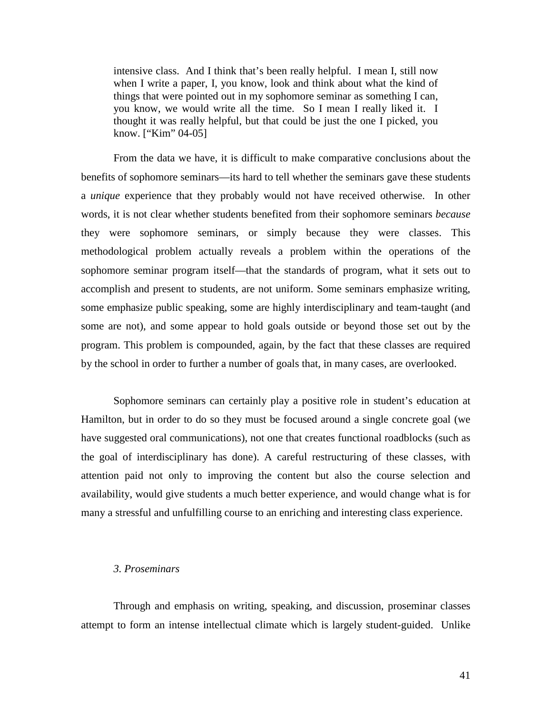intensive class. And I think that's been really helpful. I mean I, still now when I write a paper, I, you know, look and think about what the kind of things that were pointed out in my sophomore seminar as something I can, you know, we would write all the time. So I mean I really liked it. I thought it was really helpful, but that could be just the one I picked, you know. ["Kim" 04-05]

 From the data we have, it is difficult to make comparative conclusions about the benefits of sophomore seminars—its hard to tell whether the seminars gave these students a *unique* experience that they probably would not have received otherwise. In other words, it is not clear whether students benefited from their sophomore seminars *because* they were sophomore seminars, or simply because they were classes. This methodological problem actually reveals a problem within the operations of the sophomore seminar program itself—that the standards of program, what it sets out to accomplish and present to students, are not uniform. Some seminars emphasize writing, some emphasize public speaking, some are highly interdisciplinary and team-taught (and some are not), and some appear to hold goals outside or beyond those set out by the program. This problem is compounded, again, by the fact that these classes are required by the school in order to further a number of goals that, in many cases, are overlooked.

 Sophomore seminars can certainly play a positive role in student's education at Hamilton, but in order to do so they must be focused around a single concrete goal (we have suggested oral communications), not one that creates functional roadblocks (such as the goal of interdisciplinary has done). A careful restructuring of these classes, with attention paid not only to improving the content but also the course selection and availability, would give students a much better experience, and would change what is for many a stressful and unfulfilling course to an enriching and interesting class experience.

#### *3. Proseminars*

Through and emphasis on writing, speaking, and discussion, proseminar classes attempt to form an intense intellectual climate which is largely student-guided. Unlike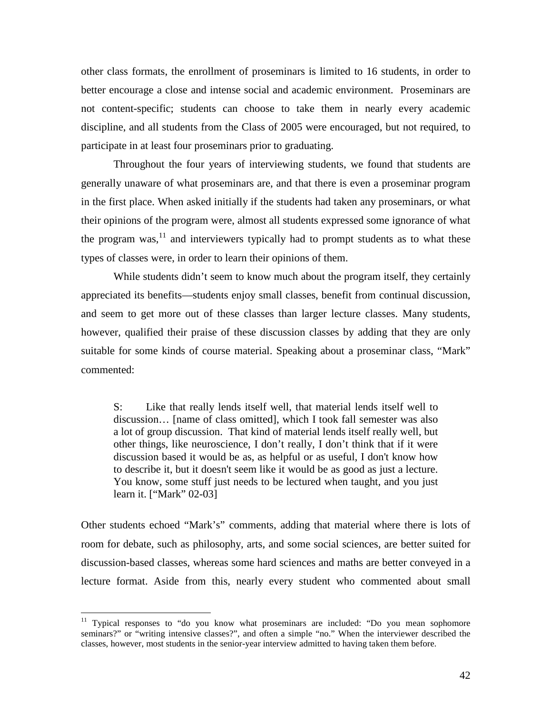other class formats, the enrollment of proseminars is limited to 16 students, in order to better encourage a close and intense social and academic environment.Proseminars are not content-specific; students can choose to take them in nearly every academic discipline, and all students from the Class of 2005 were encouraged, but not required, to participate in at least four proseminars prior to graduating.

Throughout the four years of interviewing students, we found that students are generally unaware of what proseminars are, and that there is even a proseminar program in the first place. When asked initially if the students had taken any proseminars, or what their opinions of the program were, almost all students expressed some ignorance of what the program was,  $\frac{11}{11}$  and interviewers typically had to prompt students as to what these types of classes were, in order to learn their opinions of them.

While students didn't seem to know much about the program itself, they certainly appreciated its benefits—students enjoy small classes, benefit from continual discussion, and seem to get more out of these classes than larger lecture classes. Many students, however, qualified their praise of these discussion classes by adding that they are only suitable for some kinds of course material. Speaking about a proseminar class, "Mark" commented:

S: Like that really lends itself well, that material lends itself well to discussion… [name of class omitted], which I took fall semester was also a lot of group discussion. That kind of material lends itself really well, but other things, like neuroscience, I don't really, I don't think that if it were discussion based it would be as, as helpful or as useful, I don't know how to describe it, but it doesn't seem like it would be as good as just a lecture. You know, some stuff just needs to be lectured when taught, and you just learn it. ["Mark" 02-03]

Other students echoed "Mark's" comments, adding that material where there is lots of room for debate, such as philosophy, arts, and some social sciences, are better suited for discussion-based classes, whereas some hard sciences and maths are better conveyed in a lecture format. Aside from this, nearly every student who commented about small

 $\overline{a}$ 

<sup>&</sup>lt;sup>11</sup> Typical responses to "do you know what proseminars are included: "Do you mean sophomore seminars?" or "writing intensive classes?", and often a simple "no." When the interviewer described the classes, however, most students in the senior-year interview admitted to having taken them before.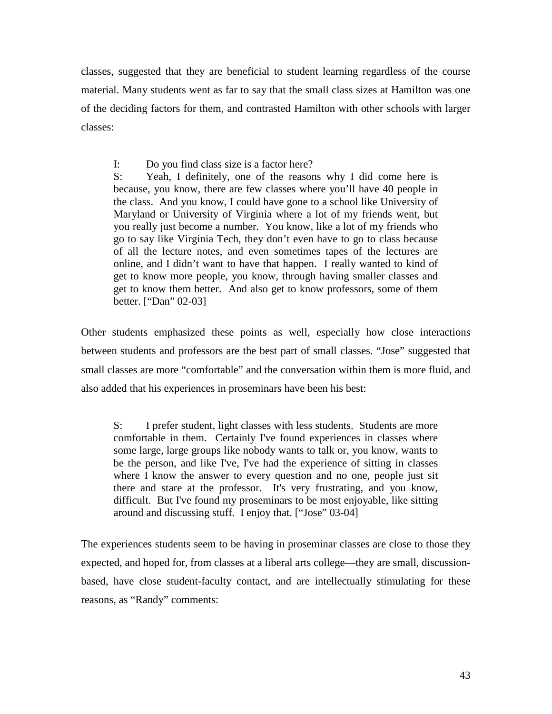classes, suggested that they are beneficial to student learning regardless of the course material. Many students went as far to say that the small class sizes at Hamilton was one of the deciding factors for them, and contrasted Hamilton with other schools with larger classes:

I: Do you find class size is a factor here?

S: Yeah, I definitely, one of the reasons why I did come here is because, you know, there are few classes where you'll have 40 people in the class. And you know, I could have gone to a school like University of Maryland or University of Virginia where a lot of my friends went, but you really just become a number. You know, like a lot of my friends who go to say like Virginia Tech, they don't even have to go to class because of all the lecture notes, and even sometimes tapes of the lectures are online, and I didn't want to have that happen. I really wanted to kind of get to know more people, you know, through having smaller classes and get to know them better. And also get to know professors, some of them better. ["Dan" 02-03]

Other students emphasized these points as well, especially how close interactions between students and professors are the best part of small classes. "Jose" suggested that small classes are more "comfortable" and the conversation within them is more fluid, and also added that his experiences in proseminars have been his best:

S: I prefer student, light classes with less students. Students are more comfortable in them. Certainly I've found experiences in classes where some large, large groups like nobody wants to talk or, you know, wants to be the person, and like I've, I've had the experience of sitting in classes where I know the answer to every question and no one, people just sit there and stare at the professor. It's very frustrating, and you know, difficult. But I've found my proseminars to be most enjoyable, like sitting around and discussing stuff. I enjoy that. ["Jose" 03-04]

The experiences students seem to be having in proseminar classes are close to those they expected, and hoped for, from classes at a liberal arts college—they are small, discussionbased, have close student-faculty contact, and are intellectually stimulating for these reasons, as "Randy" comments: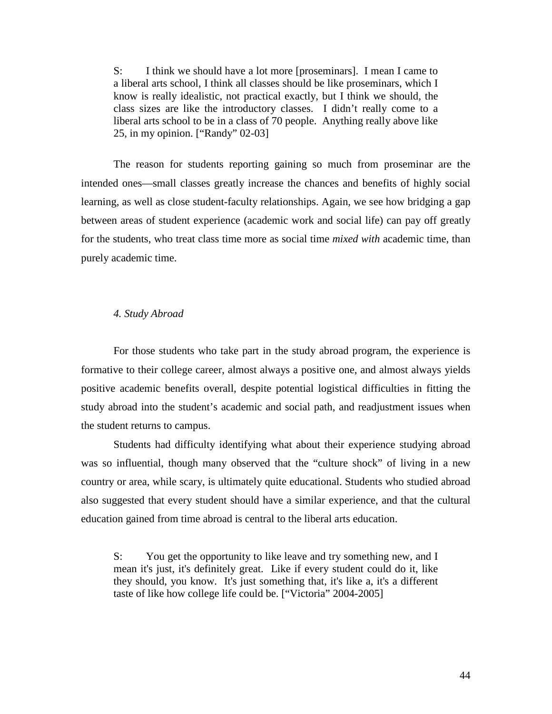S: I think we should have a lot more [proseminars]. I mean I came to a liberal arts school, I think all classes should be like proseminars, which I know is really idealistic, not practical exactly, but I think we should, the class sizes are like the introductory classes. I didn't really come to a liberal arts school to be in a class of 70 people. Anything really above like 25, in my opinion. ["Randy" 02-03]

 The reason for students reporting gaining so much from proseminar are the intended ones—small classes greatly increase the chances and benefits of highly social learning, as well as close student-faculty relationships. Again, we see how bridging a gap between areas of student experience (academic work and social life) can pay off greatly for the students, who treat class time more as social time *mixed with* academic time, than purely academic time.

# *4. Study Abroad*

 For those students who take part in the study abroad program, the experience is formative to their college career, almost always a positive one, and almost always yields positive academic benefits overall, despite potential logistical difficulties in fitting the study abroad into the student's academic and social path, and readjustment issues when the student returns to campus.

 Students had difficulty identifying what about their experience studying abroad was so influential, though many observed that the "culture shock" of living in a new country or area, while scary, is ultimately quite educational. Students who studied abroad also suggested that every student should have a similar experience, and that the cultural education gained from time abroad is central to the liberal arts education.

S: You get the opportunity to like leave and try something new, and I mean it's just, it's definitely great. Like if every student could do it, like they should, you know. It's just something that, it's like a, it's a different taste of like how college life could be. ["Victoria" 2004-2005]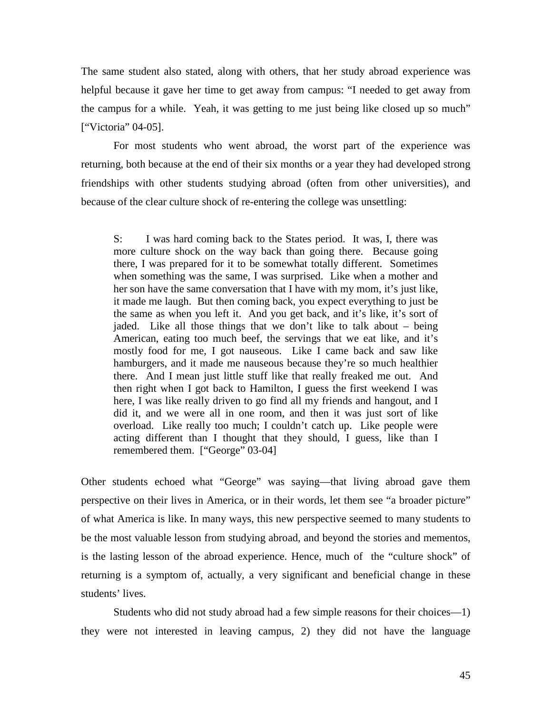The same student also stated, along with others, that her study abroad experience was helpful because it gave her time to get away from campus: "I needed to get away from the campus for a while. Yeah, it was getting to me just being like closed up so much" ["Victoria" 04-05].

 For most students who went abroad, the worst part of the experience was returning, both because at the end of their six months or a year they had developed strong friendships with other students studying abroad (often from other universities), and because of the clear culture shock of re-entering the college was unsettling:

S: I was hard coming back to the States period. It was, I, there was more culture shock on the way back than going there. Because going there, I was prepared for it to be somewhat totally different. Sometimes when something was the same, I was surprised. Like when a mother and her son have the same conversation that I have with my mom, it's just like, it made me laugh. But then coming back, you expect everything to just be the same as when you left it. And you get back, and it's like, it's sort of jaded. Like all those things that we don't like to talk about – being American, eating too much beef, the servings that we eat like, and it's mostly food for me, I got nauseous. Like I came back and saw like hamburgers, and it made me nauseous because they're so much healthier there. And I mean just little stuff like that really freaked me out. And then right when I got back to Hamilton, I guess the first weekend I was here, I was like really driven to go find all my friends and hangout, and I did it, and we were all in one room, and then it was just sort of like overload. Like really too much; I couldn't catch up. Like people were acting different than I thought that they should, I guess, like than I remembered them. ["George" 03-04]

Other students echoed what "George" was saying—that living abroad gave them perspective on their lives in America, or in their words, let them see "a broader picture" of what America is like. In many ways, this new perspective seemed to many students to be the most valuable lesson from studying abroad, and beyond the stories and mementos, is the lasting lesson of the abroad experience. Hence, much of the "culture shock" of returning is a symptom of, actually, a very significant and beneficial change in these students' lives.

 Students who did not study abroad had a few simple reasons for their choices—1) they were not interested in leaving campus, 2) they did not have the language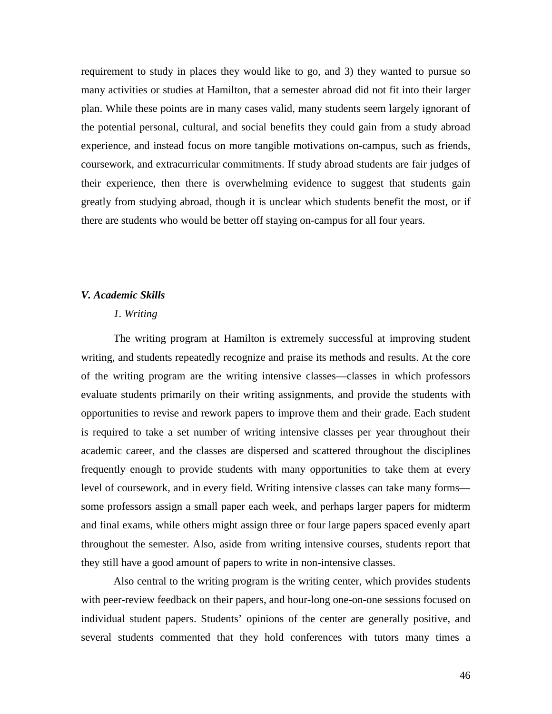requirement to study in places they would like to go, and 3) they wanted to pursue so many activities or studies at Hamilton, that a semester abroad did not fit into their larger plan. While these points are in many cases valid, many students seem largely ignorant of the potential personal, cultural, and social benefits they could gain from a study abroad experience, and instead focus on more tangible motivations on-campus, such as friends, coursework, and extracurricular commitments. If study abroad students are fair judges of their experience, then there is overwhelming evidence to suggest that students gain greatly from studying abroad, though it is unclear which students benefit the most, or if there are students who would be better off staying on-campus for all four years.

## *V. Academic Skills*

# *1. Writing*

The writing program at Hamilton is extremely successful at improving student writing, and students repeatedly recognize and praise its methods and results. At the core of the writing program are the writing intensive classes—classes in which professors evaluate students primarily on their writing assignments, and provide the students with opportunities to revise and rework papers to improve them and their grade. Each student is required to take a set number of writing intensive classes per year throughout their academic career, and the classes are dispersed and scattered throughout the disciplines frequently enough to provide students with many opportunities to take them at every level of coursework, and in every field. Writing intensive classes can take many forms some professors assign a small paper each week, and perhaps larger papers for midterm and final exams, while others might assign three or four large papers spaced evenly apart throughout the semester. Also, aside from writing intensive courses, students report that they still have a good amount of papers to write in non-intensive classes.

Also central to the writing program is the writing center, which provides students with peer-review feedback on their papers, and hour-long one-on-one sessions focused on individual student papers. Students' opinions of the center are generally positive, and several students commented that they hold conferences with tutors many times a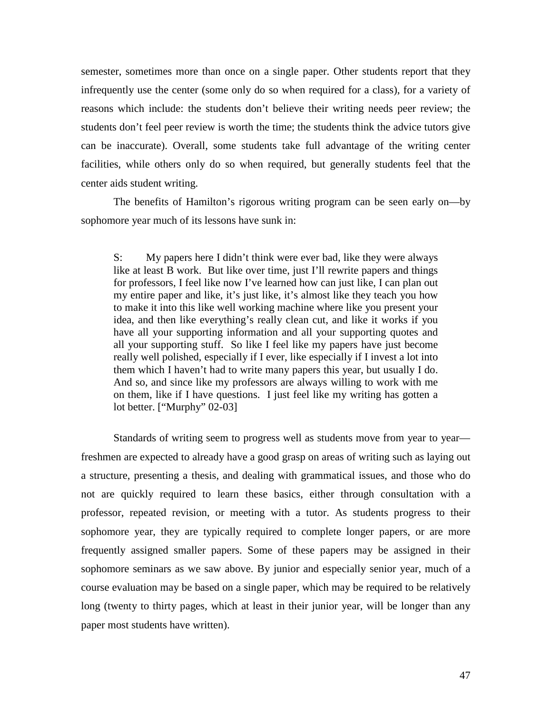semester, sometimes more than once on a single paper. Other students report that they infrequently use the center (some only do so when required for a class), for a variety of reasons which include: the students don't believe their writing needs peer review; the students don't feel peer review is worth the time; the students think the advice tutors give can be inaccurate). Overall, some students take full advantage of the writing center facilities, while others only do so when required, but generally students feel that the center aids student writing.

The benefits of Hamilton's rigorous writing program can be seen early on—by sophomore year much of its lessons have sunk in:

S: My papers here I didn't think were ever bad, like they were always like at least B work. But like over time, just I'll rewrite papers and things for professors, I feel like now I've learned how can just like, I can plan out my entire paper and like, it's just like, it's almost like they teach you how to make it into this like well working machine where like you present your idea, and then like everything's really clean cut, and like it works if you have all your supporting information and all your supporting quotes and all your supporting stuff. So like I feel like my papers have just become really well polished, especially if I ever, like especially if I invest a lot into them which I haven't had to write many papers this year, but usually I do. And so, and since like my professors are always willing to work with me on them, like if I have questions. I just feel like my writing has gotten a lot better. ["Murphy" 02-03]

 Standards of writing seem to progress well as students move from year to year freshmen are expected to already have a good grasp on areas of writing such as laying out a structure, presenting a thesis, and dealing with grammatical issues, and those who do not are quickly required to learn these basics, either through consultation with a professor, repeated revision, or meeting with a tutor. As students progress to their sophomore year, they are typically required to complete longer papers, or are more frequently assigned smaller papers. Some of these papers may be assigned in their sophomore seminars as we saw above. By junior and especially senior year, much of a course evaluation may be based on a single paper, which may be required to be relatively long (twenty to thirty pages, which at least in their junior year, will be longer than any paper most students have written).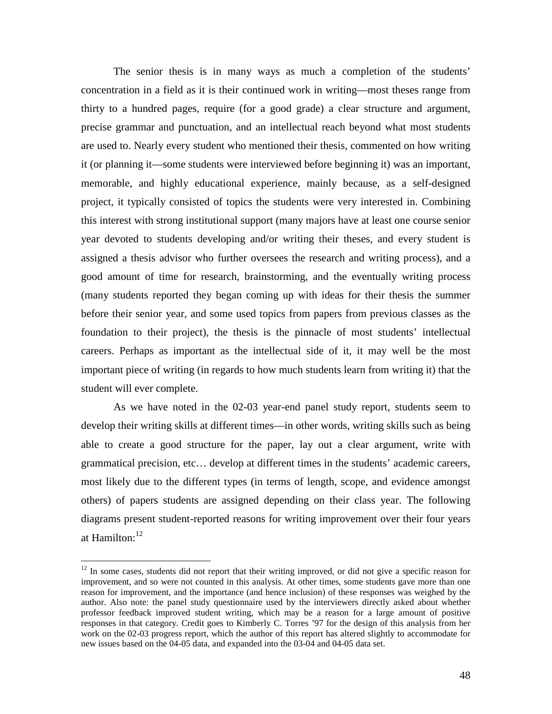The senior thesis is in many ways as much a completion of the students' concentration in a field as it is their continued work in writing—most theses range from thirty to a hundred pages, require (for a good grade) a clear structure and argument, precise grammar and punctuation, and an intellectual reach beyond what most students are used to. Nearly every student who mentioned their thesis, commented on how writing it (or planning it—some students were interviewed before beginning it) was an important, memorable, and highly educational experience, mainly because, as a self-designed project, it typically consisted of topics the students were very interested in. Combining this interest with strong institutional support (many majors have at least one course senior year devoted to students developing and/or writing their theses, and every student is assigned a thesis advisor who further oversees the research and writing process), and a good amount of time for research, brainstorming, and the eventually writing process (many students reported they began coming up with ideas for their thesis the summer before their senior year, and some used topics from papers from previous classes as the foundation to their project), the thesis is the pinnacle of most students' intellectual careers. Perhaps as important as the intellectual side of it, it may well be the most important piece of writing (in regards to how much students learn from writing it) that the student will ever complete.

As we have noted in the 02-03 year-end panel study report, students seem to develop their writing skills at different times—in other words, writing skills such as being able to create a good structure for the paper, lay out a clear argument, write with grammatical precision, etc… develop at different times in the students' academic careers, most likely due to the different types (in terms of length, scope, and evidence amongst others) of papers students are assigned depending on their class year. The following diagrams present student-reported reasons for writing improvement over their four years at Hamilton:<sup>12</sup>

 $\overline{a}$ 

 $12$  In some cases, students did not report that their writing improved, or did not give a specific reason for improvement, and so were not counted in this analysis. At other times, some students gave more than one reason for improvement, and the importance (and hence inclusion) of these responses was weighed by the author. Also note: the panel study questionnaire used by the interviewers directly asked about whether professor feedback improved student writing, which may be a reason for a large amount of positive responses in that category. Credit goes to Kimberly C. Torres '97 for the design of this analysis from her work on the 02-03 progress report, which the author of this report has altered slightly to accommodate for new issues based on the 04-05 data, and expanded into the 03-04 and 04-05 data set.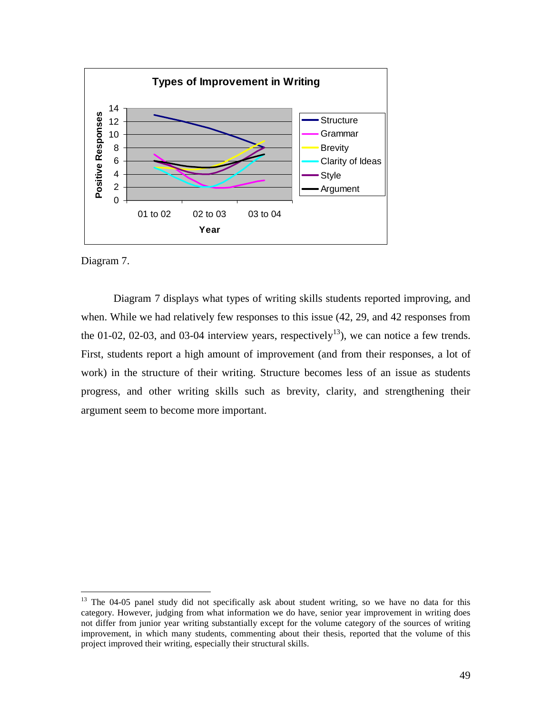

Diagram 7.

<u>.</u>

 Diagram 7 displays what types of writing skills students reported improving, and when. While we had relatively few responses to this issue (42, 29, and 42 responses from the 01-02, 02-03, and 03-04 interview years, respectively<sup>13</sup>), we can notice a few trends. First, students report a high amount of improvement (and from their responses, a lot of work) in the structure of their writing. Structure becomes less of an issue as students progress, and other writing skills such as brevity, clarity, and strengthening their argument seem to become more important.

<sup>&</sup>lt;sup>13</sup> The 04-05 panel study did not specifically ask about student writing, so we have no data for this category. However, judging from what information we do have, senior year improvement in writing does not differ from junior year writing substantially except for the volume category of the sources of writing improvement, in which many students, commenting about their thesis, reported that the volume of this project improved their writing, especially their structural skills.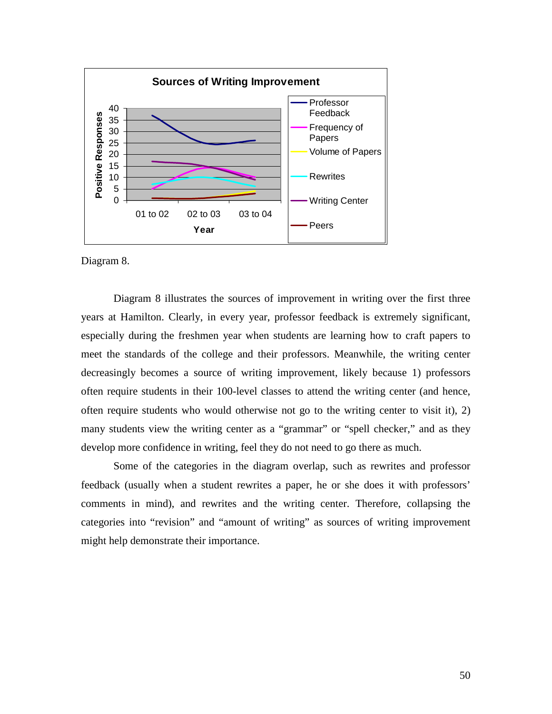

Diagram 8.

 Diagram 8 illustrates the sources of improvement in writing over the first three years at Hamilton. Clearly, in every year, professor feedback is extremely significant, especially during the freshmen year when students are learning how to craft papers to meet the standards of the college and their professors. Meanwhile, the writing center decreasingly becomes a source of writing improvement, likely because 1) professors often require students in their 100-level classes to attend the writing center (and hence, often require students who would otherwise not go to the writing center to visit it), 2) many students view the writing center as a "grammar" or "spell checker," and as they develop more confidence in writing, feel they do not need to go there as much.

 Some of the categories in the diagram overlap, such as rewrites and professor feedback (usually when a student rewrites a paper, he or she does it with professors' comments in mind), and rewrites and the writing center. Therefore, collapsing the categories into "revision" and "amount of writing" as sources of writing improvement might help demonstrate their importance.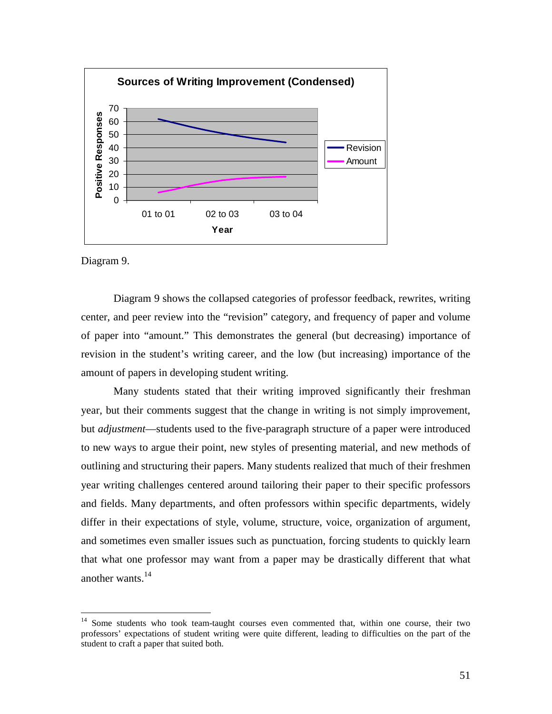

Diagram 9.

<u>.</u>

 Diagram 9 shows the collapsed categories of professor feedback, rewrites, writing center, and peer review into the "revision" category, and frequency of paper and volume of paper into "amount." This demonstrates the general (but decreasing) importance of revision in the student's writing career, and the low (but increasing) importance of the amount of papers in developing student writing.

Many students stated that their writing improved significantly their freshman year, but their comments suggest that the change in writing is not simply improvement, but *adjustment*—students used to the five-paragraph structure of a paper were introduced to new ways to argue their point, new styles of presenting material, and new methods of outlining and structuring their papers. Many students realized that much of their freshmen year writing challenges centered around tailoring their paper to their specific professors and fields. Many departments, and often professors within specific departments, widely differ in their expectations of style, volume, structure, voice, organization of argument, and sometimes even smaller issues such as punctuation, forcing students to quickly learn that what one professor may want from a paper may be drastically different that what another wants. $14$ 

<sup>&</sup>lt;sup>14</sup> Some students who took team-taught courses even commented that, within one course, their two professors' expectations of student writing were quite different, leading to difficulties on the part of the student to craft a paper that suited both.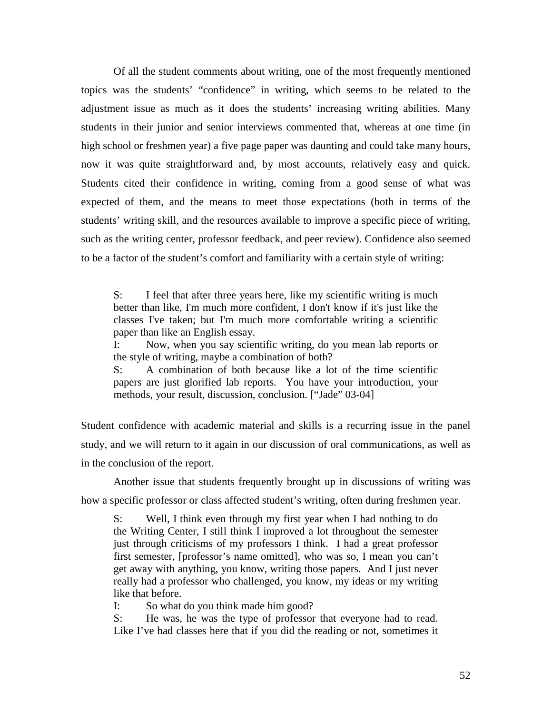Of all the student comments about writing, one of the most frequently mentioned topics was the students' "confidence" in writing, which seems to be related to the adjustment issue as much as it does the students' increasing writing abilities. Many students in their junior and senior interviews commented that, whereas at one time (in high school or freshmen year) a five page paper was daunting and could take many hours, now it was quite straightforward and, by most accounts, relatively easy and quick. Students cited their confidence in writing, coming from a good sense of what was expected of them, and the means to meet those expectations (both in terms of the students' writing skill, and the resources available to improve a specific piece of writing, such as the writing center, professor feedback, and peer review). Confidence also seemed to be a factor of the student's comfort and familiarity with a certain style of writing:

S: I feel that after three years here, like my scientific writing is much better than like, I'm much more confident, I don't know if it's just like the classes I've taken; but I'm much more comfortable writing a scientific paper than like an English essay.

I: Now, when you say scientific writing, do you mean lab reports or the style of writing, maybe a combination of both?

S: A combination of both because like a lot of the time scientific papers are just glorified lab reports. You have your introduction, your methods, your result, discussion, conclusion. ["Jade" 03-04]

Student confidence with academic material and skills is a recurring issue in the panel study, and we will return to it again in our discussion of oral communications, as well as in the conclusion of the report.

Another issue that students frequently brought up in discussions of writing was how a specific professor or class affected student's writing, often during freshmen year.

S: Well, I think even through my first year when I had nothing to do the Writing Center, I still think I improved a lot throughout the semester just through criticisms of my professors I think. I had a great professor first semester, [professor's name omitted], who was so, I mean you can't get away with anything, you know, writing those papers. And I just never really had a professor who challenged, you know, my ideas or my writing like that before.

I: So what do you think made him good?

S: He was, he was the type of professor that everyone had to read. Like I've had classes here that if you did the reading or not, sometimes it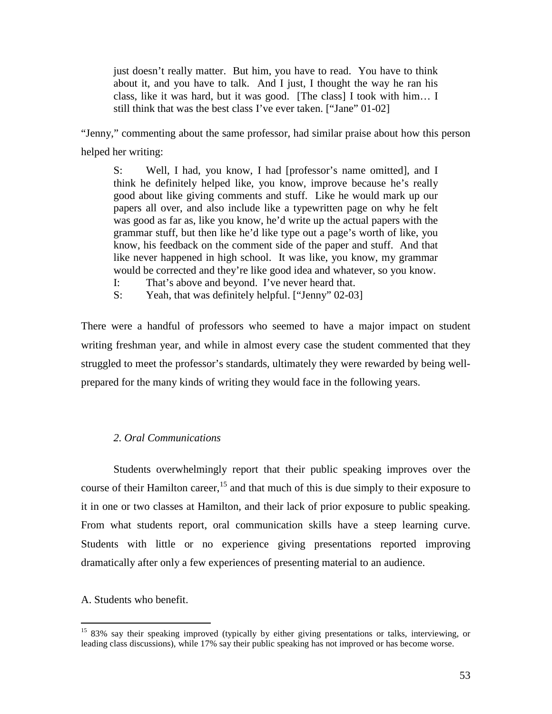just doesn't really matter. But him, you have to read. You have to think about it, and you have to talk. And I just, I thought the way he ran his class, like it was hard, but it was good. [The class] I took with him… I still think that was the best class I've ever taken. ["Jane" 01-02]

"Jenny," commenting about the same professor, had similar praise about how this person helped her writing:

S: Well, I had, you know, I had [professor's name omitted], and I think he definitely helped like, you know, improve because he's really good about like giving comments and stuff. Like he would mark up our papers all over, and also include like a typewritten page on why he felt was good as far as, like you know, he'd write up the actual papers with the grammar stuff, but then like he'd like type out a page's worth of like, you know, his feedback on the comment side of the paper and stuff. And that like never happened in high school. It was like, you know, my grammar would be corrected and they're like good idea and whatever, so you know.

- I: That's above and beyond. I've never heard that.
- S: Yeah, that was definitely helpful. ["Jenny" 02-03]

There were a handful of professors who seemed to have a major impact on student writing freshman year, and while in almost every case the student commented that they struggled to meet the professor's standards, ultimately they were rewarded by being wellprepared for the many kinds of writing they would face in the following years.

# *2. Oral Communications*

 Students overwhelmingly report that their public speaking improves over the course of their Hamilton career,  $15$  and that much of this is due simply to their exposure to it in one or two classes at Hamilton, and their lack of prior exposure to public speaking. From what students report, oral communication skills have a steep learning curve. Students with little or no experience giving presentations reported improving dramatically after only a few experiences of presenting material to an audience.

A. Students who benefit.

 $\overline{a}$ 

<sup>&</sup>lt;sup>15</sup> 83% say their speaking improved (typically by either giving presentations or talks, interviewing, or leading class discussions), while 17% say their public speaking has not improved or has become worse.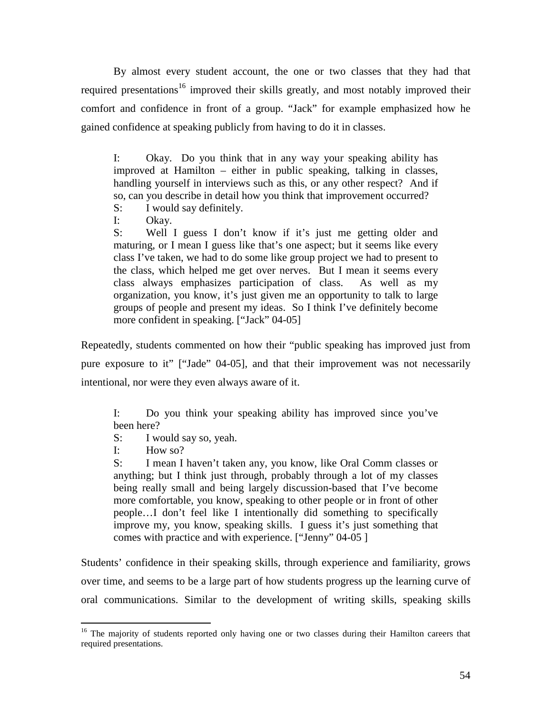By almost every student account, the one or two classes that they had that required presentations<sup>16</sup> improved their skills greatly, and most notably improved their comfort and confidence in front of a group. "Jack" for example emphasized how he gained confidence at speaking publicly from having to do it in classes.

I: Okay. Do you think that in any way your speaking ability has improved at Hamilton – either in public speaking, talking in classes, handling yourself in interviews such as this, or any other respect? And if so, can you describe in detail how you think that improvement occurred?

S: I would say definitely.

I: Okay.

S: Well I guess I don't know if it's just me getting older and maturing, or I mean I guess like that's one aspect; but it seems like every class I've taken, we had to do some like group project we had to present to the class, which helped me get over nerves. But I mean it seems every class always emphasizes participation of class. As well as my organization, you know, it's just given me an opportunity to talk to large groups of people and present my ideas. So I think I've definitely become more confident in speaking. ["Jack" 04-05]

Repeatedly, students commented on how their "public speaking has improved just from pure exposure to it" ["Jade" 04-05], and that their improvement was not necessarily intentional, nor were they even always aware of it.

I: Do you think your speaking ability has improved since you've been here?

S: I would say so, yeah.

I: How so?

S: I mean I haven't taken any, you know, like Oral Comm classes or anything; but I think just through, probably through a lot of my classes being really small and being largely discussion-based that I've become more comfortable, you know, speaking to other people or in front of other people…I don't feel like I intentionally did something to specifically improve my, you know, speaking skills. I guess it's just something that comes with practice and with experience. ["Jenny" 04-05 ]

Students' confidence in their speaking skills, through experience and familiarity, grows over time, and seems to be a large part of how students progress up the learning curve of oral communications. Similar to the development of writing skills, speaking skills

 $\overline{a}$ <sup>16</sup> The majority of students reported only having one or two classes during their Hamilton careers that required presentations.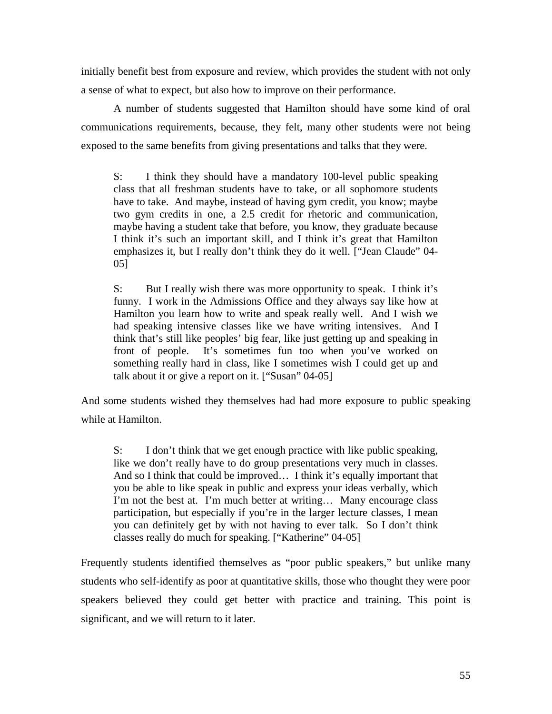initially benefit best from exposure and review, which provides the student with not only a sense of what to expect, but also how to improve on their performance.

A number of students suggested that Hamilton should have some kind of oral communications requirements, because, they felt, many other students were not being exposed to the same benefits from giving presentations and talks that they were.

S: I think they should have a mandatory 100-level public speaking class that all freshman students have to take, or all sophomore students have to take. And maybe, instead of having gym credit, you know; maybe two gym credits in one, a 2.5 credit for rhetoric and communication, maybe having a student take that before, you know, they graduate because I think it's such an important skill, and I think it's great that Hamilton emphasizes it, but I really don't think they do it well. ["Jean Claude" 04- 05]

S: But I really wish there was more opportunity to speak. I think it's funny. I work in the Admissions Office and they always say like how at Hamilton you learn how to write and speak really well. And I wish we had speaking intensive classes like we have writing intensives. And I think that's still like peoples' big fear, like just getting up and speaking in front of people. It's sometimes fun too when you've worked on something really hard in class, like I sometimes wish I could get up and talk about it or give a report on it. ["Susan" 04-05]

And some students wished they themselves had had more exposure to public speaking while at Hamilton.

S: I don't think that we get enough practice with like public speaking, like we don't really have to do group presentations very much in classes. And so I think that could be improved… I think it's equally important that you be able to like speak in public and express your ideas verbally, which I'm not the best at. I'm much better at writing… Many encourage class participation, but especially if you're in the larger lecture classes, I mean you can definitely get by with not having to ever talk. So I don't think classes really do much for speaking. ["Katherine" 04-05]

Frequently students identified themselves as "poor public speakers," but unlike many students who self-identify as poor at quantitative skills, those who thought they were poor speakers believed they could get better with practice and training. This point is significant, and we will return to it later.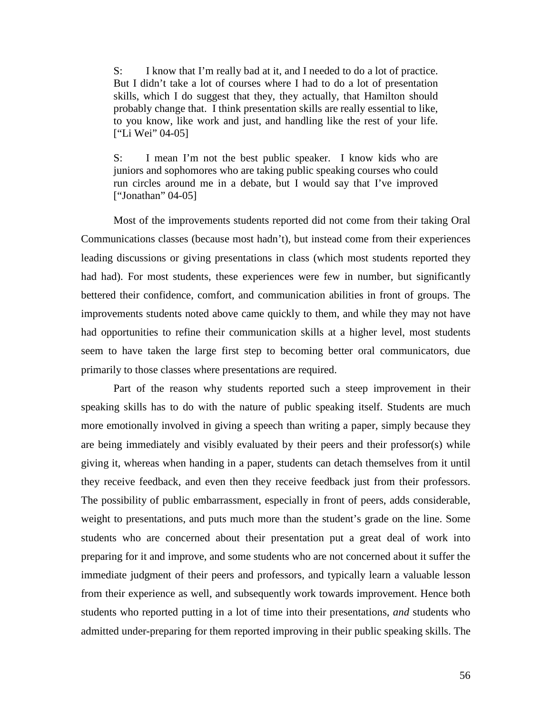S: I know that I'm really bad at it, and I needed to do a lot of practice. But I didn't take a lot of courses where I had to do a lot of presentation skills, which I do suggest that they, they actually, that Hamilton should probably change that. I think presentation skills are really essential to like, to you know, like work and just, and handling like the rest of your life. ["Li Wei" 04-05]

S: I mean I'm not the best public speaker. I know kids who are juniors and sophomores who are taking public speaking courses who could run circles around me in a debate, but I would say that I've improved ["Jonathan" 04-05]

 Most of the improvements students reported did not come from their taking Oral Communications classes (because most hadn't), but instead come from their experiences leading discussions or giving presentations in class (which most students reported they had had). For most students, these experiences were few in number, but significantly bettered their confidence, comfort, and communication abilities in front of groups. The improvements students noted above came quickly to them, and while they may not have had opportunities to refine their communication skills at a higher level, most students seem to have taken the large first step to becoming better oral communicators, due primarily to those classes where presentations are required.

 Part of the reason why students reported such a steep improvement in their speaking skills has to do with the nature of public speaking itself. Students are much more emotionally involved in giving a speech than writing a paper, simply because they are being immediately and visibly evaluated by their peers and their professor(s) while giving it, whereas when handing in a paper, students can detach themselves from it until they receive feedback, and even then they receive feedback just from their professors. The possibility of public embarrassment, especially in front of peers, adds considerable, weight to presentations, and puts much more than the student's grade on the line. Some students who are concerned about their presentation put a great deal of work into preparing for it and improve, and some students who are not concerned about it suffer the immediate judgment of their peers and professors, and typically learn a valuable lesson from their experience as well, and subsequently work towards improvement. Hence both students who reported putting in a lot of time into their presentations, *and* students who admitted under-preparing for them reported improving in their public speaking skills. The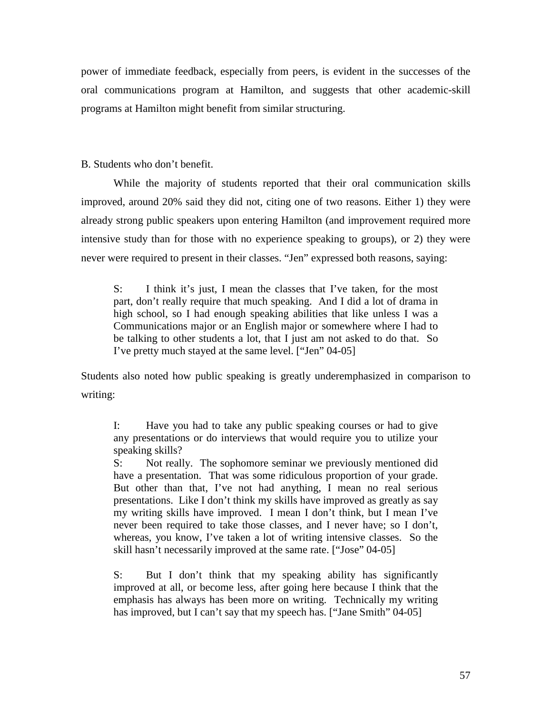power of immediate feedback, especially from peers, is evident in the successes of the oral communications program at Hamilton, and suggests that other academic-skill programs at Hamilton might benefit from similar structuring.

B. Students who don't benefit.

While the majority of students reported that their oral communication skills improved, around 20% said they did not, citing one of two reasons. Either 1) they were already strong public speakers upon entering Hamilton (and improvement required more intensive study than for those with no experience speaking to groups), or 2) they were never were required to present in their classes. "Jen" expressed both reasons, saying:

S: I think it's just, I mean the classes that I've taken, for the most part, don't really require that much speaking. And I did a lot of drama in high school, so I had enough speaking abilities that like unless I was a Communications major or an English major or somewhere where I had to be talking to other students a lot, that I just am not asked to do that. So I've pretty much stayed at the same level. ["Jen" 04-05]

Students also noted how public speaking is greatly underemphasized in comparison to writing:

I: Have you had to take any public speaking courses or had to give any presentations or do interviews that would require you to utilize your speaking skills?

S: Not really. The sophomore seminar we previously mentioned did have a presentation. That was some ridiculous proportion of your grade. But other than that, I've not had anything, I mean no real serious presentations. Like I don't think my skills have improved as greatly as say my writing skills have improved. I mean I don't think, but I mean I've never been required to take those classes, and I never have; so I don't, whereas, you know, I've taken a lot of writing intensive classes. So the skill hasn't necessarily improved at the same rate. ["Jose" 04-05]

S: But I don't think that my speaking ability has significantly improved at all, or become less, after going here because I think that the emphasis has always has been more on writing. Technically my writing has improved, but I can't say that my speech has. ["Jane Smith" 04-05]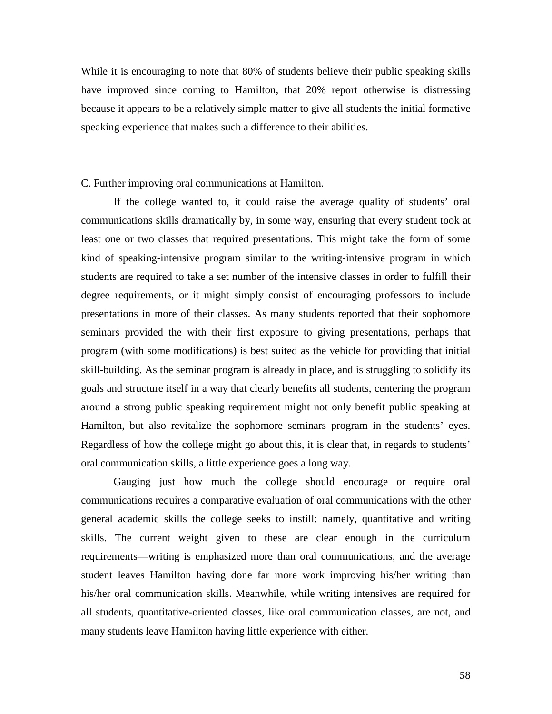While it is encouraging to note that 80% of students believe their public speaking skills have improved since coming to Hamilton, that 20% report otherwise is distressing because it appears to be a relatively simple matter to give all students the initial formative speaking experience that makes such a difference to their abilities.

C. Further improving oral communications at Hamilton.

If the college wanted to, it could raise the average quality of students' oral communications skills dramatically by, in some way, ensuring that every student took at least one or two classes that required presentations. This might take the form of some kind of speaking-intensive program similar to the writing-intensive program in which students are required to take a set number of the intensive classes in order to fulfill their degree requirements, or it might simply consist of encouraging professors to include presentations in more of their classes. As many students reported that their sophomore seminars provided the with their first exposure to giving presentations, perhaps that program (with some modifications) is best suited as the vehicle for providing that initial skill-building. As the seminar program is already in place, and is struggling to solidify its goals and structure itself in a way that clearly benefits all students, centering the program around a strong public speaking requirement might not only benefit public speaking at Hamilton, but also revitalize the sophomore seminars program in the students' eyes. Regardless of how the college might go about this, it is clear that, in regards to students' oral communication skills, a little experience goes a long way.

 Gauging just how much the college should encourage or require oral communications requires a comparative evaluation of oral communications with the other general academic skills the college seeks to instill: namely, quantitative and writing skills. The current weight given to these are clear enough in the curriculum requirements—writing is emphasized more than oral communications, and the average student leaves Hamilton having done far more work improving his/her writing than his/her oral communication skills. Meanwhile, while writing intensives are required for all students, quantitative-oriented classes, like oral communication classes, are not, and many students leave Hamilton having little experience with either.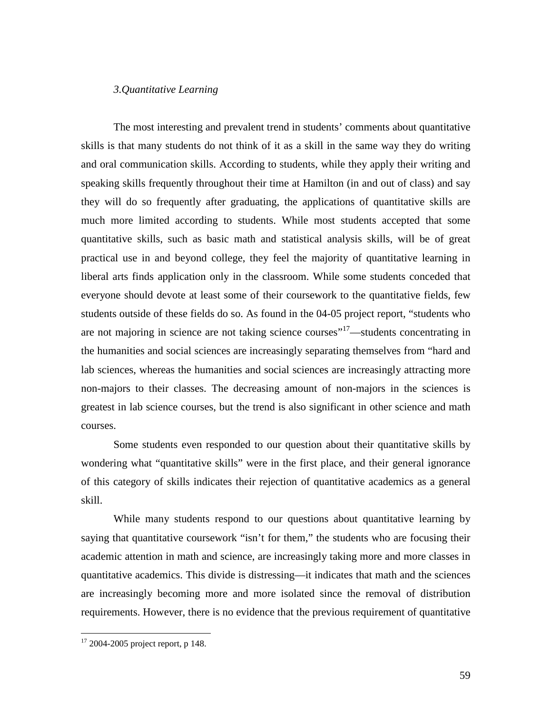# *3.Quantitative Learning*

 The most interesting and prevalent trend in students' comments about quantitative skills is that many students do not think of it as a skill in the same way they do writing and oral communication skills. According to students, while they apply their writing and speaking skills frequently throughout their time at Hamilton (in and out of class) and say they will do so frequently after graduating, the applications of quantitative skills are much more limited according to students. While most students accepted that some quantitative skills, such as basic math and statistical analysis skills, will be of great practical use in and beyond college, they feel the majority of quantitative learning in liberal arts finds application only in the classroom. While some students conceded that everyone should devote at least some of their coursework to the quantitative fields, few students outside of these fields do so. As found in the 04-05 project report, "students who are not majoring in science are not taking science courses<sup>"17</sup>—students concentrating in the humanities and social sciences are increasingly separating themselves from "hard and lab sciences, whereas the humanities and social sciences are increasingly attracting more non-majors to their classes. The decreasing amount of non-majors in the sciences is greatest in lab science courses, but the trend is also significant in other science and math courses.

 Some students even responded to our question about their quantitative skills by wondering what "quantitative skills" were in the first place, and their general ignorance of this category of skills indicates their rejection of quantitative academics as a general skill.

 While many students respond to our questions about quantitative learning by saying that quantitative coursework "isn't for them," the students who are focusing their academic attention in math and science, are increasingly taking more and more classes in quantitative academics. This divide is distressing—it indicates that math and the sciences are increasingly becoming more and more isolated since the removal of distribution requirements. However, there is no evidence that the previous requirement of quantitative

 $\overline{a}$ 

 $17$  2004-2005 project report, p 148.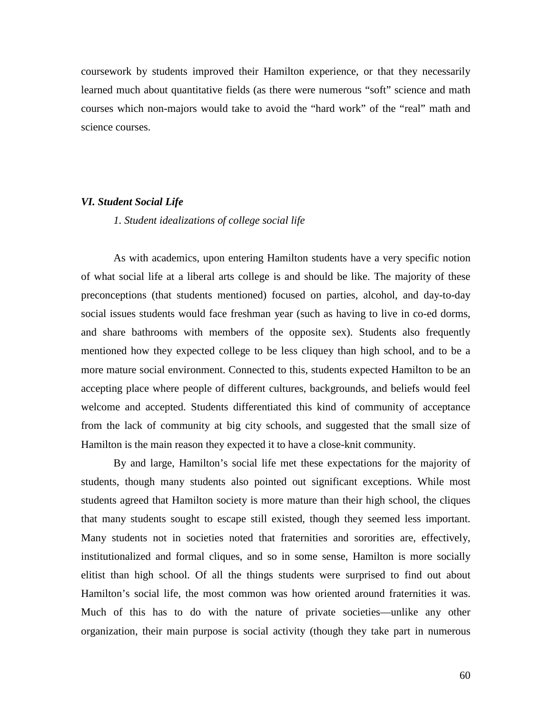coursework by students improved their Hamilton experience, or that they necessarily learned much about quantitative fields (as there were numerous "soft" science and math courses which non-majors would take to avoid the "hard work" of the "real" math and science courses.

#### *VI. Student Social Life*

# *1. Student idealizations of college social life*

 As with academics, upon entering Hamilton students have a very specific notion of what social life at a liberal arts college is and should be like. The majority of these preconceptions (that students mentioned) focused on parties, alcohol, and day-to-day social issues students would face freshman year (such as having to live in co-ed dorms, and share bathrooms with members of the opposite sex). Students also frequently mentioned how they expected college to be less cliquey than high school, and to be a more mature social environment. Connected to this, students expected Hamilton to be an accepting place where people of different cultures, backgrounds, and beliefs would feel welcome and accepted. Students differentiated this kind of community of acceptance from the lack of community at big city schools, and suggested that the small size of Hamilton is the main reason they expected it to have a close-knit community.

 By and large, Hamilton's social life met these expectations for the majority of students, though many students also pointed out significant exceptions. While most students agreed that Hamilton society is more mature than their high school, the cliques that many students sought to escape still existed, though they seemed less important. Many students not in societies noted that fraternities and sororities are, effectively, institutionalized and formal cliques, and so in some sense, Hamilton is more socially elitist than high school. Of all the things students were surprised to find out about Hamilton's social life, the most common was how oriented around fraternities it was. Much of this has to do with the nature of private societies—unlike any other organization, their main purpose is social activity (though they take part in numerous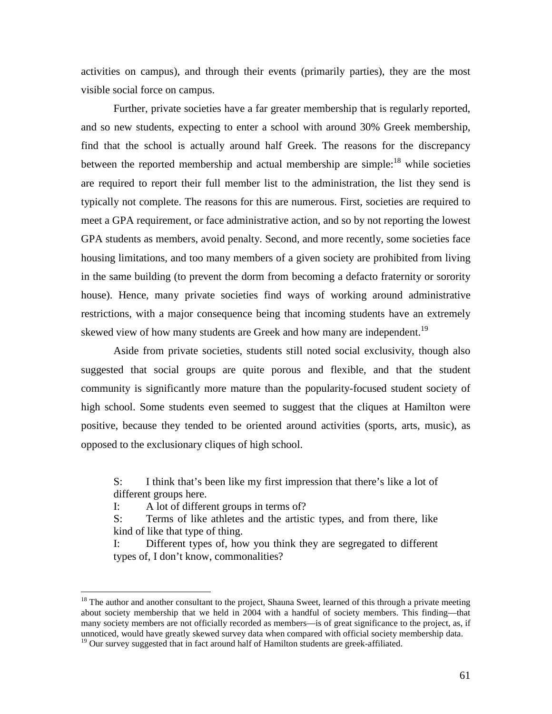activities on campus), and through their events (primarily parties), they are the most visible social force on campus.

 Further, private societies have a far greater membership that is regularly reported, and so new students, expecting to enter a school with around 30% Greek membership, find that the school is actually around half Greek. The reasons for the discrepancy between the reported membership and actual membership are simple:<sup>18</sup> while societies are required to report their full member list to the administration, the list they send is typically not complete. The reasons for this are numerous. First, societies are required to meet a GPA requirement, or face administrative action, and so by not reporting the lowest GPA students as members, avoid penalty. Second, and more recently, some societies face housing limitations, and too many members of a given society are prohibited from living in the same building (to prevent the dorm from becoming a defacto fraternity or sorority house). Hence, many private societies find ways of working around administrative restrictions, with a major consequence being that incoming students have an extremely skewed view of how many students are Greek and how many are independent.<sup>19</sup>

 Aside from private societies, students still noted social exclusivity, though also suggested that social groups are quite porous and flexible, and that the student community is significantly more mature than the popularity-focused student society of high school. Some students even seemed to suggest that the cliques at Hamilton were positive, because they tended to be oriented around activities (sports, arts, music), as opposed to the exclusionary cliques of high school.

S: I think that's been like my first impression that there's like a lot of different groups here.

I: A lot of different groups in terms of?

 $\overline{a}$ 

S: Terms of like athletes and the artistic types, and from there, like kind of like that type of thing.

I: Different types of, how you think they are segregated to different types of, I don't know, commonalities?

<sup>&</sup>lt;sup>18</sup> The author and another consultant to the project, Shauna Sweet, learned of this through a private meeting about society membership that we held in 2004 with a handful of society members. This finding—that many society members are not officially recorded as members—is of great significance to the project, as, if unnoticed, would have greatly skewed survey data when compared with official society membership data.

 $19$  Our survey suggested that in fact around half of Hamilton students are greek-affiliated.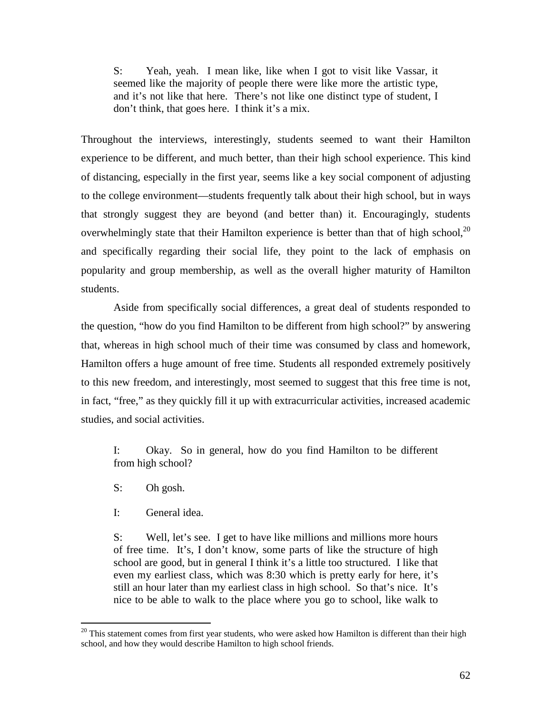S: Yeah, yeah. I mean like, like when I got to visit like Vassar, it seemed like the majority of people there were like more the artistic type, and it's not like that here. There's not like one distinct type of student, I don't think, that goes here. I think it's a mix.

Throughout the interviews, interestingly, students seemed to want their Hamilton experience to be different, and much better, than their high school experience. This kind of distancing, especially in the first year, seems like a key social component of adjusting to the college environment—students frequently talk about their high school, but in ways that strongly suggest they are beyond (and better than) it. Encouragingly, students overwhelmingly state that their Hamilton experience is better than that of high school, $^{20}$ and specifically regarding their social life, they point to the lack of emphasis on popularity and group membership, as well as the overall higher maturity of Hamilton students.

 Aside from specifically social differences, a great deal of students responded to the question, "how do you find Hamilton to be different from high school?" by answering that, whereas in high school much of their time was consumed by class and homework, Hamilton offers a huge amount of free time. Students all responded extremely positively to this new freedom, and interestingly, most seemed to suggest that this free time is not, in fact, "free," as they quickly fill it up with extracurricular activities, increased academic studies, and social activities.

I: Okay. So in general, how do you find Hamilton to be different from high school?

S: Oh gosh.

 $\overline{a}$ 

I: General idea.

S: Well, let's see. I get to have like millions and millions more hours of free time. It's, I don't know, some parts of like the structure of high school are good, but in general I think it's a little too structured. I like that even my earliest class, which was 8:30 which is pretty early for here, it's still an hour later than my earliest class in high school. So that's nice. It's nice to be able to walk to the place where you go to school, like walk to

 $20$  This statement comes from first year students, who were asked how Hamilton is different than their high school, and how they would describe Hamilton to high school friends.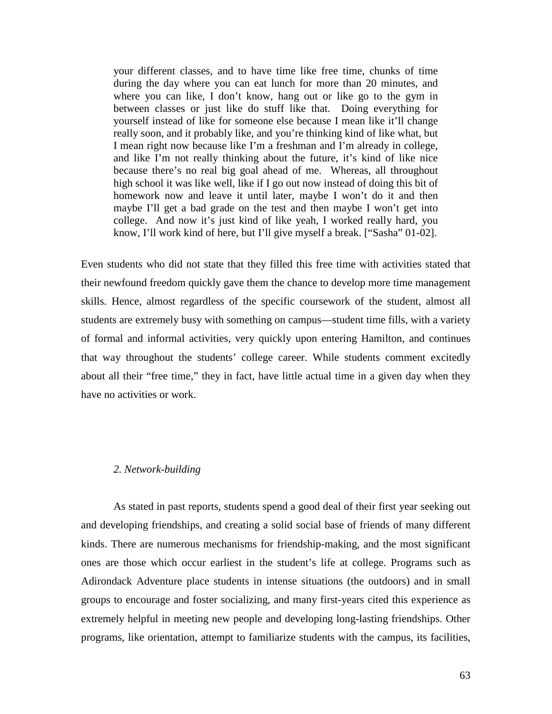your different classes, and to have time like free time, chunks of time during the day where you can eat lunch for more than 20 minutes, and where you can like, I don't know, hang out or like go to the gym in between classes or just like do stuff like that. Doing everything for yourself instead of like for someone else because I mean like it'll change really soon, and it probably like, and you're thinking kind of like what, but I mean right now because like I'm a freshman and I'm already in college, and like I'm not really thinking about the future, it's kind of like nice because there's no real big goal ahead of me. Whereas, all throughout high school it was like well, like if I go out now instead of doing this bit of homework now and leave it until later, maybe I won't do it and then maybe I'll get a bad grade on the test and then maybe I won't get into college. And now it's just kind of like yeah, I worked really hard, you know, I'll work kind of here, but I'll give myself a break. ["Sasha" 01-02].

Even students who did not state that they filled this free time with activities stated that their newfound freedom quickly gave them the chance to develop more time management skills. Hence, almost regardless of the specific coursework of the student, almost all students are extremely busy with something on campus—student time fills, with a variety of formal and informal activities, very quickly upon entering Hamilton, and continues that way throughout the students' college career. While students comment excitedly about all their "free time," they in fact, have little actual time in a given day when they have no activities or work.

## *2. Network-building*

 As stated in past reports, students spend a good deal of their first year seeking out and developing friendships, and creating a solid social base of friends of many different kinds. There are numerous mechanisms for friendship-making, and the most significant ones are those which occur earliest in the student's life at college. Programs such as Adirondack Adventure place students in intense situations (the outdoors) and in small groups to encourage and foster socializing, and many first-years cited this experience as extremely helpful in meeting new people and developing long-lasting friendships. Other programs, like orientation, attempt to familiarize students with the campus, its facilities,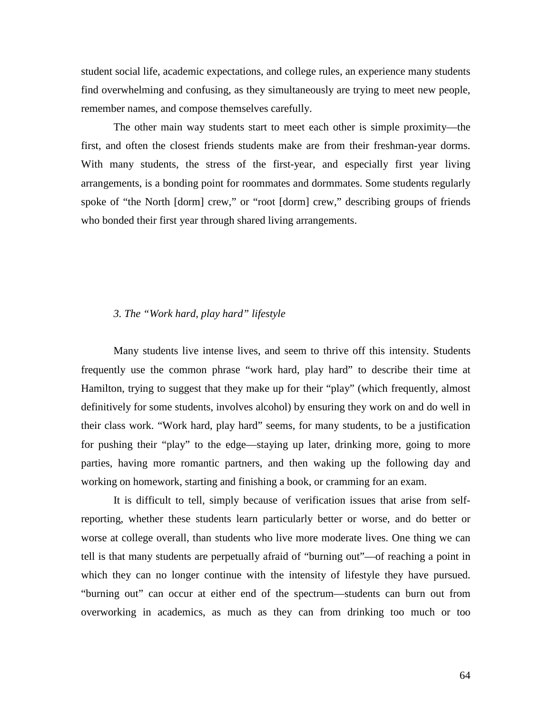student social life, academic expectations, and college rules, an experience many students find overwhelming and confusing, as they simultaneously are trying to meet new people, remember names, and compose themselves carefully.

The other main way students start to meet each other is simple proximity—the first, and often the closest friends students make are from their freshman-year dorms. With many students, the stress of the first-year, and especially first year living arrangements, is a bonding point for roommates and dormmates. Some students regularly spoke of "the North [dorm] crew," or "root [dorm] crew," describing groups of friends who bonded their first year through shared living arrangements.

# *3. The "Work hard, play hard" lifestyle*

 Many students live intense lives, and seem to thrive off this intensity. Students frequently use the common phrase "work hard, play hard" to describe their time at Hamilton, trying to suggest that they make up for their "play" (which frequently, almost definitively for some students, involves alcohol) by ensuring they work on and do well in their class work. "Work hard, play hard" seems, for many students, to be a justification for pushing their "play" to the edge—staying up later, drinking more, going to more parties, having more romantic partners, and then waking up the following day and working on homework, starting and finishing a book, or cramming for an exam.

 It is difficult to tell, simply because of verification issues that arise from selfreporting, whether these students learn particularly better or worse, and do better or worse at college overall, than students who live more moderate lives. One thing we can tell is that many students are perpetually afraid of "burning out"—of reaching a point in which they can no longer continue with the intensity of lifestyle they have pursued. "burning out" can occur at either end of the spectrum—students can burn out from overworking in academics, as much as they can from drinking too much or too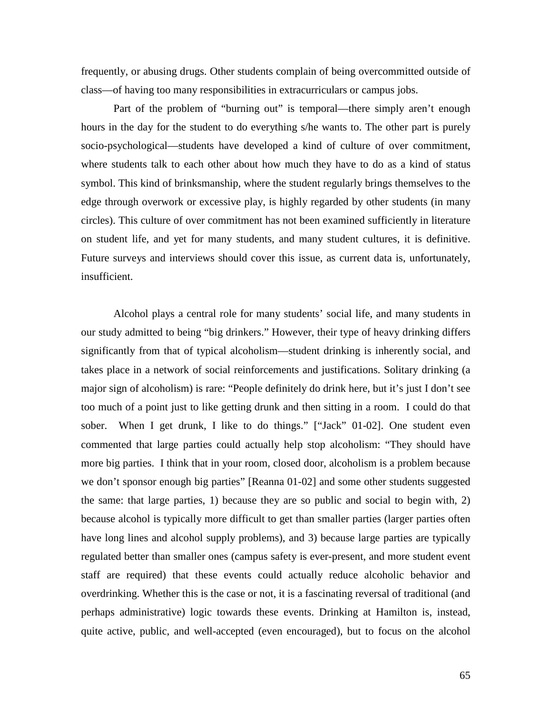frequently, or abusing drugs. Other students complain of being overcommitted outside of class—of having too many responsibilities in extracurriculars or campus jobs.

Part of the problem of "burning out" is temporal—there simply aren't enough hours in the day for the student to do everything s/he wants to. The other part is purely socio-psychological—students have developed a kind of culture of over commitment, where students talk to each other about how much they have to do as a kind of status symbol. This kind of brinksmanship, where the student regularly brings themselves to the edge through overwork or excessive play, is highly regarded by other students (in many circles). This culture of over commitment has not been examined sufficiently in literature on student life, and yet for many students, and many student cultures, it is definitive. Future surveys and interviews should cover this issue, as current data is, unfortunately, insufficient.

 Alcohol plays a central role for many students' social life, and many students in our study admitted to being "big drinkers." However, their type of heavy drinking differs significantly from that of typical alcoholism—student drinking is inherently social, and takes place in a network of social reinforcements and justifications. Solitary drinking (a major sign of alcoholism) is rare: "People definitely do drink here, but it's just I don't see too much of a point just to like getting drunk and then sitting in a room. I could do that sober. When I get drunk, I like to do things." ["Jack" 01-02]. One student even commented that large parties could actually help stop alcoholism: "They should have more big parties. I think that in your room, closed door, alcoholism is a problem because we don't sponsor enough big parties" [Reanna 01-02] and some other students suggested the same: that large parties, 1) because they are so public and social to begin with, 2) because alcohol is typically more difficult to get than smaller parties (larger parties often have long lines and alcohol supply problems), and 3) because large parties are typically regulated better than smaller ones (campus safety is ever-present, and more student event staff are required) that these events could actually reduce alcoholic behavior and overdrinking. Whether this is the case or not, it is a fascinating reversal of traditional (and perhaps administrative) logic towards these events. Drinking at Hamilton is, instead, quite active, public, and well-accepted (even encouraged), but to focus on the alcohol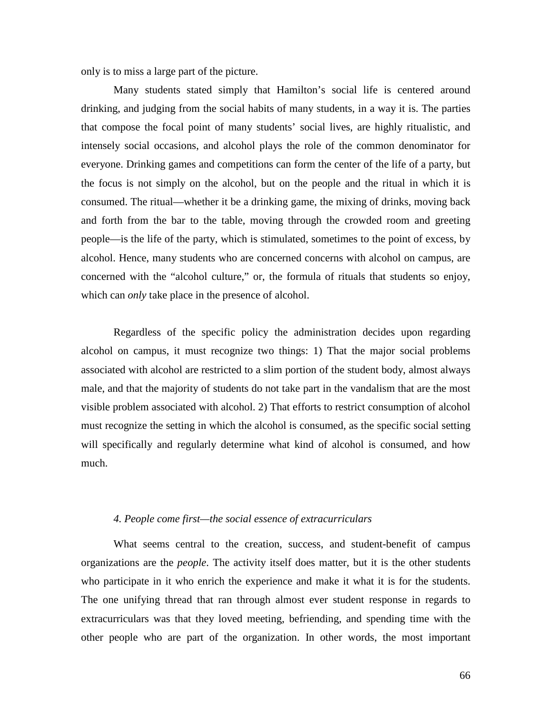only is to miss a large part of the picture.

Many students stated simply that Hamilton's social life is centered around drinking, and judging from the social habits of many students, in a way it is. The parties that compose the focal point of many students' social lives, are highly ritualistic, and intensely social occasions, and alcohol plays the role of the common denominator for everyone. Drinking games and competitions can form the center of the life of a party, but the focus is not simply on the alcohol, but on the people and the ritual in which it is consumed. The ritual—whether it be a drinking game, the mixing of drinks, moving back and forth from the bar to the table, moving through the crowded room and greeting people—is the life of the party, which is stimulated, sometimes to the point of excess, by alcohol. Hence, many students who are concerned concerns with alcohol on campus, are concerned with the "alcohol culture," or, the formula of rituals that students so enjoy, which can *only* take place in the presence of alcohol.

 Regardless of the specific policy the administration decides upon regarding alcohol on campus, it must recognize two things: 1) That the major social problems associated with alcohol are restricted to a slim portion of the student body, almost always male, and that the majority of students do not take part in the vandalism that are the most visible problem associated with alcohol. 2) That efforts to restrict consumption of alcohol must recognize the setting in which the alcohol is consumed, as the specific social setting will specifically and regularly determine what kind of alcohol is consumed, and how much.

## *4. People come first—the social essence of extracurriculars*

What seems central to the creation, success, and student-benefit of campus organizations are the *people*. The activity itself does matter, but it is the other students who participate in it who enrich the experience and make it what it is for the students. The one unifying thread that ran through almost ever student response in regards to extracurriculars was that they loved meeting, befriending, and spending time with the other people who are part of the organization. In other words, the most important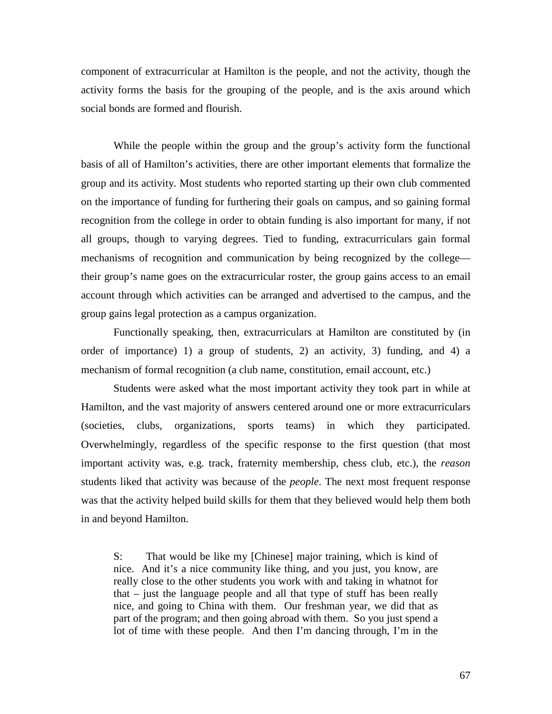component of extracurricular at Hamilton is the people, and not the activity, though the activity forms the basis for the grouping of the people, and is the axis around which social bonds are formed and flourish.

 While the people within the group and the group's activity form the functional basis of all of Hamilton's activities, there are other important elements that formalize the group and its activity. Most students who reported starting up their own club commented on the importance of funding for furthering their goals on campus, and so gaining formal recognition from the college in order to obtain funding is also important for many, if not all groups, though to varying degrees. Tied to funding, extracurriculars gain formal mechanisms of recognition and communication by being recognized by the college their group's name goes on the extracurricular roster, the group gains access to an email account through which activities can be arranged and advertised to the campus, and the group gains legal protection as a campus organization.

Functionally speaking, then, extracurriculars at Hamilton are constituted by (in order of importance) 1) a group of students, 2) an activity, 3) funding, and 4) a mechanism of formal recognition (a club name, constitution, email account, etc.)

Students were asked what the most important activity they took part in while at Hamilton, and the vast majority of answers centered around one or more extracurriculars (societies, clubs, organizations, sports teams) in which they participated. Overwhelmingly, regardless of the specific response to the first question (that most important activity was, e.g. track, fraternity membership, chess club, etc.), the *reason* students liked that activity was because of the *people*. The next most frequent response was that the activity helped build skills for them that they believed would help them both in and beyond Hamilton.

S: That would be like my [Chinese] major training, which is kind of nice. And it's a nice community like thing, and you just, you know, are really close to the other students you work with and taking in whatnot for that – just the language people and all that type of stuff has been really nice, and going to China with them. Our freshman year, we did that as part of the program; and then going abroad with them. So you just spend a lot of time with these people. And then I'm dancing through, I'm in the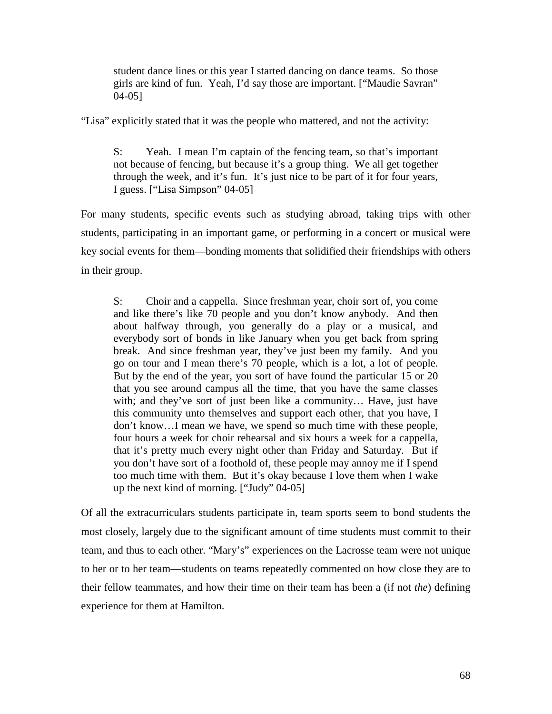student dance lines or this year I started dancing on dance teams. So those girls are kind of fun. Yeah, I'd say those are important. ["Maudie Savran" 04-05]

"Lisa" explicitly stated that it was the people who mattered, and not the activity:

S: Yeah. I mean I'm captain of the fencing team, so that's important not because of fencing, but because it's a group thing. We all get together through the week, and it's fun. It's just nice to be part of it for four years, I guess. ["Lisa Simpson" 04-05]

For many students, specific events such as studying abroad, taking trips with other students, participating in an important game, or performing in a concert or musical were key social events for them—bonding moments that solidified their friendships with others in their group.

S: Choir and a cappella. Since freshman year, choir sort of, you come and like there's like 70 people and you don't know anybody. And then about halfway through, you generally do a play or a musical, and everybody sort of bonds in like January when you get back from spring break. And since freshman year, they've just been my family. And you go on tour and I mean there's 70 people, which is a lot, a lot of people. But by the end of the year, you sort of have found the particular 15 or 20 that you see around campus all the time, that you have the same classes with; and they've sort of just been like a community… Have, just have this community unto themselves and support each other, that you have, I don't know…I mean we have, we spend so much time with these people, four hours a week for choir rehearsal and six hours a week for a cappella, that it's pretty much every night other than Friday and Saturday. But if you don't have sort of a foothold of, these people may annoy me if I spend too much time with them. But it's okay because I love them when I wake up the next kind of morning. ["Judy" 04-05]

Of all the extracurriculars students participate in, team sports seem to bond students the most closely, largely due to the significant amount of time students must commit to their team, and thus to each other. "Mary's" experiences on the Lacrosse team were not unique to her or to her team—students on teams repeatedly commented on how close they are to their fellow teammates, and how their time on their team has been a (if not *the*) defining experience for them at Hamilton.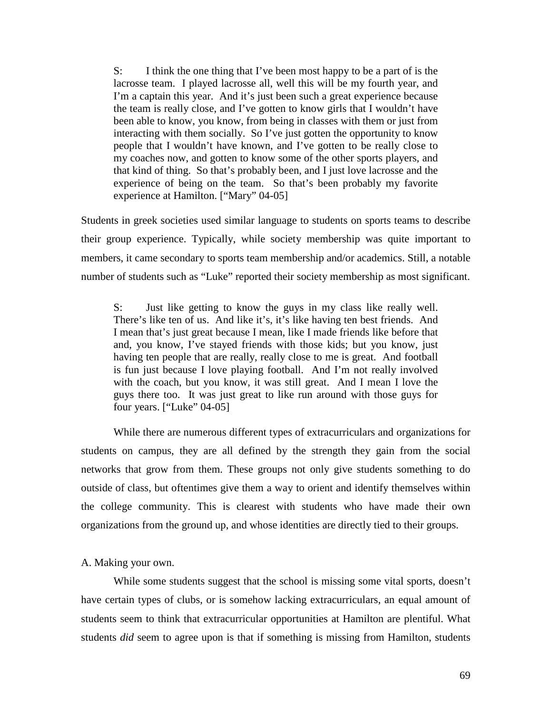S: I think the one thing that I've been most happy to be a part of is the lacrosse team. I played lacrosse all, well this will be my fourth year, and I'm a captain this year. And it's just been such a great experience because the team is really close, and I've gotten to know girls that I wouldn't have been able to know, you know, from being in classes with them or just from interacting with them socially. So I've just gotten the opportunity to know people that I wouldn't have known, and I've gotten to be really close to my coaches now, and gotten to know some of the other sports players, and that kind of thing. So that's probably been, and I just love lacrosse and the experience of being on the team. So that's been probably my favorite experience at Hamilton. ["Mary" 04-05]

Students in greek societies used similar language to students on sports teams to describe their group experience. Typically, while society membership was quite important to members, it came secondary to sports team membership and/or academics. Still, a notable number of students such as "Luke" reported their society membership as most significant.

S: Just like getting to know the guys in my class like really well. There's like ten of us. And like it's, it's like having ten best friends. And I mean that's just great because I mean, like I made friends like before that and, you know, I've stayed friends with those kids; but you know, just having ten people that are really, really close to me is great. And football is fun just because I love playing football. And I'm not really involved with the coach, but you know, it was still great. And I mean I love the guys there too. It was just great to like run around with those guys for four years. ["Luke" 04-05]

While there are numerous different types of extracurriculars and organizations for students on campus, they are all defined by the strength they gain from the social networks that grow from them. These groups not only give students something to do outside of class, but oftentimes give them a way to orient and identify themselves within the college community. This is clearest with students who have made their own organizations from the ground up, and whose identities are directly tied to their groups.

A. Making your own.

While some students suggest that the school is missing some vital sports, doesn't have certain types of clubs, or is somehow lacking extracurriculars, an equal amount of students seem to think that extracurricular opportunities at Hamilton are plentiful. What students *did* seem to agree upon is that if something is missing from Hamilton, students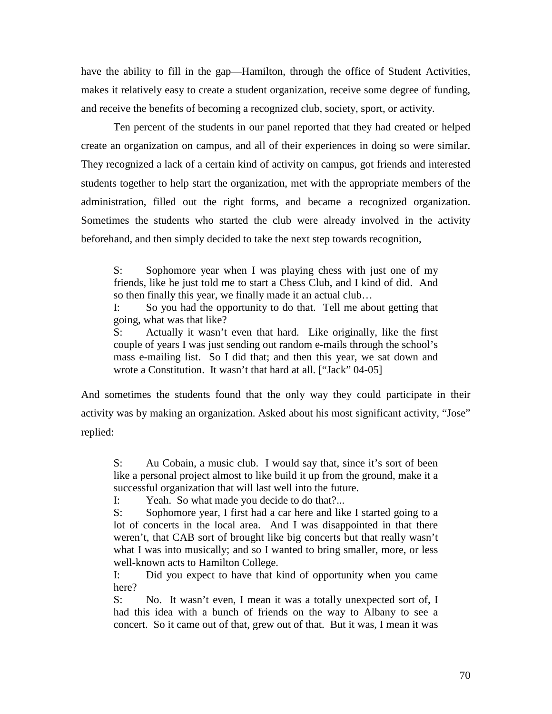have the ability to fill in the gap—Hamilton, through the office of Student Activities, makes it relatively easy to create a student organization, receive some degree of funding, and receive the benefits of becoming a recognized club, society, sport, or activity.

Ten percent of the students in our panel reported that they had created or helped create an organization on campus, and all of their experiences in doing so were similar. They recognized a lack of a certain kind of activity on campus, got friends and interested students together to help start the organization, met with the appropriate members of the administration, filled out the right forms, and became a recognized organization. Sometimes the students who started the club were already involved in the activity beforehand, and then simply decided to take the next step towards recognition,

S: Sophomore year when I was playing chess with just one of my friends, like he just told me to start a Chess Club, and I kind of did. And so then finally this year, we finally made it an actual club…

I: So you had the opportunity to do that. Tell me about getting that going, what was that like?

S: Actually it wasn't even that hard. Like originally, like the first couple of years I was just sending out random e-mails through the school's mass e-mailing list. So I did that; and then this year, we sat down and wrote a Constitution. It wasn't that hard at all. ["Jack" 04-05]

And sometimes the students found that the only way they could participate in their activity was by making an organization. Asked about his most significant activity, "Jose" replied:

S: Au Cobain, a music club. I would say that, since it's sort of been like a personal project almost to like build it up from the ground, make it a successful organization that will last well into the future.

I: Yeah. So what made you decide to do that?...

S: Sophomore year, I first had a car here and like I started going to a lot of concerts in the local area. And I was disappointed in that there weren't, that CAB sort of brought like big concerts but that really wasn't what I was into musically; and so I wanted to bring smaller, more, or less well-known acts to Hamilton College.

I: Did you expect to have that kind of opportunity when you came here?

S: No. It wasn't even, I mean it was a totally unexpected sort of, I had this idea with a bunch of friends on the way to Albany to see a concert. So it came out of that, grew out of that. But it was, I mean it was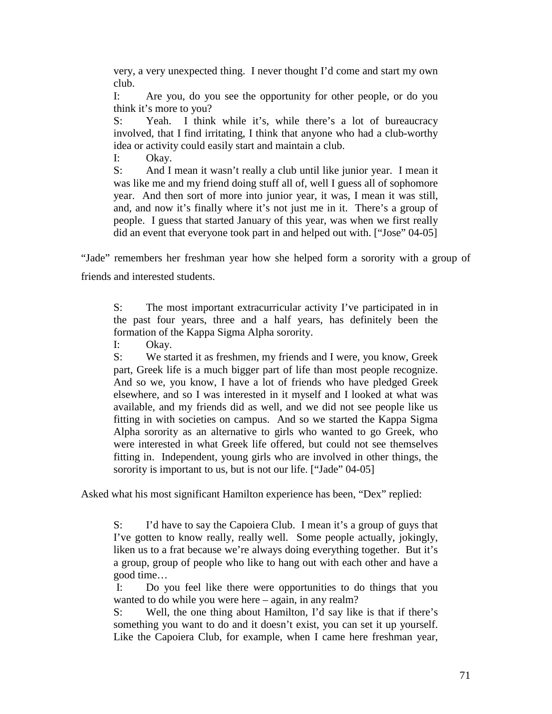very, a very unexpected thing. I never thought I'd come and start my own club.

I: Are you, do you see the opportunity for other people, or do you think it's more to you?

S: Yeah. I think while it's, while there's a lot of bureaucracy involved, that I find irritating, I think that anyone who had a club-worthy idea or activity could easily start and maintain a club.

I: Okay.

S: And I mean it wasn't really a club until like junior year. I mean it was like me and my friend doing stuff all of, well I guess all of sophomore year. And then sort of more into junior year, it was, I mean it was still, and, and now it's finally where it's not just me in it. There's a group of people. I guess that started January of this year, was when we first really did an event that everyone took part in and helped out with. ["Jose" 04-05]

"Jade" remembers her freshman year how she helped form a sorority with a group of friends and interested students.

S: The most important extracurricular activity I've participated in in the past four years, three and a half years, has definitely been the formation of the Kappa Sigma Alpha sorority.

I: Okay.

S: We started it as freshmen, my friends and I were, you know, Greek part, Greek life is a much bigger part of life than most people recognize. And so we, you know, I have a lot of friends who have pledged Greek elsewhere, and so I was interested in it myself and I looked at what was available, and my friends did as well, and we did not see people like us fitting in with societies on campus. And so we started the Kappa Sigma Alpha sorority as an alternative to girls who wanted to go Greek, who were interested in what Greek life offered, but could not see themselves fitting in. Independent, young girls who are involved in other things, the sorority is important to us, but is not our life. ["Jade" 04-05]

Asked what his most significant Hamilton experience has been, "Dex" replied:

S: I'd have to say the Capoiera Club. I mean it's a group of guys that I've gotten to know really, really well. Some people actually, jokingly, liken us to a frat because we're always doing everything together. But it's a group, group of people who like to hang out with each other and have a good time…

 I: Do you feel like there were opportunities to do things that you wanted to do while you were here – again, in any realm?

S: Well, the one thing about Hamilton, I'd say like is that if there's something you want to do and it doesn't exist, you can set it up yourself. Like the Capoiera Club, for example, when I came here freshman year,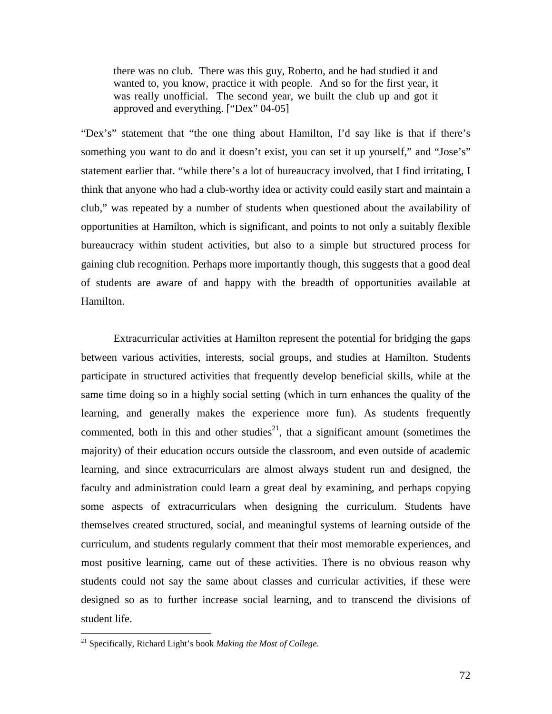there was no club. There was this guy, Roberto, and he had studied it and wanted to, you know, practice it with people. And so for the first year, it was really unofficial. The second year, we built the club up and got it approved and everything. ["Dex" 04-05]

"Dex's" statement that "the one thing about Hamilton, I'd say like is that if there's something you want to do and it doesn't exist, you can set it up yourself," and "Jose's" statement earlier that. "while there's a lot of bureaucracy involved, that I find irritating, I think that anyone who had a club-worthy idea or activity could easily start and maintain a club," was repeated by a number of students when questioned about the availability of opportunities at Hamilton, which is significant, and points to not only a suitably flexible bureaucracy within student activities, but also to a simple but structured process for gaining club recognition. Perhaps more importantly though, this suggests that a good deal of students are aware of and happy with the breadth of opportunities available at Hamilton.

Extracurricular activities at Hamilton represent the potential for bridging the gaps between various activities, interests, social groups, and studies at Hamilton. Students participate in structured activities that frequently develop beneficial skills, while at the same time doing so in a highly social setting (which in turn enhances the quality of the learning, and generally makes the experience more fun). As students frequently commented, both in this and other studies<sup>21</sup>, that a significant amount (sometimes the majority) of their education occurs outside the classroom, and even outside of academic learning, and since extracurriculars are almost always student run and designed, the faculty and administration could learn a great deal by examining, and perhaps copying some aspects of extracurriculars when designing the curriculum. Students have themselves created structured, social, and meaningful systems of learning outside of the curriculum, and students regularly comment that their most memorable experiences, and most positive learning, came out of these activities. There is no obvious reason why students could not say the same about classes and curricular activities, if these were designed so as to further increase social learning, and to transcend the divisions of student life.

 $\overline{a}$ 

<sup>21</sup> Specifically, Richard Light's book *Making the Most of College.*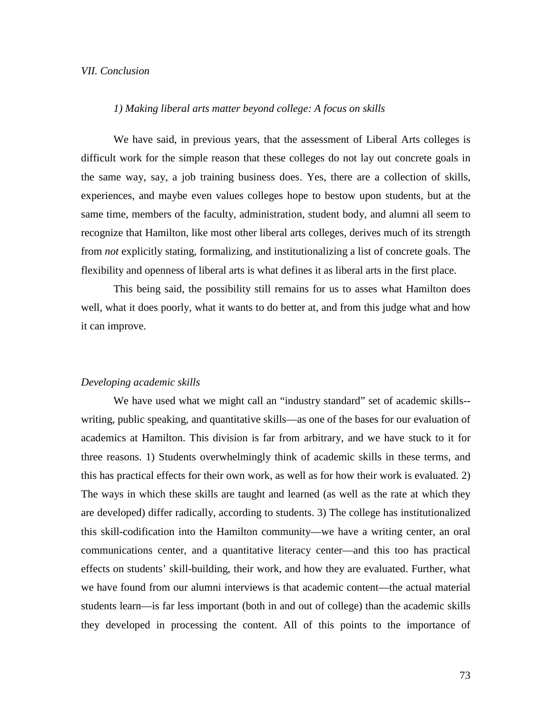## *VII. Conclusion*

## *1) Making liberal arts matter beyond college: A focus on skills*

 We have said, in previous years, that the assessment of Liberal Arts colleges is difficult work for the simple reason that these colleges do not lay out concrete goals in the same way, say, a job training business does. Yes, there are a collection of skills, experiences, and maybe even values colleges hope to bestow upon students, but at the same time, members of the faculty, administration, student body, and alumni all seem to recognize that Hamilton, like most other liberal arts colleges, derives much of its strength from *not* explicitly stating, formalizing, and institutionalizing a list of concrete goals. The flexibility and openness of liberal arts is what defines it as liberal arts in the first place.

 This being said, the possibility still remains for us to asses what Hamilton does well, what it does poorly, what it wants to do better at, and from this judge what and how it can improve.

#### *Developing academic skills*

 We have used what we might call an "industry standard" set of academic skills- writing, public speaking, and quantitative skills—as one of the bases for our evaluation of academics at Hamilton. This division is far from arbitrary, and we have stuck to it for three reasons. 1) Students overwhelmingly think of academic skills in these terms, and this has practical effects for their own work, as well as for how their work is evaluated. 2) The ways in which these skills are taught and learned (as well as the rate at which they are developed) differ radically, according to students. 3) The college has institutionalized this skill-codification into the Hamilton community—we have a writing center, an oral communications center, and a quantitative literacy center—and this too has practical effects on students' skill-building, their work, and how they are evaluated. Further, what we have found from our alumni interviews is that academic content—the actual material students learn—is far less important (both in and out of college) than the academic skills they developed in processing the content. All of this points to the importance of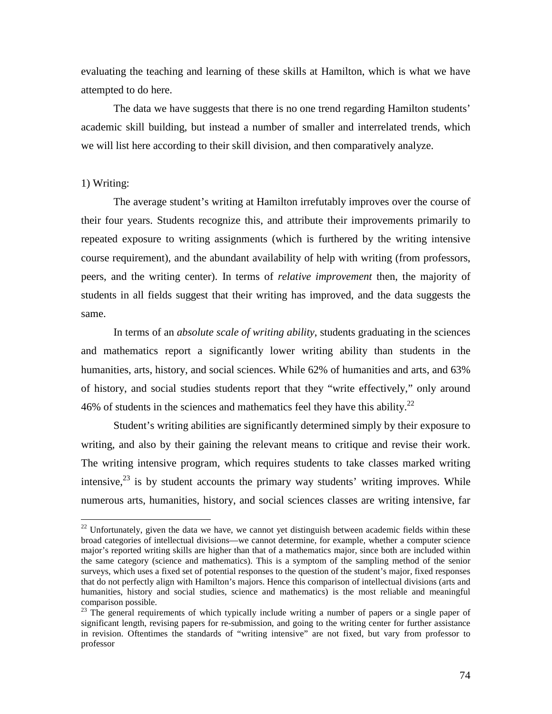evaluating the teaching and learning of these skills at Hamilton, which is what we have attempted to do here.

 The data we have suggests that there is no one trend regarding Hamilton students' academic skill building, but instead a number of smaller and interrelated trends, which we will list here according to their skill division, and then comparatively analyze.

# 1) Writing:

 $\overline{a}$ 

 The average student's writing at Hamilton irrefutably improves over the course of their four years. Students recognize this, and attribute their improvements primarily to repeated exposure to writing assignments (which is furthered by the writing intensive course requirement), and the abundant availability of help with writing (from professors, peers, and the writing center). In terms of *relative improvement* then, the majority of students in all fields suggest that their writing has improved, and the data suggests the same.

 In terms of an *absolute scale of writing ability*, students graduating in the sciences and mathematics report a significantly lower writing ability than students in the humanities, arts, history, and social sciences. While 62% of humanities and arts, and 63% of history, and social studies students report that they "write effectively," only around 46% of students in the sciences and mathematics feel they have this ability.<sup>22</sup>

 Student's writing abilities are significantly determined simply by their exposure to writing, and also by their gaining the relevant means to critique and revise their work. The writing intensive program, which requires students to take classes marked writing intensive, $23$  is by student accounts the primary way students' writing improves. While numerous arts, humanities, history, and social sciences classes are writing intensive, far

 $22$  Unfortunately, given the data we have, we cannot yet distinguish between academic fields within these broad categories of intellectual divisions—we cannot determine, for example, whether a computer science major's reported writing skills are higher than that of a mathematics major, since both are included within the same category (science and mathematics). This is a symptom of the sampling method of the senior surveys, which uses a fixed set of potential responses to the question of the student's major, fixed responses that do not perfectly align with Hamilton's majors. Hence this comparison of intellectual divisions (arts and humanities, history and social studies, science and mathematics) is the most reliable and meaningful comparison possible.

<sup>&</sup>lt;sup>23</sup> The general requirements of which typically include writing a number of papers or a single paper of significant length, revising papers for re-submission, and going to the writing center for further assistance in revision. Oftentimes the standards of "writing intensive" are not fixed, but vary from professor to professor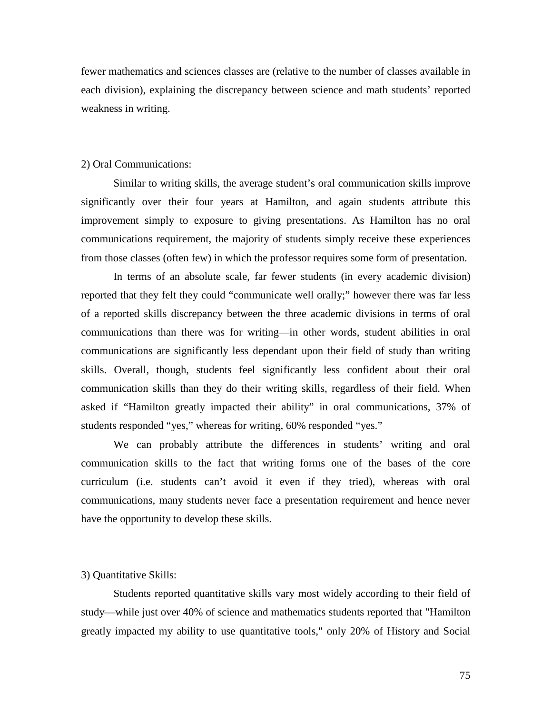fewer mathematics and sciences classes are (relative to the number of classes available in each division), explaining the discrepancy between science and math students' reported weakness in writing.

## 2) Oral Communications:

 Similar to writing skills, the average student's oral communication skills improve significantly over their four years at Hamilton, and again students attribute this improvement simply to exposure to giving presentations. As Hamilton has no oral communications requirement, the majority of students simply receive these experiences from those classes (often few) in which the professor requires some form of presentation.

 In terms of an absolute scale, far fewer students (in every academic division) reported that they felt they could "communicate well orally;" however there was far less of a reported skills discrepancy between the three academic divisions in terms of oral communications than there was for writing—in other words, student abilities in oral communications are significantly less dependant upon their field of study than writing skills. Overall, though, students feel significantly less confident about their oral communication skills than they do their writing skills, regardless of their field. When asked if "Hamilton greatly impacted their ability" in oral communications, 37% of students responded "yes," whereas for writing, 60% responded "yes."

 We can probably attribute the differences in students' writing and oral communication skills to the fact that writing forms one of the bases of the core curriculum (i.e. students can't avoid it even if they tried), whereas with oral communications, many students never face a presentation requirement and hence never have the opportunity to develop these skills.

#### 3) Quantitative Skills:

 Students reported quantitative skills vary most widely according to their field of study—while just over 40% of science and mathematics students reported that "Hamilton greatly impacted my ability to use quantitative tools," only 20% of History and Social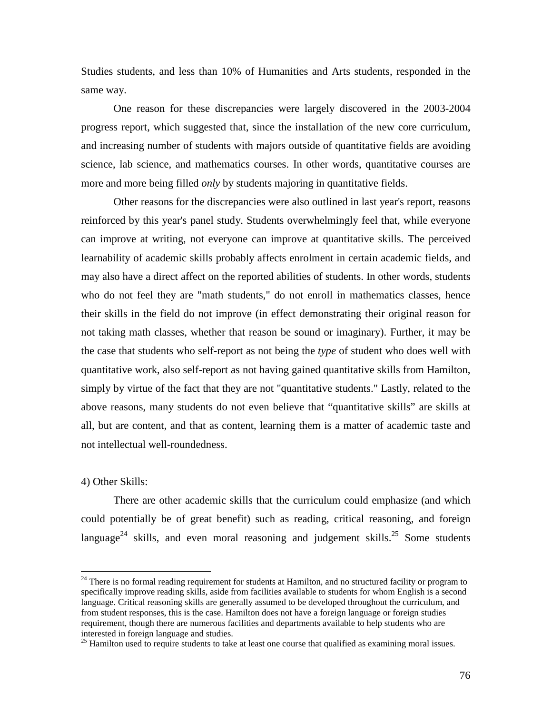Studies students, and less than 10% of Humanities and Arts students, responded in the same way.

 One reason for these discrepancies were largely discovered in the 2003-2004 progress report, which suggested that, since the installation of the new core curriculum, and increasing number of students with majors outside of quantitative fields are avoiding science, lab science, and mathematics courses. In other words, quantitative courses are more and more being filled *only* by students majoring in quantitative fields.

 Other reasons for the discrepancies were also outlined in last year's report, reasons reinforced by this year's panel study. Students overwhelmingly feel that, while everyone can improve at writing, not everyone can improve at quantitative skills. The perceived learnability of academic skills probably affects enrolment in certain academic fields, and may also have a direct affect on the reported abilities of students. In other words, students who do not feel they are "math students," do not enroll in mathematics classes, hence their skills in the field do not improve (in effect demonstrating their original reason for not taking math classes, whether that reason be sound or imaginary). Further, it may be the case that students who self-report as not being the *type* of student who does well with quantitative work, also self-report as not having gained quantitative skills from Hamilton, simply by virtue of the fact that they are not "quantitative students." Lastly, related to the above reasons, many students do not even believe that "quantitative skills" are skills at all, but are content, and that as content, learning them is a matter of academic taste and not intellectual well-roundedness.

4) Other Skills:

 $\overline{a}$ 

 There are other academic skills that the curriculum could emphasize (and which could potentially be of great benefit) such as reading, critical reasoning, and foreign language<sup>24</sup> skills, and even moral reasoning and judgement skills.<sup>25</sup> Some students

<sup>&</sup>lt;sup>24</sup> There is no formal reading requirement for students at Hamilton, and no structured facility or program to specifically improve reading skills, aside from facilities available to students for whom English is a second language. Critical reasoning skills are generally assumed to be developed throughout the curriculum, and from student responses, this is the case. Hamilton does not have a foreign language or foreign studies requirement, though there are numerous facilities and departments available to help students who are interested in foreign language and studies.

 $25$  Hamilton used to require students to take at least one course that qualified as examining moral issues.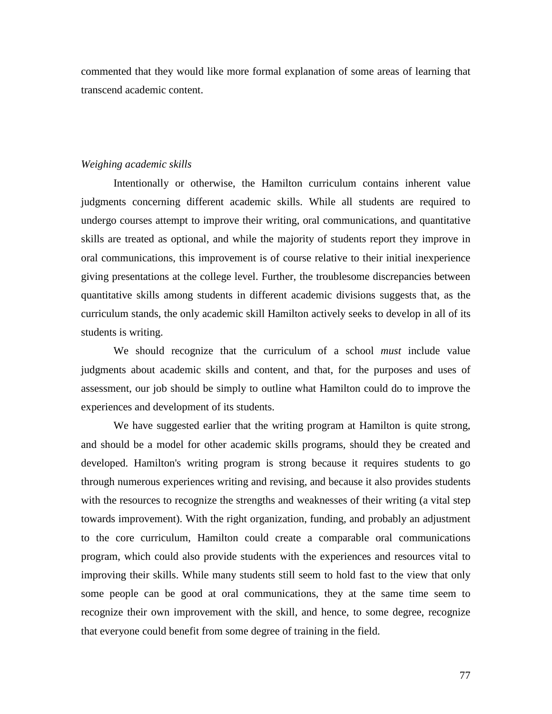commented that they would like more formal explanation of some areas of learning that transcend academic content.

#### *Weighing academic skills*

 Intentionally or otherwise, the Hamilton curriculum contains inherent value judgments concerning different academic skills. While all students are required to undergo courses attempt to improve their writing, oral communications, and quantitative skills are treated as optional, and while the majority of students report they improve in oral communications, this improvement is of course relative to their initial inexperience giving presentations at the college level. Further, the troublesome discrepancies between quantitative skills among students in different academic divisions suggests that, as the curriculum stands, the only academic skill Hamilton actively seeks to develop in all of its students is writing.

 We should recognize that the curriculum of a school *must* include value judgments about academic skills and content, and that, for the purposes and uses of assessment, our job should be simply to outline what Hamilton could do to improve the experiences and development of its students.

 We have suggested earlier that the writing program at Hamilton is quite strong, and should be a model for other academic skills programs, should they be created and developed. Hamilton's writing program is strong because it requires students to go through numerous experiences writing and revising, and because it also provides students with the resources to recognize the strengths and weaknesses of their writing (a vital step towards improvement). With the right organization, funding, and probably an adjustment to the core curriculum, Hamilton could create a comparable oral communications program, which could also provide students with the experiences and resources vital to improving their skills. While many students still seem to hold fast to the view that only some people can be good at oral communications, they at the same time seem to recognize their own improvement with the skill, and hence, to some degree, recognize that everyone could benefit from some degree of training in the field.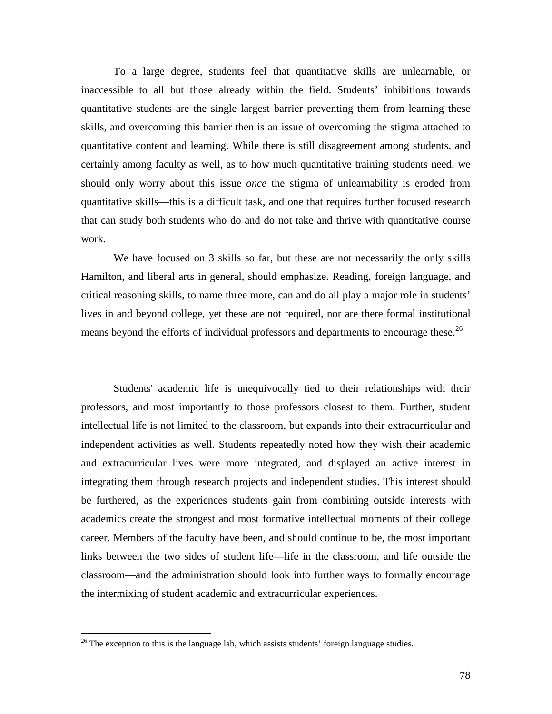To a large degree, students feel that quantitative skills are unlearnable, or inaccessible to all but those already within the field. Students' inhibitions towards quantitative students are the single largest barrier preventing them from learning these skills, and overcoming this barrier then is an issue of overcoming the stigma attached to quantitative content and learning. While there is still disagreement among students, and certainly among faculty as well, as to how much quantitative training students need, we should only worry about this issue *once* the stigma of unlearnability is eroded from quantitative skills—this is a difficult task, and one that requires further focused research that can study both students who do and do not take and thrive with quantitative course work.

We have focused on 3 skills so far, but these are not necessarily the only skills Hamilton, and liberal arts in general, should emphasize. Reading, foreign language, and critical reasoning skills, to name three more, can and do all play a major role in students' lives in and beyond college, yet these are not required, nor are there formal institutional means beyond the efforts of individual professors and departments to encourage these.<sup>26</sup>

 Students' academic life is unequivocally tied to their relationships with their professors, and most importantly to those professors closest to them. Further, student intellectual life is not limited to the classroom, but expands into their extracurricular and independent activities as well. Students repeatedly noted how they wish their academic and extracurricular lives were more integrated, and displayed an active interest in integrating them through research projects and independent studies. This interest should be furthered, as the experiences students gain from combining outside interests with academics create the strongest and most formative intellectual moments of their college career. Members of the faculty have been, and should continue to be, the most important links between the two sides of student life—life in the classroom, and life outside the classroom—and the administration should look into further ways to formally encourage the intermixing of student academic and extracurricular experiences.

<u>.</u>

<sup>&</sup>lt;sup>26</sup> The exception to this is the language lab, which assists students' foreign language studies.